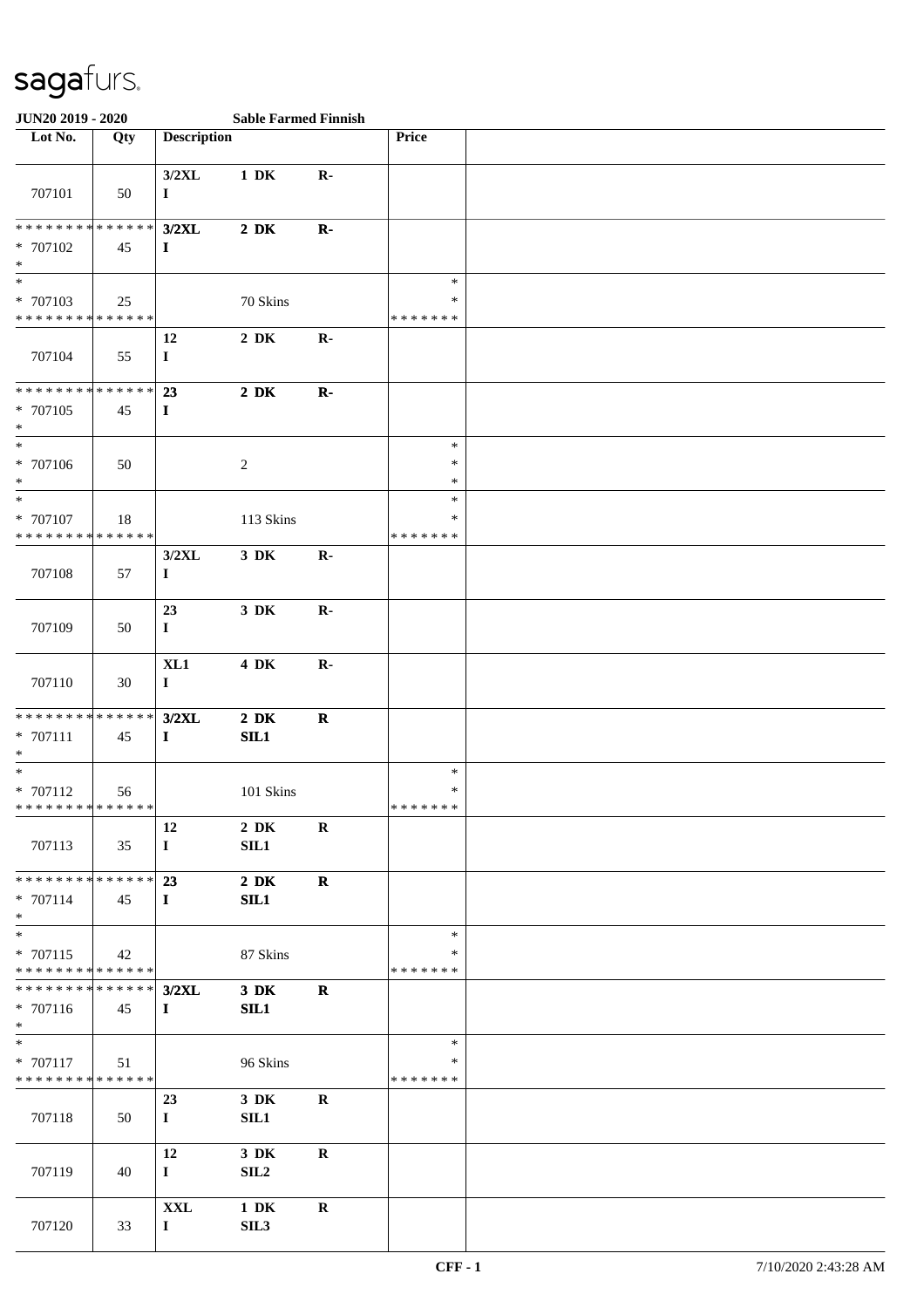| JUN20 2019 - 2020                       |     |                    | <b>Sable Farmed Finnish</b> |                |                         |  |
|-----------------------------------------|-----|--------------------|-----------------------------|----------------|-------------------------|--|
| Lot No.                                 | Qty | <b>Description</b> |                             |                | Price                   |  |
|                                         |     |                    |                             |                |                         |  |
|                                         |     | $3/2$ XL           | $1\,$ DK                    | $\mathbf{R}$ - |                         |  |
| 707101                                  | 50  | $\mathbf I$        |                             |                |                         |  |
|                                         |     |                    |                             |                |                         |  |
| **************                          |     | $3/2$ XL           | $2\,$ DK                    | $\mathbf{R}$   |                         |  |
| * 707102                                | 45  | $\bf{I}$           |                             |                |                         |  |
| $\ast$<br>$*$                           |     |                    |                             |                | $\ast$                  |  |
| * 707103                                | 25  |                    | 70 Skins                    |                | $\ast$                  |  |
| * * * * * * * * * * * * * *             |     |                    |                             |                | * * * * * * *           |  |
|                                         |     | 12                 | $2\,$ DK                    | $\mathbf{R}$   |                         |  |
| 707104                                  | 55  | $\bf{I}$           |                             |                |                         |  |
|                                         |     |                    |                             |                |                         |  |
| ******** <mark>******</mark>            |     | 23                 | $2\,$ DK                    | $\mathbf{R}$   |                         |  |
| * 707105                                | 45  | $\bf{I}$           |                             |                |                         |  |
| $\ast$                                  |     |                    |                             |                |                         |  |
| $*$                                     |     |                    |                             |                | $\ast$                  |  |
| * 707106                                | 50  |                    | $\sqrt{2}$                  |                | $\ast$                  |  |
| $\ast$                                  |     |                    |                             |                | $\ast$                  |  |
| $\ast$                                  |     |                    |                             |                | $\ast$                  |  |
| * 707107<br>* * * * * * * * * * * * * * | 18  |                    | 113 Skins                   |                | $\ast$<br>* * * * * * * |  |
|                                         |     |                    |                             |                |                         |  |
| 707108                                  |     | $3/2$ XL           | $3\,$ DK                    | $\mathbf{R}$ - |                         |  |
|                                         | 57  | $\bf{I}$           |                             |                |                         |  |
|                                         |     | 23                 | $3\,$ DK                    | $\mathbf{R}$ - |                         |  |
| 707109                                  | 50  | $\mathbf I$        |                             |                |                         |  |
|                                         |     |                    |                             |                |                         |  |
|                                         |     | XL1                | 4 DK                        | $\mathbf{R}$   |                         |  |
| 707110                                  | 30  | $\bf{I}$           |                             |                |                         |  |
|                                         |     |                    |                             |                |                         |  |
| * * * * * * * * * * * * * *             |     | $3/2$ XL           | $2\,$ DK                    | $\mathbf R$    |                         |  |
| $* 707111$                              | 45  | $\mathbf I$        | SL1                         |                |                         |  |
| $\ast$                                  |     |                    |                             |                |                         |  |
| $\ast$                                  |     |                    |                             |                | $\ast$                  |  |
| $* 707112$                              | 56  |                    | 101 Skins                   |                | $\ast$                  |  |
| **************                          |     |                    |                             |                | *******                 |  |
| 707113                                  | 35  | 12                 | $2\,$ DK<br>SIL1            | $\bf R$        |                         |  |
|                                         |     | $\bf{I}$           |                             |                |                         |  |
| * * * * * * * * * * * * * *             |     | 23                 | $2\ \mathrm{DK}$            | $\mathbf R$    |                         |  |
| * 707114                                | 45  | $\bf{I}$           | SL1                         |                |                         |  |
| $*$                                     |     |                    |                             |                |                         |  |
| $\ast$                                  |     |                    |                             |                | $\ast$                  |  |
| * 707115                                | 42  |                    | 87 Skins                    |                | ∗                       |  |
| * * * * * * * * * * * * * *             |     |                    |                             |                | * * * * * * *           |  |
| * * * * * * * * * * * * * * *           |     | $3/2$ XL           | $3\,$ DK                    | $\mathbf R$    |                         |  |
| * 707116                                | 45  | $\bf{I}$           | SL1                         |                |                         |  |
| $*$                                     |     |                    |                             |                |                         |  |
| $\overline{\phantom{0}}$                |     |                    |                             |                | $\ast$                  |  |
| * 707117                                | 51  |                    | 96 Skins                    |                | ∗                       |  |
| * * * * * * * * * * * * * *             |     |                    |                             |                | * * * * * * *           |  |
| 707118                                  |     | 23                 | 3 DK                        | $\mathbf R$    |                         |  |
|                                         | 50  | $\bf{I}$           | SL1                         |                |                         |  |
|                                         |     | 12                 | $3\,$ DK                    | $\bf{R}$       |                         |  |
| 707119                                  | 40  | $\bf{I}$           | SL2                         |                |                         |  |
|                                         |     |                    |                             |                |                         |  |
|                                         |     | <b>XXL</b>         | $1\ \mathrm{DK}$            | $\mathbf R$    |                         |  |
| 707120                                  | 33  | $\mathbf I$        | SIL3                        |                |                         |  |
|                                         |     |                    |                             |                |                         |  |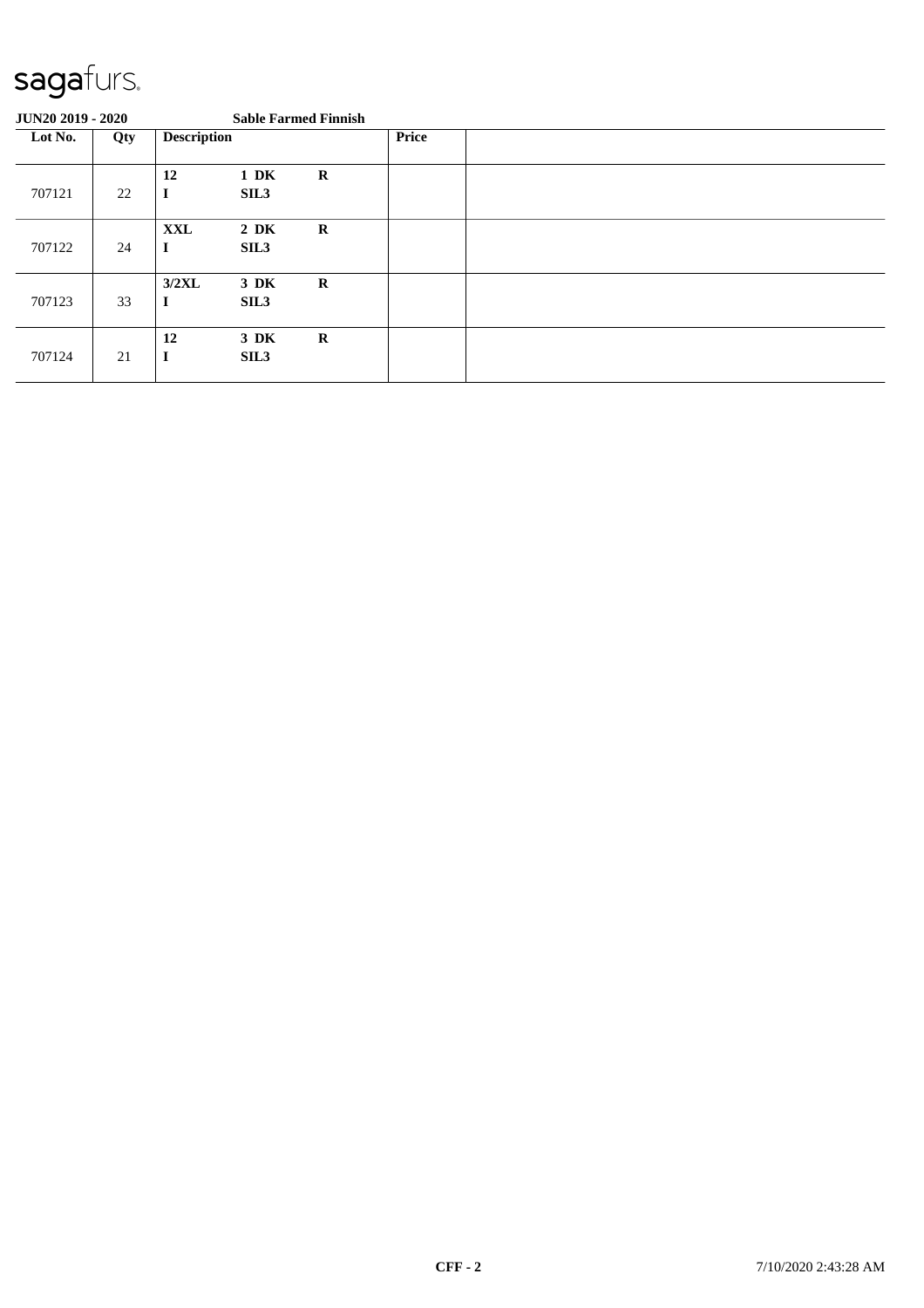| <b>JUN20 2019 - 2020</b> |     |                        |                          | <b>Sable Farmed Finnish</b> |              |  |
|--------------------------|-----|------------------------|--------------------------|-----------------------------|--------------|--|
| Lot No.                  | Qty | <b>Description</b>     |                          |                             | <b>Price</b> |  |
| 707121                   | 22  | 12<br>$\mathbf I$      | $1\ \mathrm{DK}$<br>SIL3 | $\bf R$                     |              |  |
| 707122                   | 24  | <b>XXL</b><br>$\bf{I}$ | $2\,$ DK<br>SIL3         | $\mathbf R$                 |              |  |
| 707123                   | 33  | 3/2XL<br>$\bf{I}$      | 3 DK<br>SIL <sub>3</sub> | $\mathbf R$                 |              |  |
| 707124                   | 21  | 12<br>$\mathbf I$      | 3 DK<br>SIL <sub>3</sub> | $\mathbf R$                 |              |  |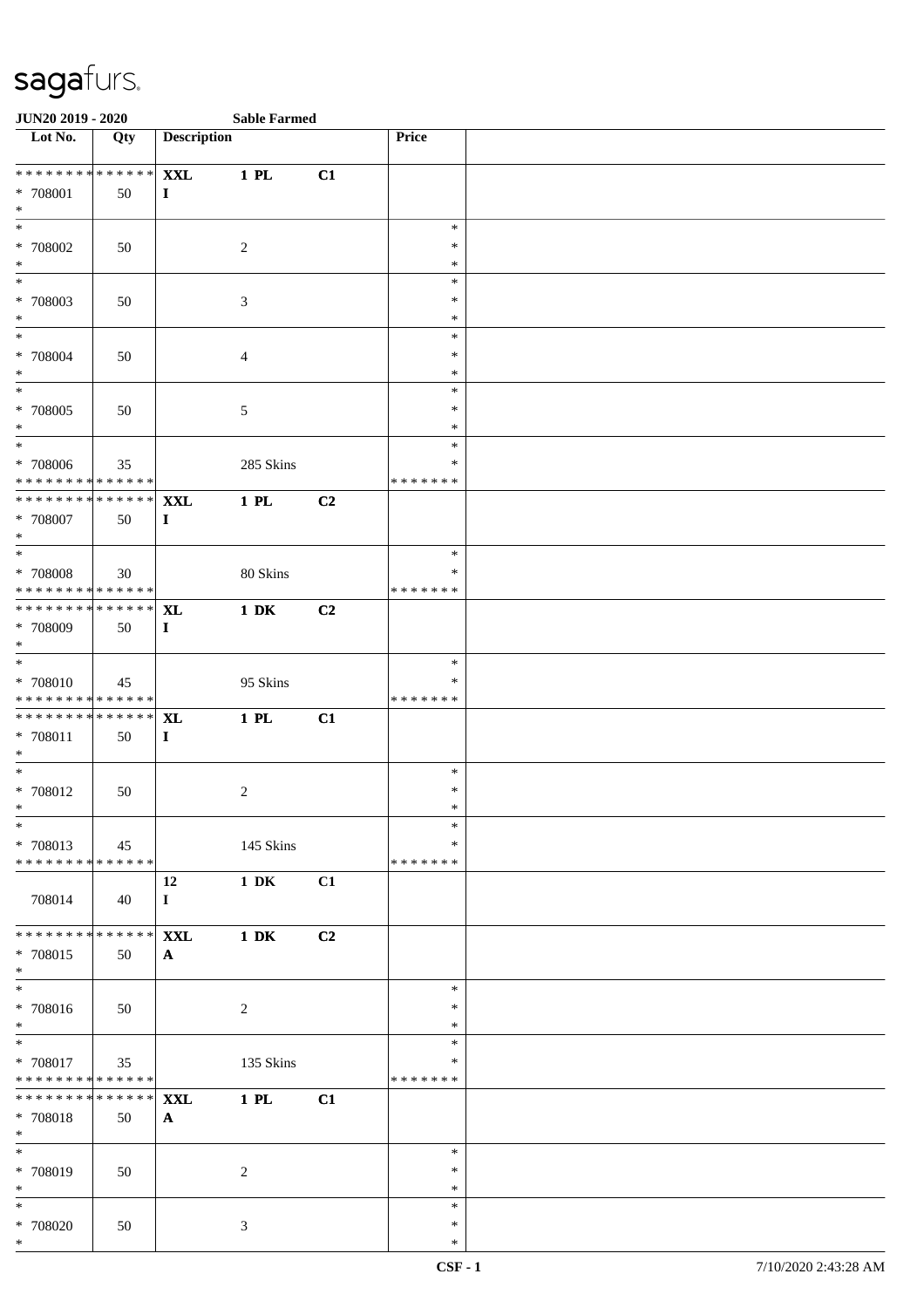| <b>JUN20 2019 - 2020</b>                                                   |                 |                        | <b>Sable Farmed</b> |                |                  |  |
|----------------------------------------------------------------------------|-----------------|------------------------|---------------------|----------------|------------------|--|
| Lot No.                                                                    | Qty             | <b>Description</b>     |                     |                | Price            |  |
| **************                                                             |                 |                        |                     |                |                  |  |
| * 708001                                                                   | 50              | <b>XXL</b><br>$\bf{I}$ | 1 PL                | C1             |                  |  |
| $\ast$                                                                     |                 |                        |                     |                |                  |  |
| $\overline{\ast}$                                                          |                 |                        |                     |                | $\ast$           |  |
| * 708002                                                                   | 50              |                        | 2                   |                | $\ast$           |  |
| $\ast$                                                                     |                 |                        |                     |                | $\ast$           |  |
|                                                                            |                 |                        |                     |                | $\ast$           |  |
| * 708003                                                                   | 50              |                        | 3                   |                | $\ast$           |  |
| $\ast$<br>$*$                                                              |                 |                        |                     |                | $\ast$<br>$\ast$ |  |
| * 708004                                                                   | 50              |                        | $\overline{4}$      |                | $\ast$           |  |
| $*$                                                                        |                 |                        |                     |                | $\ast$           |  |
| $*$                                                                        |                 |                        |                     |                | $\ast$           |  |
| * 708005                                                                   | 50              |                        | $\sqrt{5}$          |                | $\ast$           |  |
| $*$                                                                        |                 |                        |                     |                | $\ast$           |  |
| $\overline{\phantom{0}}$                                                   |                 |                        |                     |                | $\ast$           |  |
| * 708006                                                                   | 35              |                        | 285 Skins           |                | $\ast$           |  |
| * * * * * * * * <mark>* * * * * * *</mark><br>******** <mark>******</mark> |                 |                        |                     |                | *******          |  |
| * 708007                                                                   | 50              | <b>XXL</b><br>$\bf{I}$ | $1$ PL              | C <sub>2</sub> |                  |  |
| $\ast$                                                                     |                 |                        |                     |                |                  |  |
|                                                                            |                 |                        |                     |                | $\ast$           |  |
| * 708008                                                                   | 30              |                        | 80 Skins            |                | ∗                |  |
| * * * * * * * * <mark>* * * * * *</mark> *                                 |                 |                        |                     |                | * * * * * * *    |  |
| * * * * * * * * <mark>* * * * * * *</mark>                                 |                 | <b>XL</b>              | $1\ \mathrm{DK}$    | C2             |                  |  |
| * 708009                                                                   | 50              | $\bf{I}$               |                     |                |                  |  |
| $\ast$<br>$\ddot{x}$                                                       |                 |                        |                     |                |                  |  |
| * 708010                                                                   |                 |                        | 95 Skins            |                | $\ast$<br>∗      |  |
| * * * * * * * * <mark>* * * * * *</mark>                                   | 45              |                        |                     |                | *******          |  |
| * * * * * * * * * * * * * * <mark>*</mark>                                 |                 | <b>XL</b>              | 1 PL                | C1             |                  |  |
| * 708011                                                                   | 50              | $\bf{I}$               |                     |                |                  |  |
| $*$                                                                        |                 |                        |                     |                |                  |  |
| $*$                                                                        |                 |                        |                     |                | $\ast$           |  |
| * 708012                                                                   | 50              |                        | $\overline{c}$      |                | $\ast$           |  |
| $\ast$<br>$\ast$                                                           |                 |                        |                     |                | $\ast$<br>$\ast$ |  |
| * 708013                                                                   | 45              |                        | 145 Skins           |                | $\ast$           |  |
| * * * * * * * * <mark>* * * * * * *</mark>                                 |                 |                        |                     |                | * * * * * * *    |  |
|                                                                            |                 | 12                     | $1\,$ DK            | C1             |                  |  |
| 708014                                                                     | 40              | $\mathbf{I}$           |                     |                |                  |  |
|                                                                            |                 |                        |                     |                |                  |  |
| * * * * * * * * <mark>* * * * * * *</mark>                                 |                 | <b>XXL</b>             | $1\,$ DK            | C <sub>2</sub> |                  |  |
| * 708015                                                                   | 50              | $\mathbf{A}$           |                     |                |                  |  |
| $\ast$<br>$\overline{\mathbf{r}}$                                          |                 |                        |                     |                | $\ast$           |  |
| * 708016                                                                   | 50              |                        | 2                   |                | $\ast$           |  |
| $*$                                                                        |                 |                        |                     |                | $\ast$           |  |
| $\overline{\mathbf{r}$                                                     |                 |                        |                     |                | $\ast$           |  |
| * 708017                                                                   | 35              |                        | 135 Skins           |                | $\ast$           |  |
| * * * * * * * * <mark>* * * * * * *</mark>                                 |                 |                        |                     |                | * * * * * * *    |  |
| * * * * * * * * <mark>*</mark>                                             | $* * * * * * *$ | <b>XXL</b>             | 1 PL                | C1             |                  |  |
| * 708018                                                                   | 50              | $\mathbf{A}$           |                     |                |                  |  |
| $*$<br>$\overline{\ast}$                                                   |                 |                        |                     |                | $\ast$           |  |
| * 708019                                                                   | 50              |                        | 2                   |                | $\ast$           |  |
| $*$                                                                        |                 |                        |                     |                | $\ast$           |  |
| $\overline{\mathbf{r}}$                                                    |                 |                        |                     |                | $\ast$           |  |
| * 708020                                                                   | 50              |                        | 3                   |                | $\ast$           |  |
| $*$                                                                        |                 |                        |                     |                | $\ast$           |  |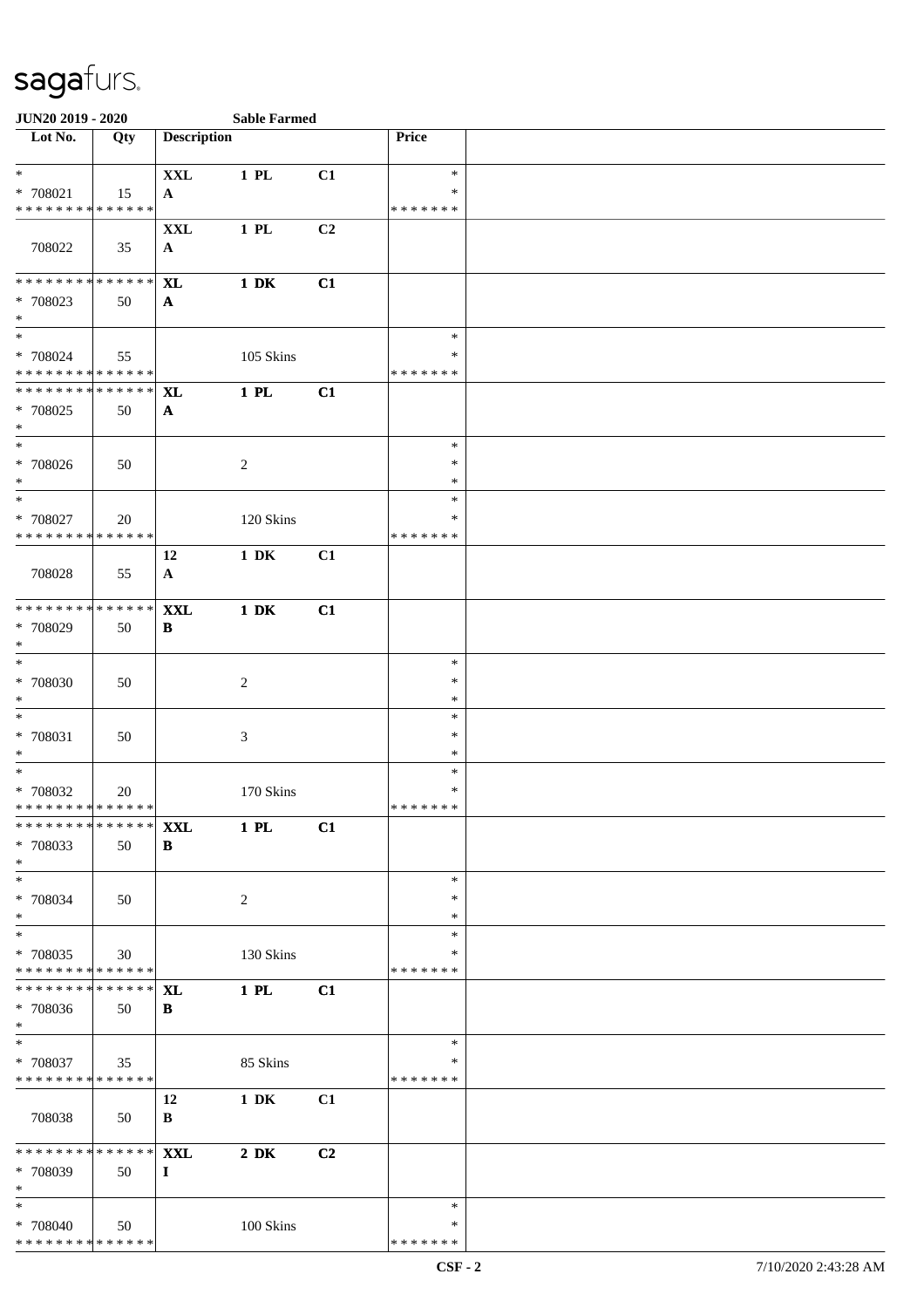| <b>JUN20 2019 - 2020</b>                                     |     |                                | <b>Sable Farmed</b> |    |                                   |  |
|--------------------------------------------------------------|-----|--------------------------------|---------------------|----|-----------------------------------|--|
| Lot No.                                                      | Qty | <b>Description</b>             |                     |    | Price                             |  |
| $\ast$<br>* 708021<br>* * * * * * * * * * * * * *            | 15  | <b>XXL</b><br>$\mathbf{A}$     | 1 PL                | C1 | $\ast$<br>*<br>* * * * * * *      |  |
| 708022                                                       | 35  | $\mathbf{XXL}$<br>$\mathbf{A}$ | 1 PL                | C2 |                                   |  |
| * * * * * * * * * * * * * *<br>* 708023<br>$\ast$            | 50  | $\mathbf{X}$ L<br>$\mathbf{A}$ | $1\,$ DK            | C1 |                                   |  |
| $\overline{\ast}$<br>* 708024<br>* * * * * * * * * * * * * * | 55  |                                | 105 Skins           |    | $\ast$<br>*<br>* * * * * * *      |  |
| * * * * * * * * * * * * * * *<br>* 708025<br>$\ast$          | 50  | <b>XL</b><br>$\mathbf{A}$      | $1$ PL              | C1 |                                   |  |
| $\overline{\phantom{a}^*}$<br>* 708026<br>$\ast$             | 50  |                                | $\overline{c}$      |    | $\ast$<br>$\ast$<br>$\ast$        |  |
| $\ast$<br>* 708027<br>* * * * * * * * * * * * * * *          | 20  |                                | 120 Skins           |    | *<br>*<br>* * * * * * *           |  |
| 708028                                                       | 55  | 12<br>$\mathbf{A}$             | $1\ \mathrm{DK}$    | C1 |                                   |  |
| * * * * * * * * * * * * * *<br>* 708029<br>$\ast$            | 50  | <b>XXL</b><br>B                | $1\,$ DK            | C1 |                                   |  |
| $\ast$<br>$* 708030$<br>$\ast$                               | 50  |                                | $\boldsymbol{2}$    |    | $\ast$<br>$\ast$<br>$\ast$        |  |
| $\ast$<br>$* 708031$<br>$\ast$                               | 50  |                                | 3                   |    | $\ast$<br>$\ast$<br>$\ast$        |  |
| $\ast$<br>* 708032<br>**************                         | 20  |                                | 170 Skins           |    | $\ast$<br>$\ast$<br>* * * * * * * |  |
| * * * * * * * * * * * * * * *<br>* 708033<br>$\ast$          | 50  | <b>XXL</b><br>B                | 1 PL                | C1 |                                   |  |
| $\ast$<br>* 708034<br>$\ast$                                 | 50  |                                | $\overline{c}$      |    | $\ast$<br>∗<br>∗                  |  |
| $\ast$<br>* 708035<br>* * * * * * * * * * * * * *            | 30  |                                | 130 Skins           |    | $\ast$<br>∗<br>* * * * * * *      |  |
| * * * * * * * * * * * * * * *<br>* 708036<br>$*$             | 50  | <b>XL</b><br>B                 | $1$ PL              | C1 |                                   |  |
| $\ast$<br>* 708037<br>* * * * * * * * * * * * * *            | 35  |                                | 85 Skins            |    | $\ast$<br>∗<br>* * * * * * *      |  |
| 708038                                                       | 50  | 12<br>B                        | $1\ \mathrm{DK}$    | C1 |                                   |  |
| * * * * * * * * * * * * * * *<br>* 708039<br>$\ast$          | 50  | <b>XXL</b><br>$\bf{I}$         | $2\,$ DK            | C2 |                                   |  |
| $\ast$<br>* 708040<br>* * * * * * * * * * * * * *            | 50  |                                | 100 Skins           |    | $\ast$<br>∗<br>* * * * * * *      |  |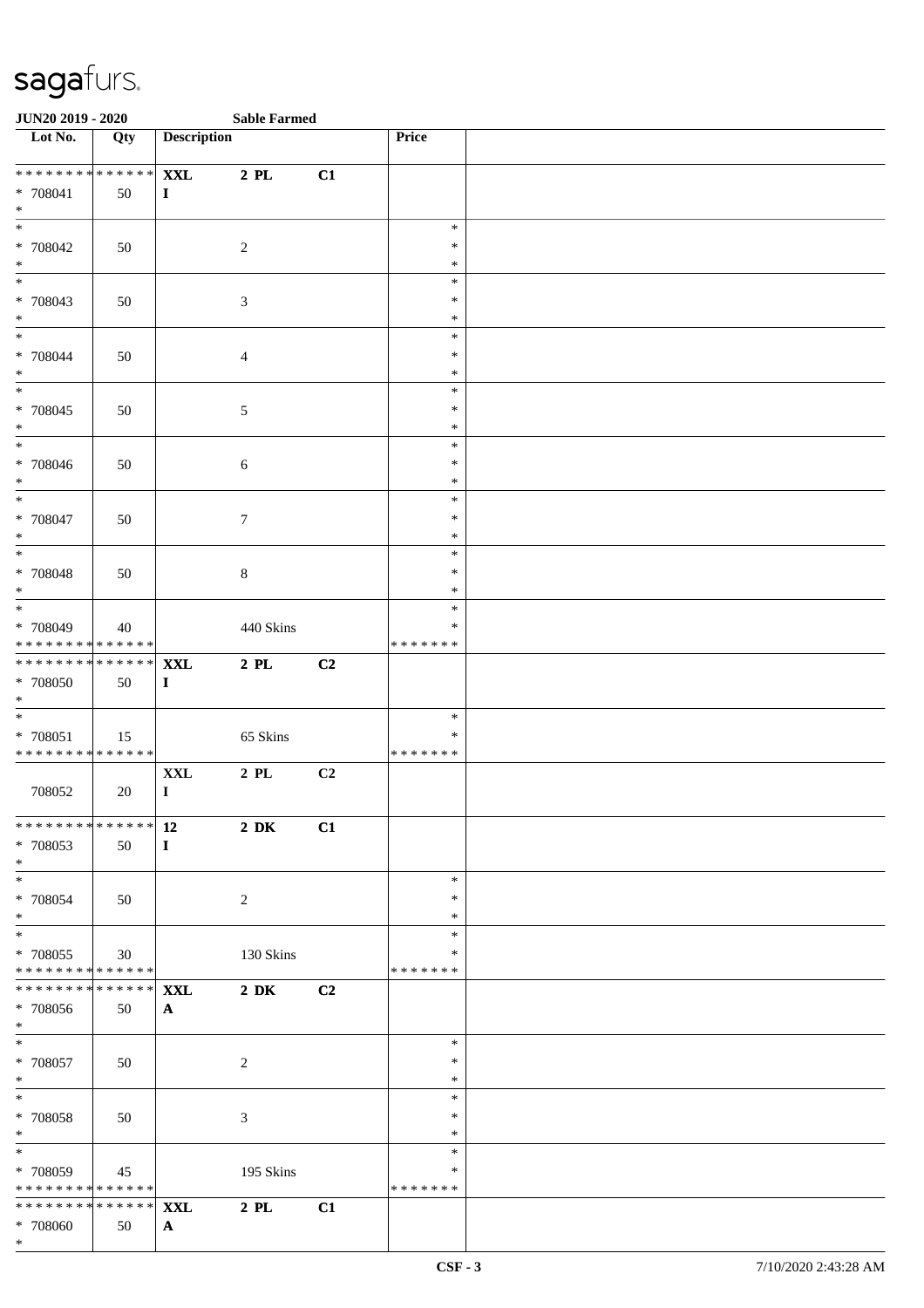| <b>JUN20 2019 - 2020</b>                               |     |                        | <b>Sable Farmed</b> |    |                  |  |
|--------------------------------------------------------|-----|------------------------|---------------------|----|------------------|--|
| Lot No.                                                | Qty | <b>Description</b>     |                     |    | Price            |  |
| * * * * * * * * * * * * * * *                          |     | <b>XXL</b>             | $2$ PL              | C1 |                  |  |
| * 708041                                               | 50  | $\mathbf{I}$           |                     |    |                  |  |
| $\ast$                                                 |     |                        |                     |    |                  |  |
| $\overline{\ast}$                                      |     |                        |                     |    | $\ast$           |  |
| * 708042                                               | 50  |                        | $\overline{c}$      |    | $\ast$           |  |
| $*$                                                    |     |                        |                     |    | $\ast$           |  |
|                                                        |     |                        |                     |    | $\ast$<br>$\ast$ |  |
| * 708043<br>$*$                                        | 50  |                        | 3                   |    | $\ast$           |  |
| $*$                                                    |     |                        |                     |    | $\ast$           |  |
| * 708044                                               | 50  |                        | $\overline{4}$      |    | $\ast$           |  |
| $*$                                                    |     |                        |                     |    | $\ast$           |  |
|                                                        |     |                        |                     |    | $\ast$           |  |
| * 708045                                               | 50  |                        | $\sqrt{5}$          |    | $\ast$           |  |
| $*$<br>$\overline{\phantom{0}}$                        |     |                        |                     |    | $\ast$<br>$\ast$ |  |
| * 708046                                               | 50  |                        | $\sqrt{6}$          |    | $\ast$           |  |
| $\ast$                                                 |     |                        |                     |    | $\ast$           |  |
| $\overline{\ast}$                                      |     |                        |                     |    | $\ast$           |  |
| * 708047                                               | 50  |                        | $\tau$              |    | $\ast$           |  |
| $\ast$                                                 |     |                        |                     |    | $\ast$           |  |
|                                                        |     |                        |                     |    | $\ast$<br>$\ast$ |  |
| * 708048<br>$\ast$                                     | 50  |                        | $\,8\,$             |    | $\ast$           |  |
|                                                        |     |                        |                     |    | $\ast$           |  |
| * 708049                                               | 40  |                        | 440 Skins           |    | $\ast$           |  |
| * * * * * * * * * * * * * *                            |     |                        |                     |    | * * * * * * *    |  |
| * * * * * * * * <mark>* * * * * * *</mark>             |     | <b>XXL</b>             | $2$ PL              | C2 |                  |  |
| * 708050<br>$*$                                        | 50  | $\bf{I}$               |                     |    |                  |  |
|                                                        |     |                        |                     |    | $\ast$           |  |
| * 708051                                               | 15  |                        | 65 Skins            |    | $\ast$           |  |
| * * * * * * * * <mark>* * * * * * *</mark>             |     |                        |                     |    | *******          |  |
|                                                        |     | $\mathbf{XXL}$         | $2$ PL $\,$         | C2 |                  |  |
| 708052                                                 | 20  | $\mathbf I$            |                     |    |                  |  |
|                                                        |     | ************** 12 2 DK |                     | C1 |                  |  |
| * 708053                                               | 50  | $\bf{I}$               |                     |    |                  |  |
| $*$                                                    |     |                        |                     |    |                  |  |
| $\overline{\mathbf{r}}$                                |     |                        |                     |    | $\ast$           |  |
| * 708054<br>$*$                                        | 50  |                        | 2                   |    | $\ast$<br>$\ast$ |  |
| $\ddot{x}$                                             |     |                        |                     |    | $\ast$           |  |
| * 708055                                               | 30  |                        | 130 Skins           |    | ∗                |  |
| * * * * * * * * * * * * * * <mark>*</mark>             |     |                        |                     |    | *******          |  |
| *************** <b>XXL</b>                             |     |                        | $2\,$ DK $\,$       | C2 |                  |  |
| * 708056                                               | 50  | $\mathbf{A}$           |                     |    |                  |  |
| $*$ and $*$<br>$\ddot{x}$                              |     |                        |                     |    | $\ast$           |  |
| * 708057                                               | 50  |                        | 2                   |    | $\ast$           |  |
| $*$                                                    |     |                        |                     |    | $\ast$           |  |
| $*$                                                    |     |                        |                     |    | $\ast$           |  |
| * 708058                                               | 50  |                        | 3                   |    | $\ast$           |  |
| $*$                                                    |     |                        |                     |    | $\ast$           |  |
|                                                        |     |                        |                     |    | $\ast$<br>$\ast$ |  |
| * 708059<br>* * * * * * * * <mark>* * * * * * *</mark> | 45  |                        | 195 Skins           |    | *******          |  |
| ******** <sup>*</sup> ****** <mark>XXL</mark>          |     |                        | $2$ PL              | C1 |                  |  |
| * 708060                                               | 50  | ${\bf A}$              |                     |    |                  |  |
| $\ast$                                                 |     |                        |                     |    |                  |  |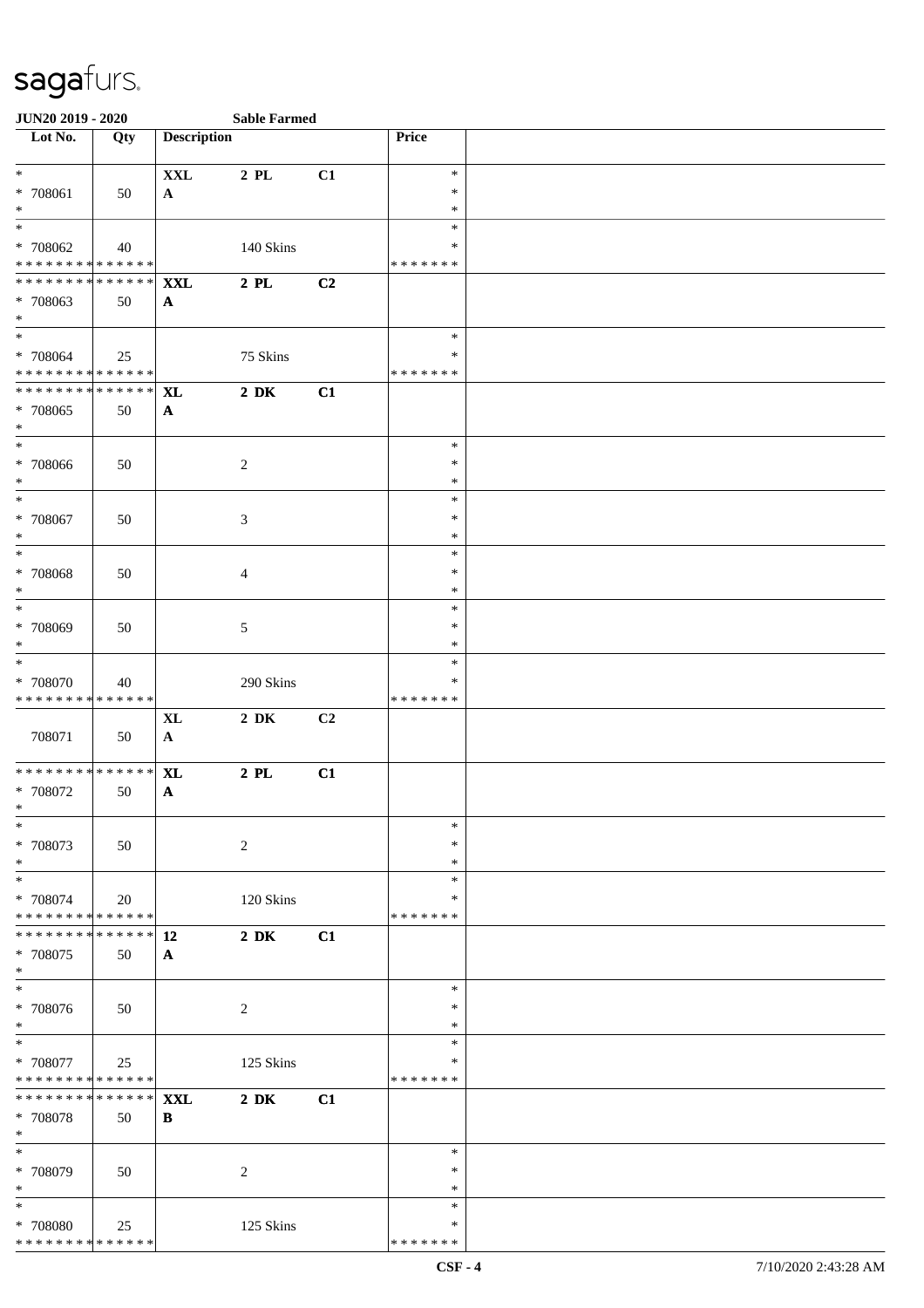| <b>JUN20 2019 - 2020</b>                                            |                     |                            | <b>Sable Farmed</b> |    |                                   |  |
|---------------------------------------------------------------------|---------------------|----------------------------|---------------------|----|-----------------------------------|--|
| Lot No.                                                             | Qty                 | <b>Description</b>         |                     |    | Price                             |  |
| $*$<br>* 708061<br>$\ast$                                           | 50                  | <b>XXL</b><br>$\mathbf{A}$ | 2 PL                | C1 | $\ast$<br>∗<br>$\ast$             |  |
| $\overline{\ast}$<br>* 708062<br>* * * * * * * * * * * * * *        | 40                  |                            | 140 Skins           |    | $\ast$<br>∗<br>* * * * * * *      |  |
| * * * * * * * * * * * * * * *<br>* 708063<br>$*$                    | 50                  | <b>XXL</b><br>$\mathbf{A}$ | $2$ PL              | C2 |                                   |  |
| $*$<br>* 708064<br>* * * * * * * * * * * * * *                      | 25                  |                            | 75 Skins            |    | $\ast$<br>$\ast$<br>* * * * * * * |  |
| * * * * * * * * * * * * * * *<br>* 708065<br>$\ast$                 | 50                  | <b>XL</b><br>$\mathbf{A}$  | $2\,$ DK            | C1 |                                   |  |
| $\ast$<br>* 708066<br>$*$                                           | 50                  |                            | 2                   |    | $\ast$<br>$\ast$<br>$\ast$        |  |
| $\ast$<br>* 708067<br>$\ast$                                        | 50                  |                            | 3                   |    | $\ast$<br>$\ast$<br>$\ast$        |  |
| $\ast$<br>* 708068<br>$\ast$                                        | 50                  |                            | 4                   |    | $\ast$<br>$\ast$<br>$\ast$        |  |
| $*$<br>* 708069<br>$\ast$                                           | 50                  |                            | 5                   |    | $\ast$<br>$\ast$<br>*             |  |
| $\overline{\phantom{0}}$<br>* 708070<br>* * * * * * * * * * * * * * | 40                  |                            | 290 Skins           |    | $\ast$<br>∗<br>* * * * * * *      |  |
| 708071                                                              | 50                  | <b>XL</b><br>$\mathbf{A}$  | $2\,$ DK            | C2 |                                   |  |
| * * * * * * * * * * * * * * *<br>* 708072<br>$*$                    | 50                  | <b>XL</b><br>$\mathbf{A}$  | $2$ PL              | C1 |                                   |  |
| $\ast$<br>* 708073<br>$*$                                           | 50                  |                            | $\overline{c}$      |    | $\ast$<br>∗<br>$\ast$             |  |
| $*$<br>* 708074<br>* * * * * * * * * * * * * * *                    | 20                  |                            | 120 Skins           |    | $\ast$<br>*<br>* * * * * * *      |  |
| * * * * * * * *<br>* 708075<br>$*$                                  | $ ***** $ 12<br>50  | $\mathbf{A}$               | $2\ \mathrm{DK}$    | C1 |                                   |  |
| $*$<br>$* 708076$<br>$*$                                            | 50                  |                            | 2                   |    | $\ast$<br>∗<br>$\ast$             |  |
| $*$<br>$* 708077$<br>* * * * * * * * * * * * * * *                  | 25                  |                            | 125 Skins           |    | $\ast$<br>$\ast$<br>* * * * * * * |  |
| * * * * * * * *<br>* 708078<br>$*$                                  | * * * * * * *<br>50 | <b>XXL</b><br>$\, {\bf B}$ | $2\,$ DK            | C1 |                                   |  |
| $\ast$<br>* 708079<br>$*$                                           | 50                  |                            | 2                   |    | $\ast$<br>∗<br>∗                  |  |
| $\ast$<br>* 708080<br>* * * * * * * * * * * * * *                   | 25                  |                            | 125 Skins           |    | $\ast$<br>∗<br>* * * * * * *      |  |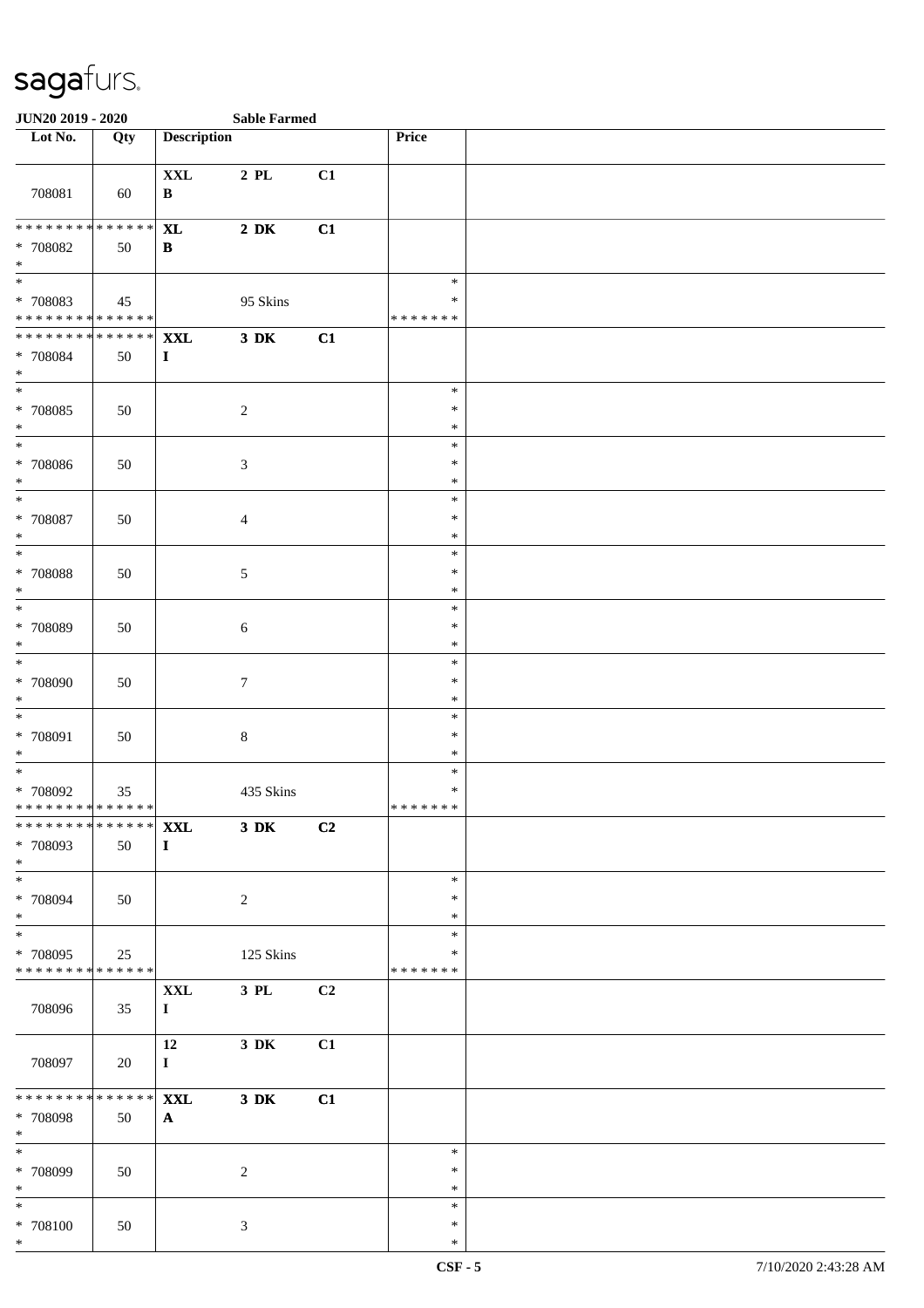| <b>JUN20 2019 - 2020</b>                                              |                       |                                | <b>Sable Farmed</b> |    |                                   |  |
|-----------------------------------------------------------------------|-----------------------|--------------------------------|---------------------|----|-----------------------------------|--|
| Lot No.                                                               | Qty                   | <b>Description</b>             |                     |    | Price                             |  |
| 708081                                                                | 60                    | $\mathbf{XXL}$<br>$\, {\bf B}$ | $2$ PL $\,$         | C1 |                                   |  |
| * * * * * * * * * * * * * *<br>* 708082<br>$\ast$                     | 50                    | <b>XL</b><br>B                 | $2\,$ DK            | C1 |                                   |  |
| $\overline{\phantom{a}^*}$<br>* 708083<br>* * * * * * * * * * * * * * | 45                    |                                | 95 Skins            |    | $\ast$<br>$\ast$<br>* * * * * * * |  |
| **************<br>* 708084<br>$\ast$                                  | 50                    | <b>XXL</b><br>$\mathbf I$      | $3\,$ DK            | C1 |                                   |  |
| $\overline{\phantom{a}^*}$<br>* 708085<br>$\ast$                      | 50                    |                                | $\sqrt{2}$          |    | $\ast$<br>$\ast$<br>$\ast$        |  |
| $\overline{\phantom{1}}$<br>$* 708086$<br>$\ast$                      | 50                    |                                | $\sqrt{3}$          |    | $\ast$<br>$\ast$<br>$\ast$        |  |
| $\ast$<br>$* 708087$<br>$\ast$                                        | 50                    |                                | $\overline{4}$      |    | $\ast$<br>$\ast$<br>$\ast$        |  |
| $\ast$<br>* 708088<br>$\ast$                                          | 50                    |                                | $\sqrt{5}$          |    | $\ast$<br>$\ast$<br>$\ast$        |  |
| $\ast$<br>* 708089<br>$\ast$                                          | 50                    |                                | $\sqrt{6}$          |    | $\ast$<br>$\ast$<br>$\ast$        |  |
| $\ast$<br>$*708090$<br>$\ast$                                         | 50                    |                                | $\tau$              |    | $\ast$<br>$\ast$<br>$\ast$        |  |
| $\ast$<br>* 708091<br>$\ast$                                          | 50                    |                                | $\,8\,$             |    | $\ast$<br>$\ast$<br>$\ast$        |  |
| $\ast$<br>* 708092<br>* * * * * * * * * * * * * *                     | 35                    |                                | 435 Skins           |    | $\ast$<br>$\ast$<br>* * * * * * * |  |
| *************** XXL<br>* 708093<br>$*$                                | 50                    | $\mathbf{I}$                   | $3\,$ DK            | C2 |                                   |  |
| $\ast$<br>* 708094<br>$\ast$                                          | 50                    |                                | $\overline{c}$      |    | $\ast$<br>∗<br>∗                  |  |
| $\ast$<br>* 708095<br>* * * * * * * * * * * * * *                     | 25                    |                                | 125 Skins           |    | $\ast$<br>∗<br>* * * * * * *      |  |
| 708096                                                                | 35                    | <b>XXL</b><br>$\mathbf{I}$     | $3$ PL $\,$         | C2 |                                   |  |
| 708097                                                                | 20                    | 12<br>$\bf{I}$                 | $3\,$ DK            | C1 |                                   |  |
| ********<br>* 708098<br>$\ast$                                        | $* * * * * * *$<br>50 | <b>XXL</b><br>$\mathbf{A}$     | $3\,$ DK            | C1 |                                   |  |
| $\overline{\ast}$<br>* 708099<br>$\ast$                               | 50                    |                                | $\overline{c}$      |    | $\ast$<br>∗<br>$\ast$             |  |
| $\ast$<br>$* 708100$<br>$\ast$                                        | 50                    |                                | $\mathfrak{Z}$      |    | $\ast$<br>$\ast$<br>$\ast$        |  |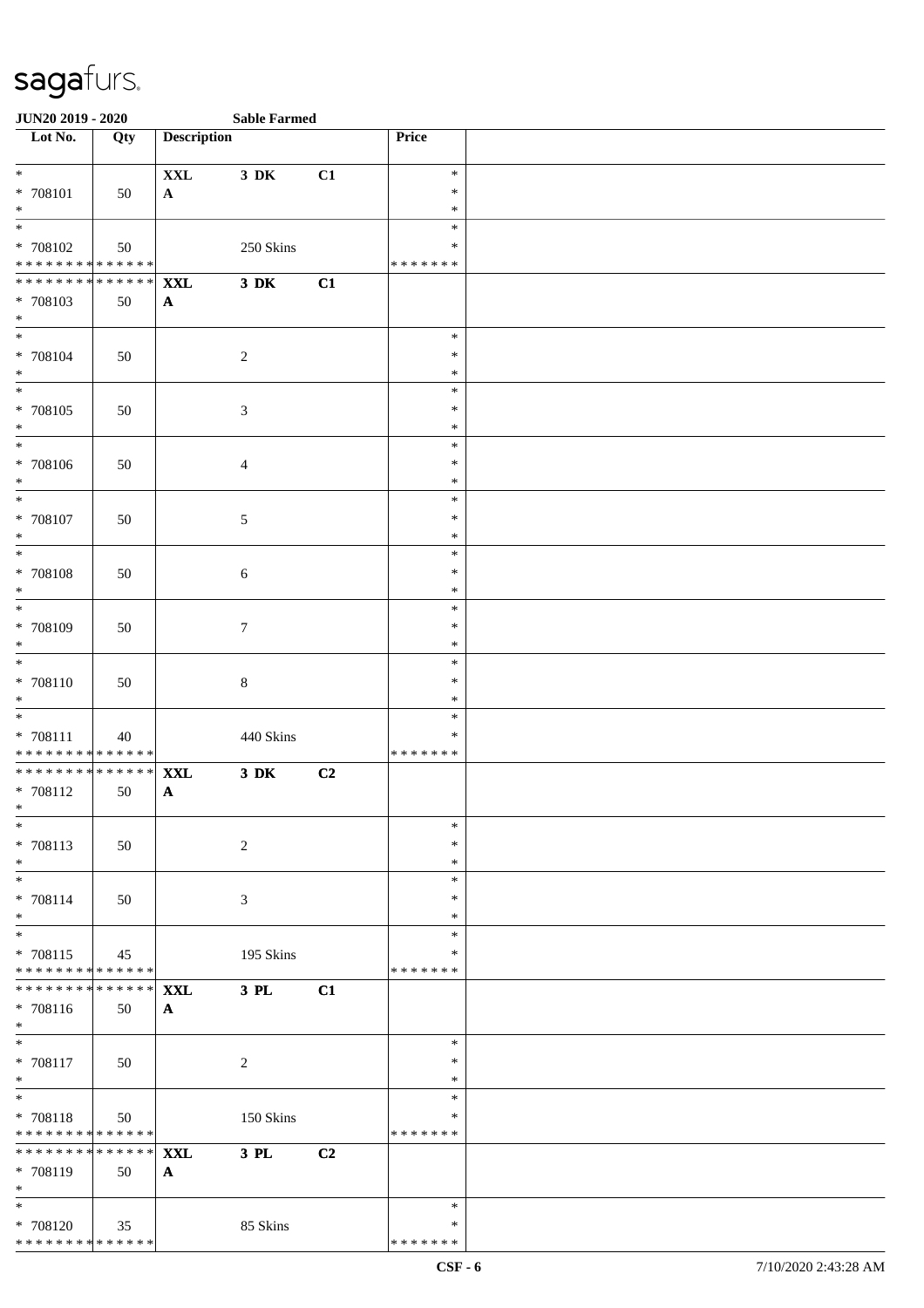| <b>JUN20 2019 - 2020</b>                                                   |     |                    | <b>Sable Farmed</b> |    |                  |  |
|----------------------------------------------------------------------------|-----|--------------------|---------------------|----|------------------|--|
| $\overline{\phantom{1}}$ Lot No.                                           | Qty | <b>Description</b> |                     |    | Price            |  |
| $*$                                                                        |     | $\mathbf{XXL}$     | 3 DK                | C1 | $\ast$           |  |
| * 708101                                                                   | 50  | $\mathbf{A}$       |                     |    | $\ast$           |  |
| $*$                                                                        |     |                    |                     |    | $\ast$<br>$\ast$ |  |
| * 708102                                                                   | 50  |                    | 250 Skins           |    | $\ast$           |  |
| * * * * * * * * * * * * * *                                                |     |                    |                     |    | * * * * * * *    |  |
| ******** <mark>******</mark>                                               |     | <b>XXL</b>         | $3\,$ DK            | C1 |                  |  |
| * 708103<br>$*$                                                            | 50  | $\mathbf{A}$       |                     |    |                  |  |
| $*$                                                                        |     |                    |                     |    | $\ast$           |  |
| * 708104                                                                   | 50  |                    | $\overline{2}$      |    | $\ast$           |  |
| $\ast$                                                                     |     |                    |                     |    | $\ast$           |  |
| $*$<br>* 708105                                                            |     |                    |                     |    | $\ast$<br>$\ast$ |  |
| $*$                                                                        | 50  |                    | $\mathfrak{Z}$      |    | $\ast$           |  |
|                                                                            |     |                    |                     |    | $\ast$           |  |
| * 708106                                                                   | 50  |                    | $\overline{4}$      |    | $\ast$           |  |
| $*$<br>$*$                                                                 |     |                    |                     |    | $\ast$<br>$\ast$ |  |
| * 708107                                                                   | 50  |                    | 5                   |    | $\ast$           |  |
| $*$                                                                        |     |                    |                     |    | $\ast$           |  |
| $\overline{\phantom{0}}$                                                   |     |                    |                     |    | $\ast$           |  |
| * 708108<br>$\ast$                                                         | 50  |                    | $\sqrt{6}$          |    | $\ast$<br>$\ast$ |  |
|                                                                            |     |                    |                     |    | $\ast$           |  |
| * 708109                                                                   | 50  |                    | $\tau$              |    | $\ast$           |  |
| $*$                                                                        |     |                    |                     |    | $\ast$           |  |
| $\overline{\ast}$<br>* 708110                                              | 50  |                    | $\,8\,$             |    | $\ast$<br>$\ast$ |  |
| $*$                                                                        |     |                    |                     |    | $\ast$           |  |
| $*$                                                                        |     |                    |                     |    | $\ast$           |  |
| * 708111                                                                   | 40  |                    | 440 Skins           |    | $\ast$           |  |
| * * * * * * * * <mark>* * * * * * *</mark><br>******** <mark>******</mark> |     | <b>XXL</b>         | $3\,$ DK            | C2 | * * * * * * *    |  |
| $* 708112$                                                                 | 50  | $\mathbf{A}$       |                     |    |                  |  |
| $\ast$                                                                     |     |                    |                     |    |                  |  |
| $\ast$                                                                     |     |                    |                     |    | $\ast$<br>$\ast$ |  |
| * 708113<br>$*$                                                            | 50  |                    | 2                   |    | $\ast$           |  |
| $*$                                                                        |     |                    |                     |    | $\ast$           |  |
| * 708114                                                                   | 50  |                    | 3                   |    | $\ast$           |  |
| $\ast$                                                                     |     |                    |                     |    | $\ast$<br>$\ast$ |  |
| * 708115                                                                   | 45  |                    | 195 Skins           |    | ∗                |  |
| * * * * * * * * * * * * * *                                                |     |                    |                     |    | * * * * * * *    |  |
| ******** <mark>******</mark>                                               |     | <b>XXL</b>         | 3 PL                | C1 |                  |  |
| * 708116<br>$*$                                                            | 50  | $\mathbf{A}$       |                     |    |                  |  |
| $*$                                                                        |     |                    |                     |    | $\ast$           |  |
| * 708117                                                                   | 50  |                    | 2                   |    | $\ast$           |  |
| $\ast$<br>$\overline{\phantom{0}}$                                         |     |                    |                     |    | $\ast$           |  |
| * 708118                                                                   |     |                    | 150 Skins           |    | $\ast$<br>∗      |  |
| * * * * * * * * * * * * * * *                                              | 50  |                    |                     |    | * * * * * * *    |  |
| ******** <mark>******</mark>                                               |     | <b>XXL</b>         | 3 PL                | C2 |                  |  |
| * 708119                                                                   | 50  | $\mathbf{A}$       |                     |    |                  |  |
| $*$<br>$*$                                                                 |     |                    |                     |    | $\ast$           |  |
| * 708120                                                                   | 35  |                    | 85 Skins            |    | ∗                |  |
| * * * * * * * * * * * * * * *                                              |     |                    |                     |    | * * * * * * *    |  |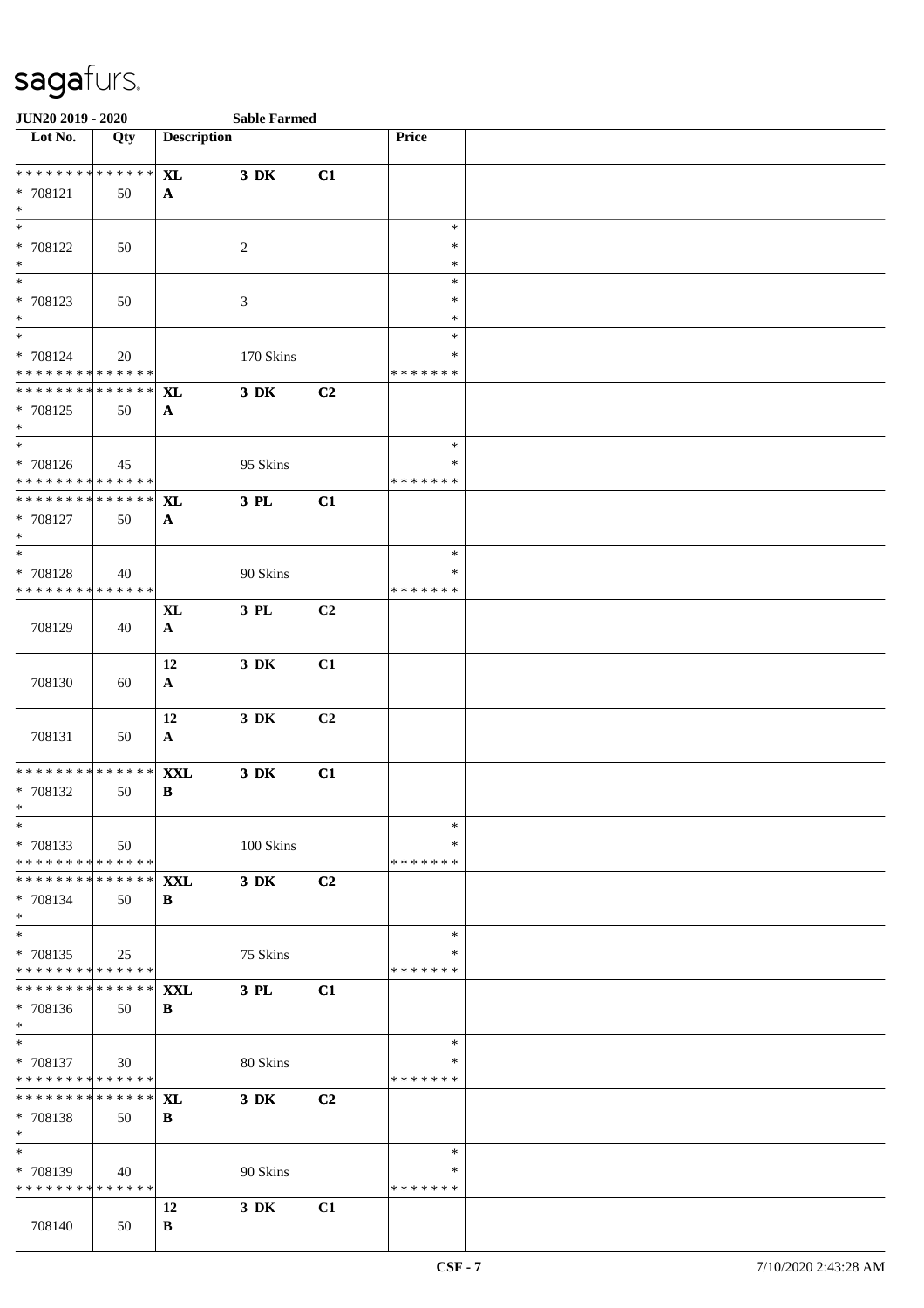| JUN20 2019 - 2020                        |     |                    | <b>Sable Farmed</b> |    |                  |  |
|------------------------------------------|-----|--------------------|---------------------|----|------------------|--|
| Lot No.                                  | Qty | <b>Description</b> |                     |    | Price            |  |
| ******** <mark>******</mark>             |     |                    |                     |    |                  |  |
| $* 708121$                               |     | <b>XL</b>          | $3\,$ DK            | C1 |                  |  |
| $\ast$                                   | 50  | $\mathbf{A}$       |                     |    |                  |  |
| $\overline{\phantom{0}}$                 |     |                    |                     |    | $\ast$           |  |
| * 708122                                 | 50  |                    | $\overline{c}$      |    | ∗                |  |
| $\ast$                                   |     |                    |                     |    | $\ast$           |  |
| $\overline{\phantom{0}}$                 |     |                    |                     |    | $\ast$           |  |
| * 708123                                 | 50  |                    | 3                   |    | $\ast$           |  |
| $*$                                      |     |                    |                     |    | $\ast$           |  |
| $\overline{\phantom{0}}$                 |     |                    |                     |    | $\ast$           |  |
| * 708124                                 | 20  |                    | 170 Skins           |    | ∗                |  |
| * * * * * * * * * * * * * *              |     |                    |                     |    | * * * * * * *    |  |
| * * * * * * * * * * * * * *              |     | <b>XL</b>          | $3$ DK              | C2 |                  |  |
| * 708125                                 | 50  | $\mathbf{A}$       |                     |    |                  |  |
| $*$<br>$\ast$                            |     |                    |                     |    |                  |  |
|                                          |     |                    |                     |    | $\ast$<br>$\ast$ |  |
| * 708126<br>******** <mark>******</mark> | 45  |                    | 95 Skins            |    | * * * * * * *    |  |
| * * * * * * * * * * * * * *              |     | <b>XL</b>          | 3 PL                | C1 |                  |  |
| * 708127                                 | 50  | $\mathbf{A}$       |                     |    |                  |  |
| $\ast$                                   |     |                    |                     |    |                  |  |
| $*$                                      |     |                    |                     |    | $\ast$           |  |
| * 708128                                 | 40  |                    | 90 Skins            |    | ∗                |  |
| * * * * * * * * * * * * * *              |     |                    |                     |    | * * * * * * *    |  |
|                                          |     | XL                 | 3 PL                | C2 |                  |  |
| 708129                                   | 40  | $\mathbf{A}$       |                     |    |                  |  |
|                                          |     |                    |                     |    |                  |  |
|                                          |     | 12                 | $3\,$ DK            | C1 |                  |  |
| 708130                                   | 60  | $\mathbf{A}$       |                     |    |                  |  |
|                                          |     |                    |                     |    |                  |  |
|                                          |     | 12                 | $3\,$ DK            | C2 |                  |  |
| 708131                                   | 50  | $\mathbf{A}$       |                     |    |                  |  |
| * * * * * * * * * * * * * *              |     | <b>XXL</b>         | $3\,$ DK            | C1 |                  |  |
| * 708132                                 | 50  | B                  |                     |    |                  |  |
| $*$                                      |     |                    |                     |    |                  |  |
| $\ast$                                   |     |                    |                     |    | $\ast$           |  |
| * 708133                                 | 50  |                    | 100 Skins           |    | ∗                |  |
| * * * * * * * * * * * * * *              |     |                    |                     |    | * * * * * * *    |  |
| * * * * * * * * * * * * * * *            |     | <b>XXL</b>         | $3\,$ DK            | C2 |                  |  |
| * 708134                                 | 50  | B                  |                     |    |                  |  |
| $*$                                      |     |                    |                     |    |                  |  |
| $\ast$<br>* 708135                       |     |                    |                     |    | $\ast$<br>∗      |  |
| * * * * * * * * * * * * * *              | 25  |                    | 75 Skins            |    | * * * * * * *    |  |
| * * * * * * * * * * * * * * *            |     | <b>XXL</b>         | 3 PL                | C1 |                  |  |
| * 708136                                 | 50  | B                  |                     |    |                  |  |
| $*$                                      |     |                    |                     |    |                  |  |
| $*$                                      |     |                    |                     |    | $\ast$           |  |
| * 708137                                 | 30  |                    | 80 Skins            |    | ∗                |  |
| * * * * * * * * * * * * * *              |     |                    |                     |    | * * * * * * *    |  |
| * * * * * * * * * * * * * * *            |     | XL                 | 3 DK                | C2 |                  |  |
| * 708138                                 | 50  | B                  |                     |    |                  |  |
| $\ast$                                   |     |                    |                     |    |                  |  |
| $\ast$                                   |     |                    |                     |    | $\ast$           |  |
| * 708139                                 | 40  |                    | 90 Skins            |    | ∗                |  |
| * * * * * * * * * * * * * *              |     |                    |                     |    | * * * * * * *    |  |
|                                          |     | 12                 | 3 DK                | C1 |                  |  |
| 708140                                   | 50  | B                  |                     |    |                  |  |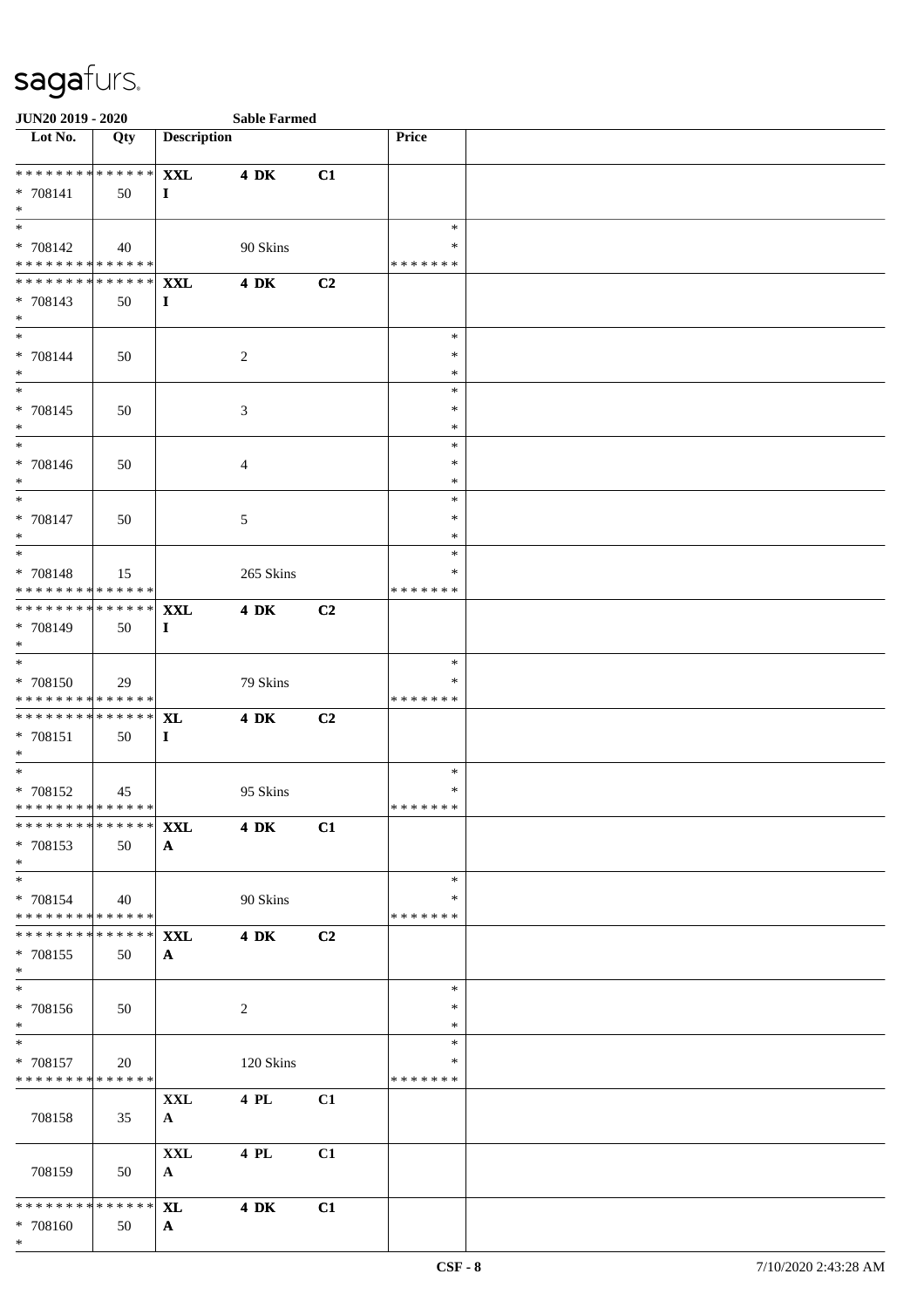| <b>JUN20 2019 - 2020</b>                  |             |                       | <b>Sable Farmed</b> |    |                    |  |
|-------------------------------------------|-------------|-----------------------|---------------------|----|--------------------|--|
| Lot No.                                   | Qty         | <b>Description</b>    |                     |    | Price              |  |
| ******** <mark>******</mark>              |             | <b>XXL</b>            | <b>4 DK</b>         | C1 |                    |  |
| * 708141                                  | 50          | $\bf{I}$              |                     |    |                    |  |
| $*$                                       |             |                       |                     |    |                    |  |
|                                           |             |                       |                     |    | $\ast$             |  |
| * 708142                                  | 40          |                       | 90 Skins            |    | ∗                  |  |
| * * * * * * * * * * * * * * *             |             |                       |                     |    | * * * * * * *      |  |
| ******** <mark>******</mark>              |             | <b>XXL</b>            | <b>4 DK</b>         | C2 |                    |  |
| * 708143<br>$*$                           | 50          | $\bf{I}$              |                     |    |                    |  |
| $*$                                       |             |                       |                     |    | $\ast$             |  |
| * 708144                                  | 50          |                       | 2                   |    | $\ast$             |  |
| $*$                                       |             |                       |                     |    | $\ast$             |  |
|                                           |             |                       |                     |    | $\ast$             |  |
| * 708145                                  | 50          |                       | $\mathfrak{Z}$      |    | $\ast$             |  |
| $*$<br>$*$                                |             |                       |                     |    | $\ast$<br>$\ast$   |  |
| * 708146                                  | 50          |                       | 4                   |    | $\ast$             |  |
| $*$                                       |             |                       |                     |    | $\ast$             |  |
| $*$                                       |             |                       |                     |    | $\ast$             |  |
| $* 708147$                                | 50          |                       | 5                   |    | $\ast$             |  |
| $\ast$                                    |             |                       |                     |    | $\ast$             |  |
|                                           |             |                       |                     |    | $\ast$             |  |
| * 708148<br>******** <mark>******</mark>  | 15          |                       | 265 Skins           |    | ∗<br>* * * * * * * |  |
| * * * * * * * * * * * * * * *             |             | <b>XXL</b>            | <b>4 DK</b>         | C2 |                    |  |
| * 708149                                  | 50          | $\mathbf I$           |                     |    |                    |  |
| $*$                                       |             |                       |                     |    |                    |  |
|                                           |             |                       |                     |    | $\ast$             |  |
| * 708150                                  | 29          |                       | 79 Skins            |    | ∗                  |  |
| * * * * * * * * * * * * * *               |             |                       |                     |    | * * * * * * *      |  |
| * * * * * * * * * * * * * * *<br>* 708151 | 50          | <b>XL</b><br>$\bf{I}$ | <b>4 DK</b>         | C2 |                    |  |
| $*$                                       |             |                       |                     |    |                    |  |
| $*$                                       |             |                       |                     |    | $\ast$             |  |
| * 708152                                  | 45          |                       | 95 Skins            |    | $\ast$             |  |
| * * * * * * * * * * * * * * *             |             |                       |                     |    | * * * * * * *      |  |
| ******** <mark>******</mark>              |             | <b>XXL</b>            | <b>4 DK</b>         | C1 |                    |  |
| * 708153                                  | 50          | $\mathbf{A}$          |                     |    |                    |  |
| $*$<br>$*$                                |             |                       |                     |    | $\ast$             |  |
| * 708154                                  | 40          |                       | 90 Skins            |    | ∗                  |  |
| * * * * * * * * * * * * * * *             |             |                       |                     |    | * * * * * * *      |  |
| * * * * * * * * * * * * * * *             |             | <b>XXL</b>            | <b>4 DK</b>         | C2 |                    |  |
| * 708155                                  | 50          | $\mathbf{A}$          |                     |    |                    |  |
| $*$<br>$\overline{\phantom{0}}$           |             |                       |                     |    | $\ast$             |  |
| * 708156                                  | 50          |                       | 2                   |    | ∗                  |  |
| $*$                                       |             |                       |                     |    | $\ast$             |  |
| $*$                                       |             |                       |                     |    | $\ast$             |  |
| * 708157                                  | 20          |                       | 120 Skins           |    | ∗                  |  |
| * * * * * * * * * * * * * * *             |             |                       |                     |    | *******            |  |
|                                           |             | <b>XXL</b>            | 4 PL                | C1 |                    |  |
| 708158                                    | 35          | $\mathbf{A}$          |                     |    |                    |  |
|                                           |             | $\mathbf{XXL}$        | 4 PL                | C1 |                    |  |
| 708159                                    | 50          | $\mathbf{A}$          |                     |    |                    |  |
|                                           |             |                       |                     |    |                    |  |
| * * * * * * * *                           | * * * * * * | <b>XL</b>             | <b>4 DK</b>         | C1 |                    |  |
| * 708160                                  | 50          | $\mathbf{A}$          |                     |    |                    |  |
| $*$                                       |             |                       |                     |    |                    |  |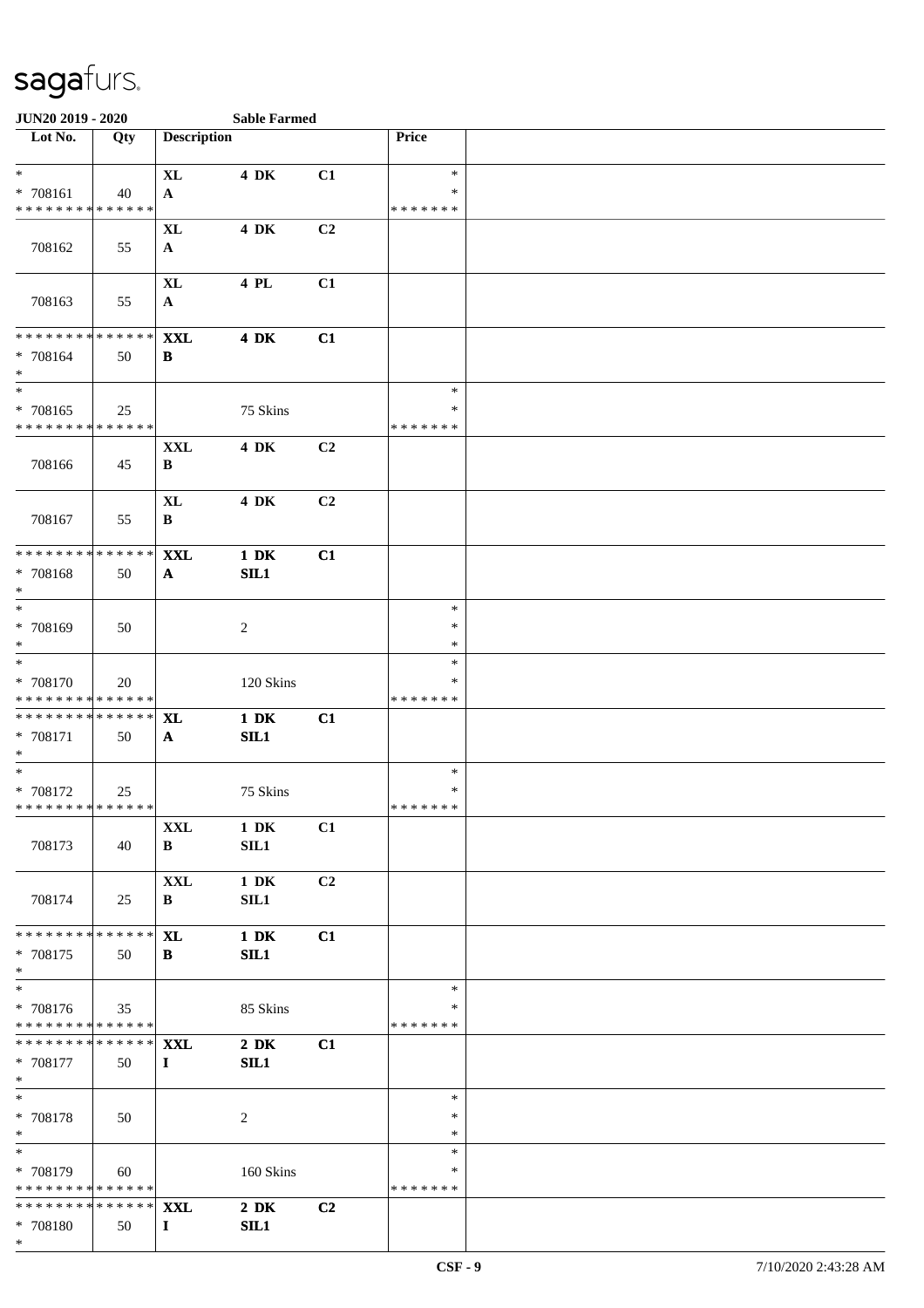| JUN20 2019 - 2020                                                             |     |                                    |                          |                |                                   |  |
|-------------------------------------------------------------------------------|-----|------------------------------------|--------------------------|----------------|-----------------------------------|--|
| $\overline{\phantom{1}}$ Lot No.                                              | Qty | <b>Description</b>                 |                          |                | Price                             |  |
| $*$                                                                           |     | <b>XL</b>                          | <b>4 DK</b>              | C1             | $\ast$                            |  |
| * 708161<br>* * * * * * * * * * * * * *                                       | 40  | $\mathbf{A}$                       |                          |                | ∗<br>* * * * * * *                |  |
|                                                                               |     | <b>XL</b>                          | <b>4 DK</b>              | C2             |                                   |  |
| 708162                                                                        | 55  | $\mathbf{A}$                       |                          |                |                                   |  |
| 708163                                                                        | 55  | $\bold{X}\bold{L}$<br>$\mathbf{A}$ | 4 PL                     | C1             |                                   |  |
| * * * * * * * * * * * * * *<br>* 708164<br>$*$                                | 50  | <b>XXL</b><br>B                    | <b>4 DK</b>              | C1             |                                   |  |
| $\ast$<br>* 708165<br>* * * * * * * * * * * * * *                             | 25  |                                    | 75 Skins                 |                | $\ast$<br>$\ast$<br>* * * * * * * |  |
| 708166                                                                        | 45  | $\mathbf{XXL}$<br>B                | 4 DK                     | C2             |                                   |  |
| 708167                                                                        | 55  | <b>XL</b><br>B                     | <b>4 DK</b>              | C <sub>2</sub> |                                   |  |
| * * * * * * * * * * * * * *<br>* 708168<br>$\ast$<br>$\overline{\phantom{0}}$ | 50  | <b>XXL</b><br>$\mathbf{A}$         | $1\ \mathrm{DK}$<br>SIL1 | C1             |                                   |  |
| * 708169<br>$\ast$<br>$\overline{\ast}$                                       | 50  |                                    | 2                        |                | $\ast$<br>∗<br>$\ast$             |  |
| * 708170<br>* * * * * * * * * * * * * *                                       | 20  |                                    | 120 Skins                |                | $\ast$<br>$\ast$<br>* * * * * * * |  |
| * * * * * * * * * * * * * *<br>* 708171<br>$*$<br>$\overline{\phantom{0}}$    | 50  | <b>XL</b><br>$\mathbf{A}$          | $1\ \mathrm{DK}$<br>SL1  | C1             |                                   |  |
| $* 708172$<br>* * * * * * * * * * * * * *                                     | 25  |                                    | 75 Skins                 |                | $\ast$<br>$\ast$<br>* * * * * * * |  |
| 708173                                                                        | 40  | <b>XXL</b><br>B                    | $1\ \mathrm{DK}$<br>SL1  | C1             |                                   |  |
| 708174                                                                        | 25  | <b>XXL</b><br>B                    | $1\ \mathrm{DK}$<br>SIL1 | C <sub>2</sub> |                                   |  |
| * * * * * * * * * * * * * *<br>* 708175<br>$*$                                | 50  | <b>XL</b><br>B                     | $1\ \mathrm{DK}$<br>SL1  | C1             |                                   |  |
| $\overline{\ast}$<br>* 708176<br>* * * * * * * * * * * * * *                  | 35  |                                    | 85 Skins                 |                | $\ast$<br>∗<br>* * * * * * *      |  |
| * * * * * * * * * * * * * * *<br>* 708177<br>$*$                              | 50  | <b>XXL</b><br>$\bf{I}$             | $2\,$ DK<br>SL1          | C1             |                                   |  |
| $\ast$<br>* 708178<br>$\ast$                                                  | 50  |                                    | 2                        |                | $\ast$<br>∗<br>∗                  |  |
| $\ast$<br>* 708179<br>* * * * * * * * * * * * * *                             | 60  |                                    | 160 Skins                |                | $\ast$<br>∗<br>* * * * * * *      |  |
| * * * * * * * * * * * * * *<br>* 708180<br>$*$                                | 50  | <b>XXL</b><br>$\bf{I}$             | $2\,$ DK<br>SIL1         | C2             |                                   |  |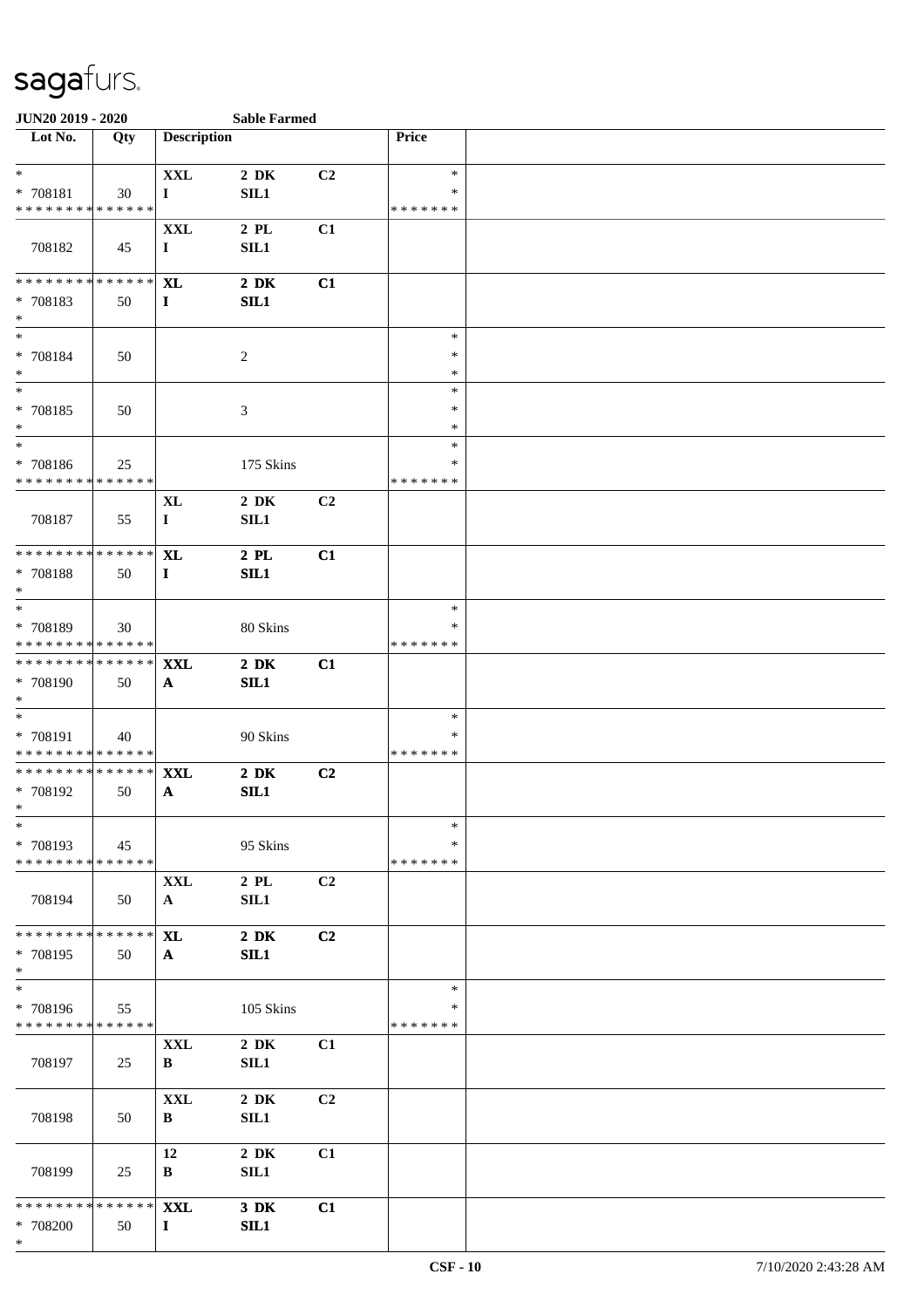| JUN20 2019 - 2020                                                            |     |                            | <b>Sable Farmed</b> |    |                              |  |
|------------------------------------------------------------------------------|-----|----------------------------|---------------------|----|------------------------------|--|
| Lot No.                                                                      | Qty | <b>Description</b>         |                     |    | Price                        |  |
| $*$<br>* 708181<br>* * * * * * * * * * * * * *                               | 30  | <b>XXL</b><br>$\bf{I}$     | $2\,$ DK<br>SL1     | C2 | $\ast$<br>*<br>* * * * * * * |  |
| 708182                                                                       | 45  | <b>XXL</b><br>$\mathbf I$  | $2$ PL<br>SL1       | C1 |                              |  |
| * * * * * * * * * * * * * *<br>* 708183<br>$*$                               | 50  | <b>XL</b><br>$\mathbf{I}$  | $2\,$ DK<br>SL1     | C1 |                              |  |
| $*$<br>$* 708184$<br>$\ast$                                                  | 50  |                            | $\overline{c}$      |    | $\ast$<br>$\ast$<br>$\ast$   |  |
| $\ast$<br>$* 708185$<br>$\ast$                                               | 50  |                            | $\mathfrak{Z}$      |    | $\ast$<br>$\ast$<br>∗        |  |
| $\ast$<br>* 708186<br>* * * * * * * * * * * * * *                            | 25  |                            | 175 Skins           |    | $\ast$<br>∗<br>* * * * * * * |  |
| 708187                                                                       | 55  | XL<br>$\mathbf I$          | $2\,$ DK<br>SL1     | C2 |                              |  |
| * * * * * * * * * * * * * *<br>* 708188<br>$\ast$                            | 50  | <b>XL</b><br>$\mathbf{I}$  | $2$ PL<br>SL1       | C1 |                              |  |
| $\ast$<br>* 708189<br>* * * * * * * * * * * * * *                            | 30  |                            | 80 Skins            |    | $\ast$<br>∗<br>* * * * * * * |  |
| * * * * * * * * * * * * * *<br>* 708190<br>$*$                               | 50  | XXL<br>$\mathbf{A}$        | $2\,$ DK<br>SL1     | C1 |                              |  |
| $*$<br>* 708191<br>* * * * * * * * * * * * * *                               | 40  |                            | 90 Skins            |    | $\ast$<br>*<br>* * * * * * * |  |
| * * * * * * * * * * * * * *<br>* 708192<br>$*$                               | 50  | <b>XXL</b><br>A            | $2\,$ DK<br>SL1     | C2 |                              |  |
| $\ast$<br>* 708193<br>* * * * * * * * * * * * * *                            | 45  |                            | 95 Skins            |    | $\ast$<br>*<br>* * * * * * * |  |
| 708194                                                                       | 50  | <b>XXL</b><br>$\mathbf{A}$ | $2$ PL<br>SIL1      | C2 |                              |  |
| * * * * * * * * * * * * * *<br>* 708195<br>$*$<br>$\overline{\phantom{a}^*}$ | 50  | <b>XL</b><br>A             | $2\,$ DK<br>SL1     | C2 |                              |  |
| * 708196<br>* * * * * * * * * * * * * *                                      | 55  |                            | 105 Skins           |    | $\ast$<br>∗<br>* * * * * * * |  |
| 708197                                                                       | 25  | <b>XXL</b><br>B            | $2\,$ DK<br>SL1     | C1 |                              |  |
| 708198                                                                       | 50  | <b>XXL</b><br>B            | $2\,$ DK<br>SL1     | C2 |                              |  |
| 708199                                                                       | 25  | 12<br>B                    | $2\,$ DK<br>SL1     | C1 |                              |  |
| * * * * * * * * * * * * * * *<br>* 708200<br>$*$                             | 50  | <b>XXL</b><br>$\bf{I}$     | $3\,$ DK<br>SL1     | C1 |                              |  |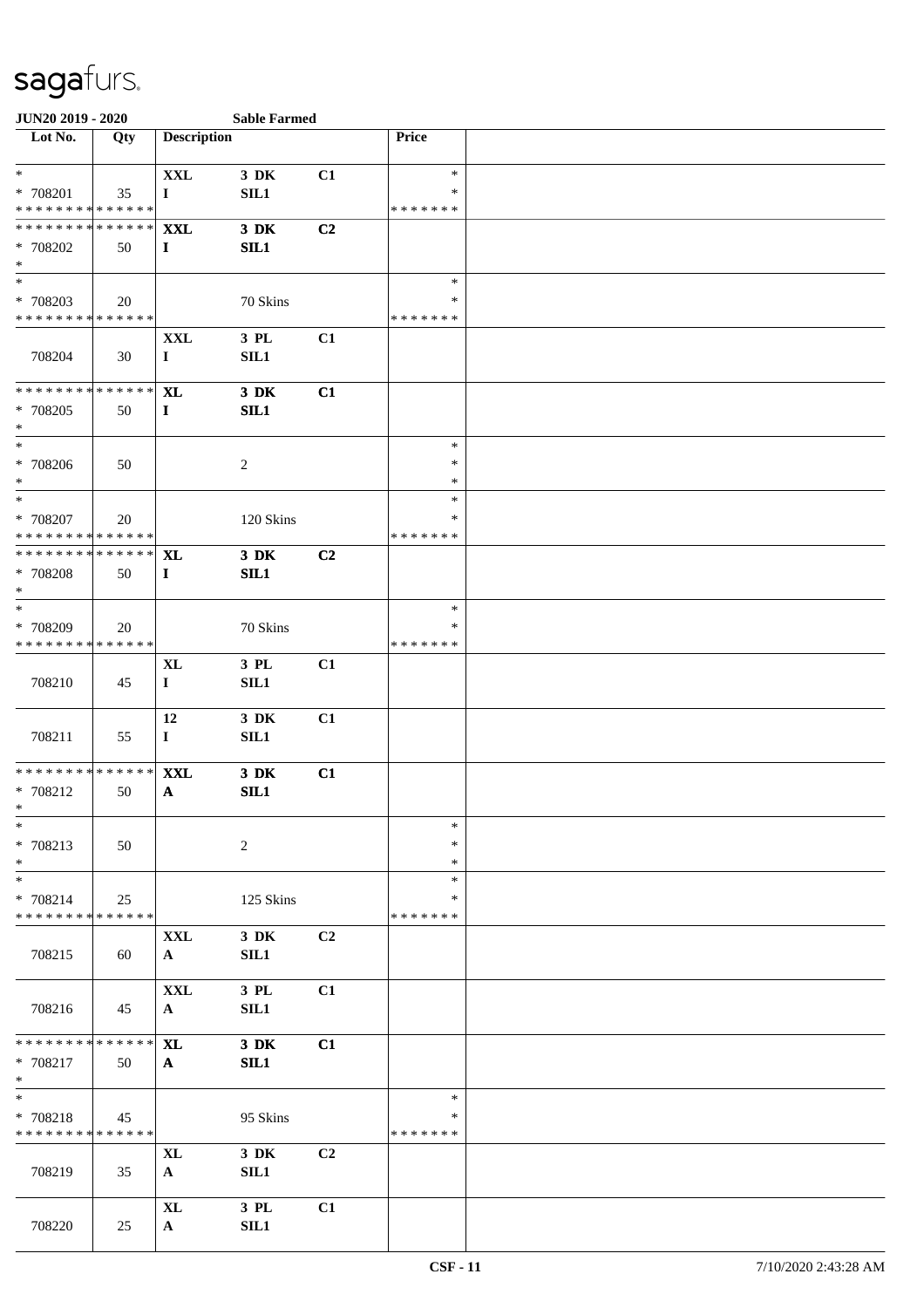| JUN20 2019 - 2020                       |     |                    | <b>Sable Farmed</b> |                |               |  |  |  |  |  |
|-----------------------------------------|-----|--------------------|---------------------|----------------|---------------|--|--|--|--|--|
| Lot No.                                 | Qty | <b>Description</b> |                     |                | Price         |  |  |  |  |  |
|                                         |     |                    |                     |                |               |  |  |  |  |  |
| $\ast$                                  |     | $\mathbf{XXL}$     | 3 DK                | C1             | $\ast$        |  |  |  |  |  |
| * 708201                                | 35  | $\bf{I}$           | SL1                 |                | ∗             |  |  |  |  |  |
| * * * * * * * * * * * * * *             |     |                    |                     |                | * * * * * * * |  |  |  |  |  |
| * * * * * * * * * * * * * * *           |     | <b>XXL</b>         | $3\,$ DK            | C2             |               |  |  |  |  |  |
| * 708202                                | 50  | $\mathbf{I}$       | SL1                 |                |               |  |  |  |  |  |
| $\ast$<br>$\overline{\phantom{a}^*}$    |     |                    |                     |                | $\ast$        |  |  |  |  |  |
|                                         |     |                    |                     |                | ∗             |  |  |  |  |  |
| * 708203<br>* * * * * * * * * * * * * * | 20  |                    | 70 Skins            |                | * * * * * * * |  |  |  |  |  |
|                                         |     | <b>XXL</b>         | 3 PL                | C1             |               |  |  |  |  |  |
| 708204                                  | 30  | $\bf{I}$           | SL1                 |                |               |  |  |  |  |  |
|                                         |     |                    |                     |                |               |  |  |  |  |  |
| * * * * * * * * * * * * * *             |     | <b>XL</b>          | 3 DK                | C1             |               |  |  |  |  |  |
| * 708205                                | 50  | $\mathbf{I}$       | SL1                 |                |               |  |  |  |  |  |
| $\ast$                                  |     |                    |                     |                |               |  |  |  |  |  |
| $_{\ast}^{-}$                           |     |                    |                     |                | $\ast$        |  |  |  |  |  |
| * 708206                                | 50  |                    | $\overline{2}$      |                | $\ast$        |  |  |  |  |  |
| $\ast$                                  |     |                    |                     |                | $\ast$        |  |  |  |  |  |
| $\ast$                                  |     |                    |                     |                | $\ast$        |  |  |  |  |  |
| * 708207                                | 20  |                    | 120 Skins           |                | *             |  |  |  |  |  |
| * * * * * * * * * * * * * * *           |     |                    |                     |                | * * * * * * * |  |  |  |  |  |
| **************                          |     | <b>XL</b>          | $3\,$ DK            | C2             |               |  |  |  |  |  |
| * 708208                                | 50  | $\mathbf{I}$       | SL1                 |                |               |  |  |  |  |  |
| $\ast$                                  |     |                    |                     |                |               |  |  |  |  |  |
| $\ast$                                  |     |                    |                     |                | $\ast$        |  |  |  |  |  |
| * 708209                                | 20  |                    | 70 Skins            |                | ∗             |  |  |  |  |  |
| * * * * * * * * * * * * * *             |     |                    |                     |                | * * * * * * * |  |  |  |  |  |
|                                         |     | $\bold{X}\bold{L}$ | 3 PL                | C1             |               |  |  |  |  |  |
| 708210                                  | 45  | $\bf{I}$           | SL1                 |                |               |  |  |  |  |  |
|                                         |     |                    |                     |                |               |  |  |  |  |  |
|                                         |     | 12                 | 3 DK                | C1             |               |  |  |  |  |  |
| 708211                                  | 55  | $\bf{I}$           | SL1                 |                |               |  |  |  |  |  |
| ******** <mark>******</mark>            |     | <b>XXL</b>         | $3\,$ DK            | C1             |               |  |  |  |  |  |
| * 708212                                | 50  | $\mathbf{A}$       | SL1                 |                |               |  |  |  |  |  |
| $*$                                     |     |                    |                     |                |               |  |  |  |  |  |
| $\ast$                                  |     |                    |                     |                | $\ast$        |  |  |  |  |  |
| * 708213                                | 50  |                    | $\overline{c}$      |                | *             |  |  |  |  |  |
| $\ast$                                  |     |                    |                     |                | $\ast$        |  |  |  |  |  |
| $\ast$                                  |     |                    |                     |                | *             |  |  |  |  |  |
| * 708214                                | 25  |                    | 125 Skins           |                | ∗             |  |  |  |  |  |
| * * * * * * * * * * * * * *             |     |                    |                     |                | * * * * * * * |  |  |  |  |  |
|                                         |     | <b>XXL</b>         | 3 DK                | C2             |               |  |  |  |  |  |
| 708215                                  | 60  | $\mathbf{A}$       | <b>SIL1</b>         |                |               |  |  |  |  |  |
|                                         |     |                    |                     |                |               |  |  |  |  |  |
|                                         |     | <b>XXL</b>         | $3$ $\rm PL$        | C1             |               |  |  |  |  |  |
| 708216                                  | 45  | $\mathbf{A}$       | SIL1                |                |               |  |  |  |  |  |
|                                         |     |                    |                     |                |               |  |  |  |  |  |
| ******** <mark>******</mark>            |     | XL                 | $3\,$ DK            | C1             |               |  |  |  |  |  |
| * 708217                                | 50  | $\mathbf{A}$       | SL1                 |                |               |  |  |  |  |  |
| $*$<br>$\ast$                           |     |                    |                     |                | $\ast$        |  |  |  |  |  |
| * 708218                                | 45  |                    | 95 Skins            |                | ∗             |  |  |  |  |  |
| * * * * * * * * * * * * * *             |     |                    |                     |                | * * * * * * * |  |  |  |  |  |
|                                         |     | $\bold{X}\bold{L}$ | 3 DK                | C <sub>2</sub> |               |  |  |  |  |  |
| 708219                                  | 35  | $\mathbf{A}$       | SIL1                |                |               |  |  |  |  |  |
|                                         |     |                    |                     |                |               |  |  |  |  |  |
|                                         |     | <b>XL</b>          | 3 PL                | C1             |               |  |  |  |  |  |
| 708220                                  | 25  | $\mathbf{A}$       | SL1                 |                |               |  |  |  |  |  |
|                                         |     |                    |                     |                |               |  |  |  |  |  |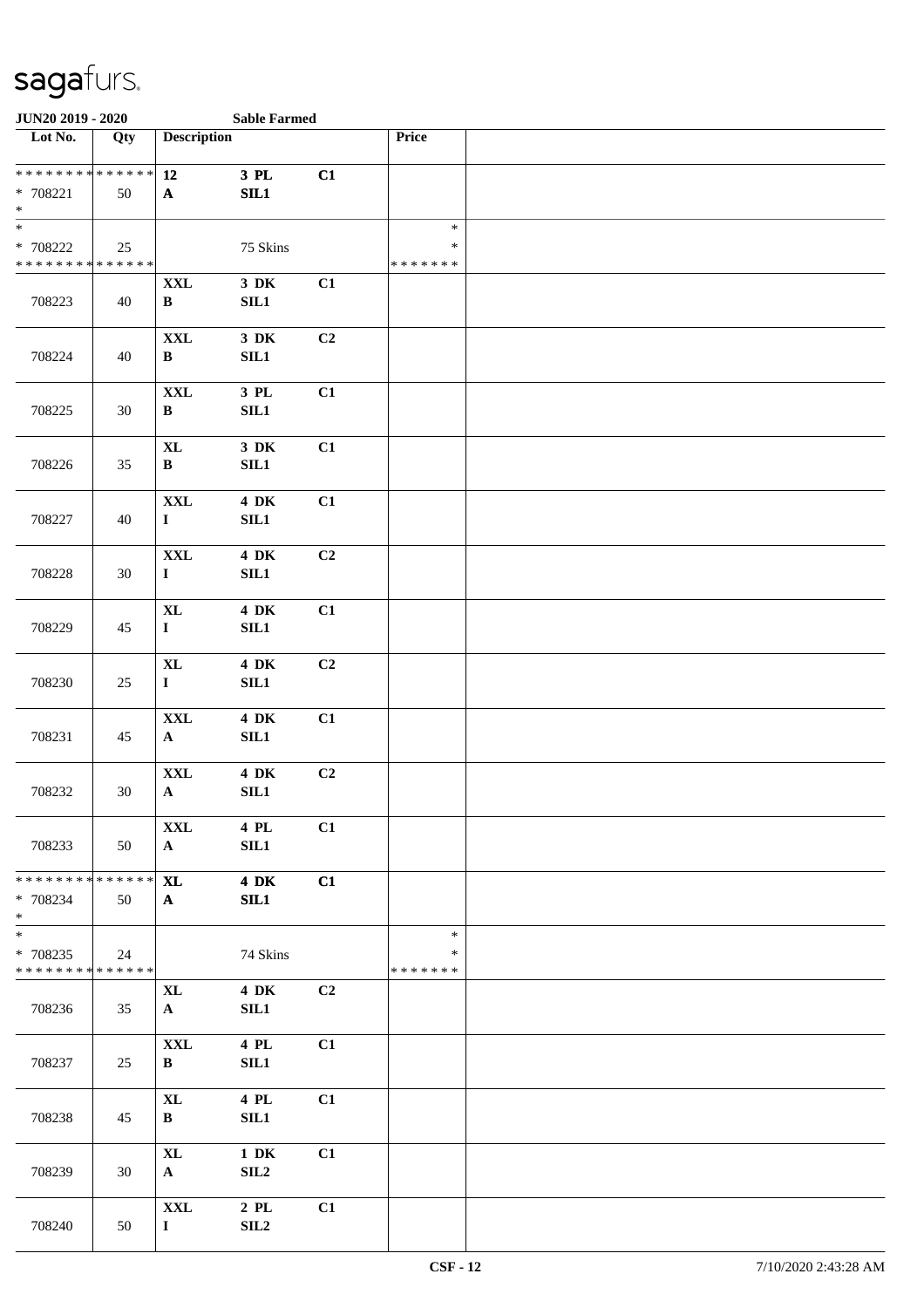| JUN20 2019 - 2020                                                                  |     |                                    | <b>Sable Farmed</b>                  |                |                                   |  |
|------------------------------------------------------------------------------------|-----|------------------------------------|--------------------------------------|----------------|-----------------------------------|--|
| Lot No.                                                                            | Qty | <b>Description</b>                 |                                      |                | Price                             |  |
| ******** <mark>******</mark><br>* 708221<br>$\ast$                                 | 50  | 12<br>$\mathbf{A}$                 | 3 PL<br>SL1                          | C1             |                                   |  |
| $\overline{\phantom{0}}$<br>* 708222<br>* * * * * * * * * * * * * *                | 25  |                                    | 75 Skins                             |                | $\ast$<br>$\ast$<br>* * * * * * * |  |
| 708223                                                                             | 40  | $\mathbf{XXL}$<br>$\, {\bf B}$     | $3\,$ DK<br>SIL1                     | C1             |                                   |  |
| 708224                                                                             | 40  | $\mathbf{XXL}$<br>$\, {\bf B}$     | $3\,$ DK<br>$\rm SIL1$               | C2             |                                   |  |
| 708225                                                                             | 30  | $\mathbf{XXL}$<br>$\, {\bf B}$     | 3 PL<br>SIL1                         | C1             |                                   |  |
| 708226                                                                             | 35  | $\mathbf{XL}$<br>$\, {\bf B}$      | $3\,$ DK<br>$\rm SIL1$               | C1             |                                   |  |
| 708227                                                                             | 40  | $\mathbf{XXL}$<br>$\mathbf{I}$     | <b>4 DK</b><br>$\rm SIL1$            | C1             |                                   |  |
| 708228                                                                             | 30  | <b>XXL</b><br>$\mathbf{I}$         | <b>4 DK</b><br><b>SIL1</b>           | C2             |                                   |  |
| 708229                                                                             | 45  | $\bold{X}\bold{L}$<br>$\mathbf{I}$ | 4 DK<br>SIL1                         | C1             |                                   |  |
| 708230                                                                             | 25  | $\mathbf{XL}$<br>$\mathbf{I}$      | <b>4 DK</b><br>$\rm SIL1$            | C2             |                                   |  |
| 708231                                                                             | 45  | $\mathbf{XXL}$<br>${\bf A}$        | $4\,$ DK<br>$\rm SIL1$               | C1             |                                   |  |
| 708232                                                                             | 30  | $\mathbf{XXL}$<br>$\mathbf{A}$     | $4\,$ DK<br>SL1                      | C <sub>2</sub> |                                   |  |
| 708233                                                                             | 50  | <b>XXL</b><br>$\mathbf{A}$         | 4 PL<br>SL1                          | C1             |                                   |  |
| ******** <mark>******</mark><br>* 708234<br>$*$                                    | 50  | <b>XL</b><br>$\mathbf{A}$          | <b>4 DK</b><br>SIL1                  | C1             |                                   |  |
| $\overline{\phantom{0}}$<br>* 708235<br>* * * * * * * * <mark>* * * * * * *</mark> | 24  |                                    | 74 Skins                             |                | $\ast$<br>∗<br>* * * * * * *      |  |
| 708236                                                                             | 35  | XL<br>$\mathbf{A}$                 | <b>4 DK</b><br>SIL1                  | C2             |                                   |  |
| 708237                                                                             | 25  | $\mathbf{XXL}$<br>B                | 4 PL<br>SL1                          | C1             |                                   |  |
| 708238                                                                             | 45  | $\mathbf{XL}$<br>$\bf{B}$          | 4 PL<br>SL1                          | C1             |                                   |  |
| 708239                                                                             | 30  | $\mathbf{XL}$<br>${\bf A}$         | $1\ \mathrm{DK}$<br>SIL <sub>2</sub> | C1             |                                   |  |
| 708240                                                                             | 50  | <b>XXL</b><br>$\mathbf{I}$         | $2$ PL<br>SL2                        | C1             |                                   |  |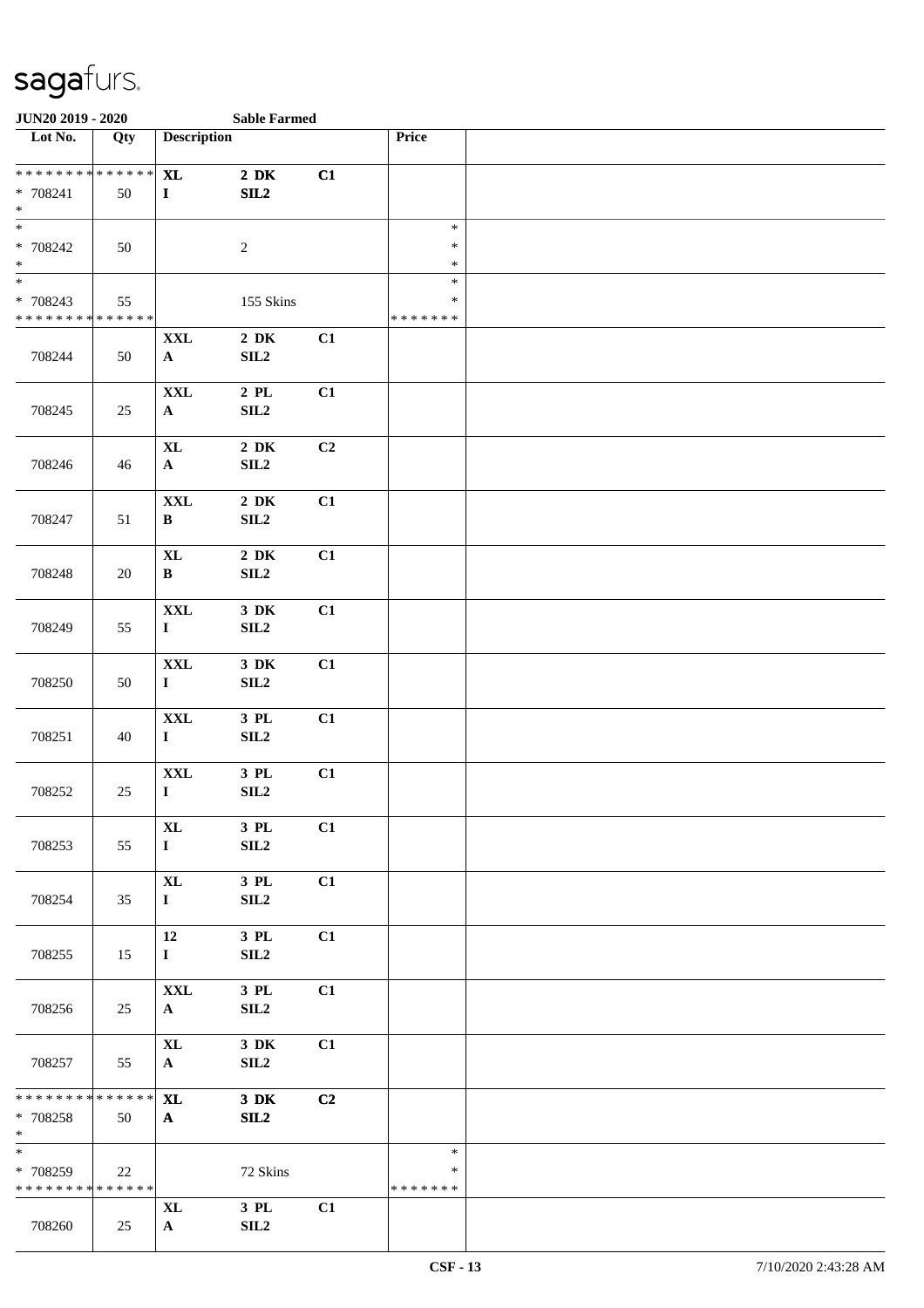| JUN20 2019 - 2020                                                   |        |                                    | <b>Sable Farmed</b>                               |    |                                   |  |
|---------------------------------------------------------------------|--------|------------------------------------|---------------------------------------------------|----|-----------------------------------|--|
| Lot No.                                                             | Qty    | <b>Description</b>                 |                                                   |    | Price                             |  |
| * * * * * * * * * * * * * *<br>* 708241<br>$\ast$                   | 50     | $\bold{X}\bold{L}$<br>$\mathbf{I}$ | $2\,$ DK<br>$\ensuremath{\mathrm{S}\mathrm{IL2}}$ | C1 |                                   |  |
| $\overline{\phantom{0}}$<br>$* 708242$<br>$\ast$                    | 50     |                                    | $\sqrt{2}$                                        |    | $\ast$<br>$\ast$<br>$\ast$        |  |
| $\overline{\phantom{0}}$<br>* 708243<br>* * * * * * * * * * * * * * | 55     |                                    | 155 Skins                                         |    | $\ast$<br>$\ast$<br>* * * * * * * |  |
| 708244                                                              | 50     | $\mathbf{XXL}$<br>$\mathbf{A}$     | $2\,$ DK<br>$\ensuremath{\mathrm{SIL2}}$          | C1 |                                   |  |
| 708245                                                              | 25     | $\mathbf{XXL}$<br>$\mathbf{A}$     | $2$ PL<br>SL2                                     | C1 |                                   |  |
| 708246                                                              | 46     | $\bold{X}\bold{L}$<br>${\bf A}$    | $2\,$ DK<br>SL2                                   | C2 |                                   |  |
| 708247                                                              | 51     | <b>XXL</b><br>$\, {\bf B}$         | $2\,$ DK<br>SL2                                   | C1 |                                   |  |
| 708248                                                              | $20\,$ | $\bold{X}\bold{L}$<br>$\, {\bf B}$ | $2\,$ DK<br>SL2                                   | C1 |                                   |  |
| 708249                                                              | 55     | <b>XXL</b><br>$\mathbf I$          | $3\,$ DK<br>SL2                                   | C1 |                                   |  |
| 708250                                                              | 50     | $\mathbf{XXL}$<br>$\mathbf I$      | $3\,$ DK<br>$\ensuremath{\mathrm{SIL2}}$          | C1 |                                   |  |
| 708251                                                              | 40     | $\mathbf{XXL}$<br>$\bf I$          | 3 PL<br>$\ensuremath{\mathrm{SIL2}}$              | C1 |                                   |  |
| 708252                                                              | 25     | $\mathbf{XXL}$<br>$\mathbf I$      | 3 PL<br>$\ensuremath{\mathrm{SIL2}}$              | C1 |                                   |  |
| 708253                                                              | 55     | <b>XL</b><br>$\mathbf{I}$          | 3 PL<br>SLL2                                      | C1 |                                   |  |
| 708254                                                              | 35     | $\mathbf{XL}$<br>$\mathbf{I}$      | 3 PL<br>SL2                                       | C1 |                                   |  |
| 708255                                                              | 15     | 12<br>$\mathbf{I}$                 | $3$ PL $\,$<br>SL2                                | C1 |                                   |  |
| 708256                                                              | 25     | <b>XXL</b><br>$\mathbf{A}$         | $3$ PL $\,$<br>SL2                                | C1 |                                   |  |
| 708257                                                              | 55     | $\mathbf{XL}$<br>$\mathbf{A}$      | $3\,$ DK<br>SL2                                   | C1 |                                   |  |
| * * * * * * * * * * * * * *<br>* 708258<br>$\ast$                   | 50     | <b>XL</b><br>$\mathbf{A}$          | $3\,$ DK<br>SL2                                   | C2 |                                   |  |
| $\frac{1}{*}$<br>* 708259<br>* * * * * * * * * * * * * *            | 22     |                                    | 72 Skins                                          |    | $\ast$<br>∗<br>* * * * * * *      |  |
| 708260                                                              | 25     | <b>XL</b><br>${\bf A}$             | 3 PL<br>SL2                                       | C1 |                                   |  |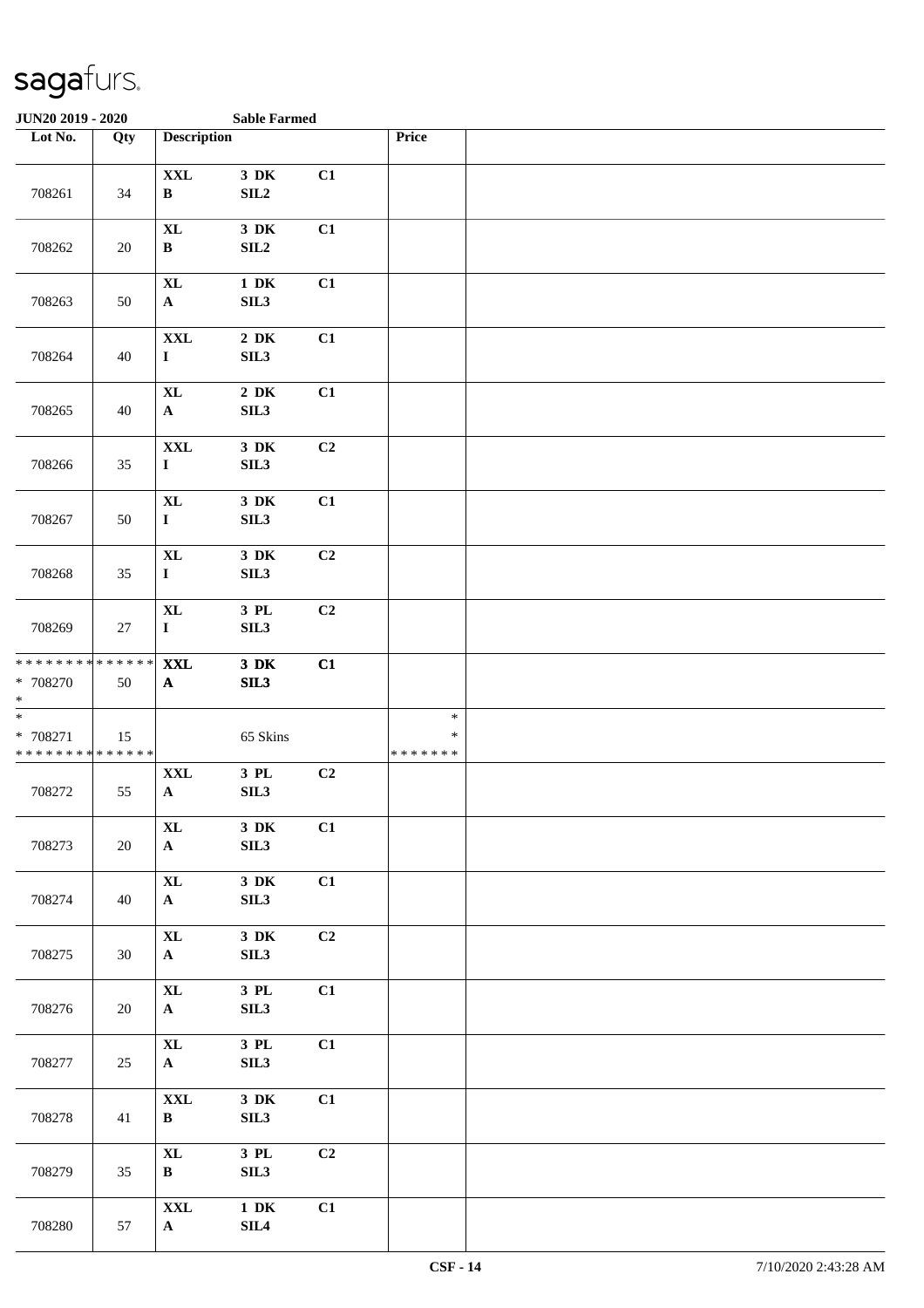| <b>JUN20 2019 - 2020</b>                            |     |                                    | <b>Sable Farmed</b>             |    |                                   |  |
|-----------------------------------------------------|-----|------------------------------------|---------------------------------|----|-----------------------------------|--|
| Lot No.                                             | Qty | <b>Description</b>                 |                                 |    | Price                             |  |
| 708261                                              | 34  | $\mathbf{XXL}$<br>$\, {\bf B}$     | 3 DK<br>SL2                     | C1 |                                   |  |
| 708262                                              | 20  | $\bold{X}\bold{L}$<br>$\, {\bf B}$ | $3\,$ DK<br>SL2                 | C1 |                                   |  |
| 708263                                              | 50  | $\bold{X}\bold{L}$<br>${\bf A}$    | $1\,$ DK<br>SIL3                | C1 |                                   |  |
| 708264                                              | 40  | $\mathbf{XXL}$<br>$\mathbf I$      | $2\,$ DK<br>SL3                 | C1 |                                   |  |
| 708265                                              | 40  | <b>XL</b><br>${\bf A}$             | $2\,$ DK<br>SL3                 | C1 |                                   |  |
| 708266                                              | 35  | $\mathbf{XXL}$<br>$\mathbf I$      | $3\,$ DK<br>SIL3                | C2 |                                   |  |
| 708267                                              | 50  | $\mathbf{XL}$<br>$\mathbf I$       | $3\,$ DK<br>SL3                 | C1 |                                   |  |
| 708268                                              | 35  | $\mathbf{XL}$<br>$\mathbf I$       | $3\,$ DK<br>SIL3                | C2 |                                   |  |
| 708269                                              | 27  | $\bold{X}\bold{L}$<br>$\mathbf I$  | $3$ $\rm PL$<br>SIL3            | C2 |                                   |  |
| * * * * * * * * * * * * * *<br>* 708270<br>$\ast$   | 50  | <b>XXL</b><br>$\mathbf{A}$         | $3\,$ DK<br>SL3                 | C1 |                                   |  |
| $\ast$<br>$* 708271$<br>* * * * * * * * * * * * * * | 15  |                                    | 65 Skins                        |    | $\ast$<br>$\ast$<br>* * * * * * * |  |
| 708272                                              | 55  | <b>XXL</b><br>$\mathbf{A}$         | 3 PL<br>SIL <sub>3</sub>        | C2 |                                   |  |
| 708273                                              | 20  | $\bold{X}\bold{L}$<br>$\mathbf{A}$ | $3\,$ DK<br>SIL3                | C1 |                                   |  |
| 708274                                              | 40  | $\mathbf{XL}$<br>$\mathbf{A}$      | $3\,$ DK<br>SIL3                | C1 |                                   |  |
| 708275                                              | 30  | $\mathbf{XL}$<br>$\mathbf{A}$      | $3\,$ DK<br>SIL3                | C2 |                                   |  |
| 708276                                              | 20  | $\mathbf{XL}$<br>$\mathbf{A}$      | $3$ PL $\,$<br>SIL3             | C1 |                                   |  |
| 708277                                              | 25  | $\mathbf{XL}$<br>$\mathbf{A}$      | $3$ PL $\,$<br>SIL3             | C1 |                                   |  |
| 708278                                              | 41  | <b>XXL</b><br>$\, {\bf B}$         | $3\,$ DK<br>SIL3                | C1 |                                   |  |
| 708279                                              | 35  | $\mathbf{X}$ L<br>$\, {\bf B}$     | $3$ PL $\,$<br>SIL <sub>3</sub> | C2 |                                   |  |
| 708280                                              | 57  | $\mathbf{XXL}$<br>${\bf A}$        | $1\,$ DK<br>SIL <sub>4</sub>    | C1 |                                   |  |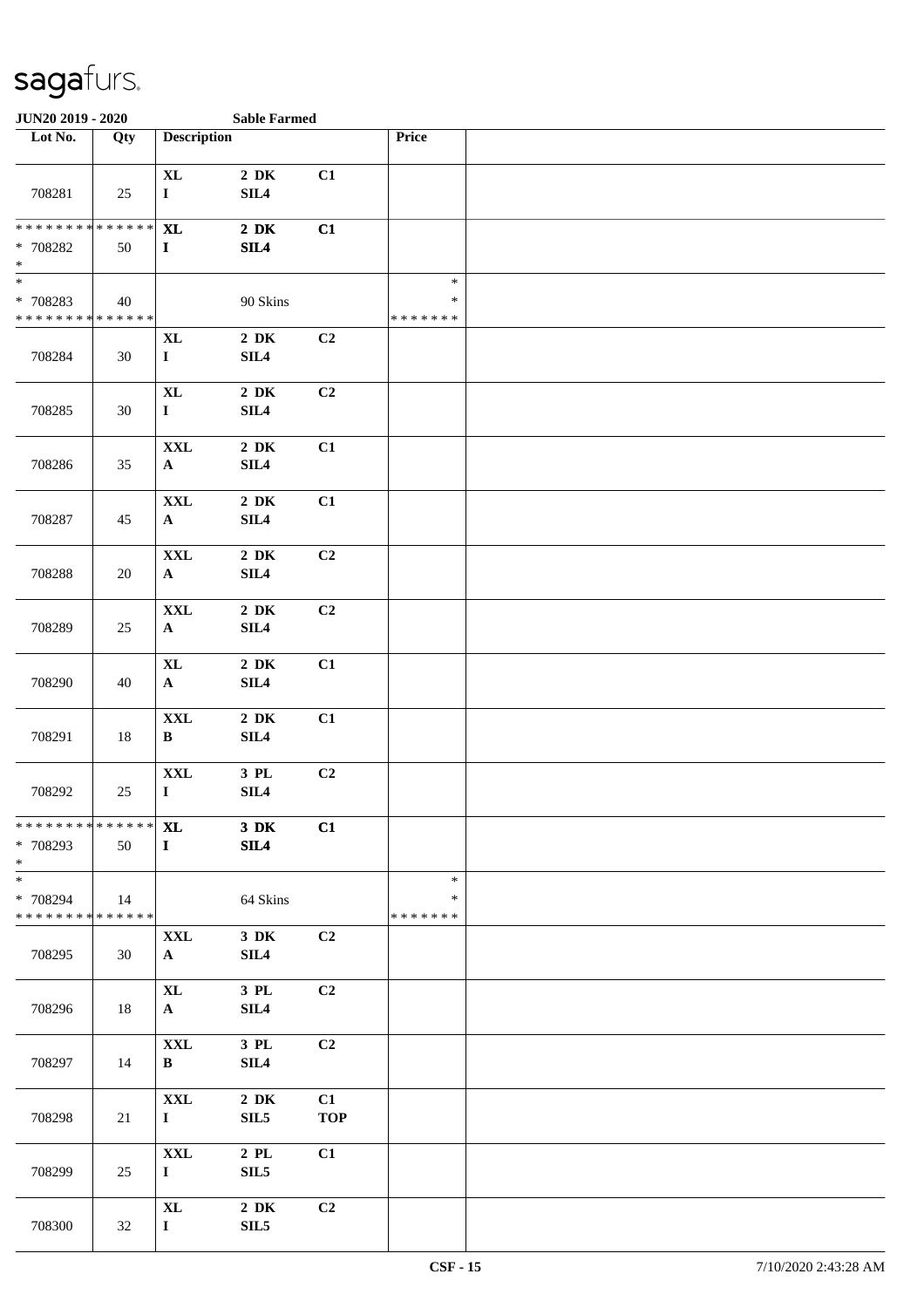| JUN20 2019 - 2020                                        |        | <b>Sable Farmed</b>                |                              |                  |                                   |  |
|----------------------------------------------------------|--------|------------------------------------|------------------------------|------------------|-----------------------------------|--|
| Lot No.                                                  | Qty    | <b>Description</b>                 |                              |                  | Price                             |  |
| 708281                                                   | 25     | <b>XL</b><br>$\bf I$               | $2\,$ DK<br>SL14             | C1               |                                   |  |
| * * * * * * * * * * * * * *<br>$* 708282$<br>$\ast$      | 50     | <b>XL</b><br>$\mathbf{I}$          | $2\,$ DK<br>SL4              | C1               |                                   |  |
| $\frac{1}{1}$<br>* 708283<br>* * * * * * * * * * * * * * | 40     |                                    | 90 Skins                     |                  | $\ast$<br>$\ast$<br>* * * * * * * |  |
| 708284                                                   | 30     | <b>XL</b><br>$\mathbf{I}$          | $2\,$ DK<br>SIL4             | C2               |                                   |  |
| 708285                                                   | 30     | $\bold{X}\bold{L}$<br>$\mathbf I$  | $2\,$ DK<br>SIL <sub>4</sub> | C2               |                                   |  |
| 708286                                                   | 35     | $\mathbf{XXL}$<br>$\mathbf{A}$     | $2\,$ DK<br>SL4              | C1               |                                   |  |
| 708287                                                   | 45     | $\mathbf{XXL}$<br>${\bf A}$        | $2\,$ DK<br>SL4              | C1               |                                   |  |
| 708288                                                   | $20\,$ | $\mathbf{XXL}$<br>${\bf A}$        | $2\,$ DK<br>SL4              | C2               |                                   |  |
| 708289                                                   | 25     | $\mathbf{XXL}$<br>$\mathbf{A}$     | $2\,$ DK<br>SIL4             | C2               |                                   |  |
| 708290                                                   | 40     | $\bold{X}\bold{L}$<br>$\mathbf{A}$ | $2\,$ DK<br>SIL <sub>4</sub> | C1               |                                   |  |
| 708291                                                   | 18     | $\mathbf{XXL}$<br>$\, {\bf B}$     | $2\,$ DK<br>SIL <sub>4</sub> | C1               |                                   |  |
| 708292                                                   | 25     | $\mathbf{XXL}$<br>$\bf I$          | 3 PL<br>SL4                  | C2               |                                   |  |
| * * * * * * * * * * * * * * *<br>* 708293<br>$*$         | 50     | <b>XL</b><br>$\mathbf{I}$          | $3\,$ DK<br>SL4              | C1               |                                   |  |
| $\ast$<br>* 708294<br>* * * * * * * * * * * * * * *      | 14     |                                    | 64 Skins                     |                  | $\ast$<br>∗<br>* * * * * * *      |  |
| 708295                                                   | 30     | <b>XXL</b><br>${\bf A}$            | $3\,$ DK<br>SIL4             | C2               |                                   |  |
| 708296                                                   | 18     | $\mathbf{XL}$<br>${\bf A}$         | 3 PL<br>SIL <sub>4</sub>     | C2               |                                   |  |
| 708297                                                   | 14     | $\mathbf{XXL}$<br>$\bf{B}$         | 3 PL<br>SIL <sub>4</sub>     | C2               |                                   |  |
| 708298                                                   | 21     | $\mathbf{XXL}$<br>$\mathbf{I}$     | $2\,$ DK<br>SIL <sub>5</sub> | C1<br><b>TOP</b> |                                   |  |
| 708299                                                   | 25     | <b>XXL</b><br>$\mathbf{I}$         | 2 PL<br>SLL5                 | C1               |                                   |  |
| 708300                                                   | 32     | $\mathbf{XL}$<br>$\mathbf{I}$      | $2\,$ DK<br>SIL <sub>5</sub> | C2               |                                   |  |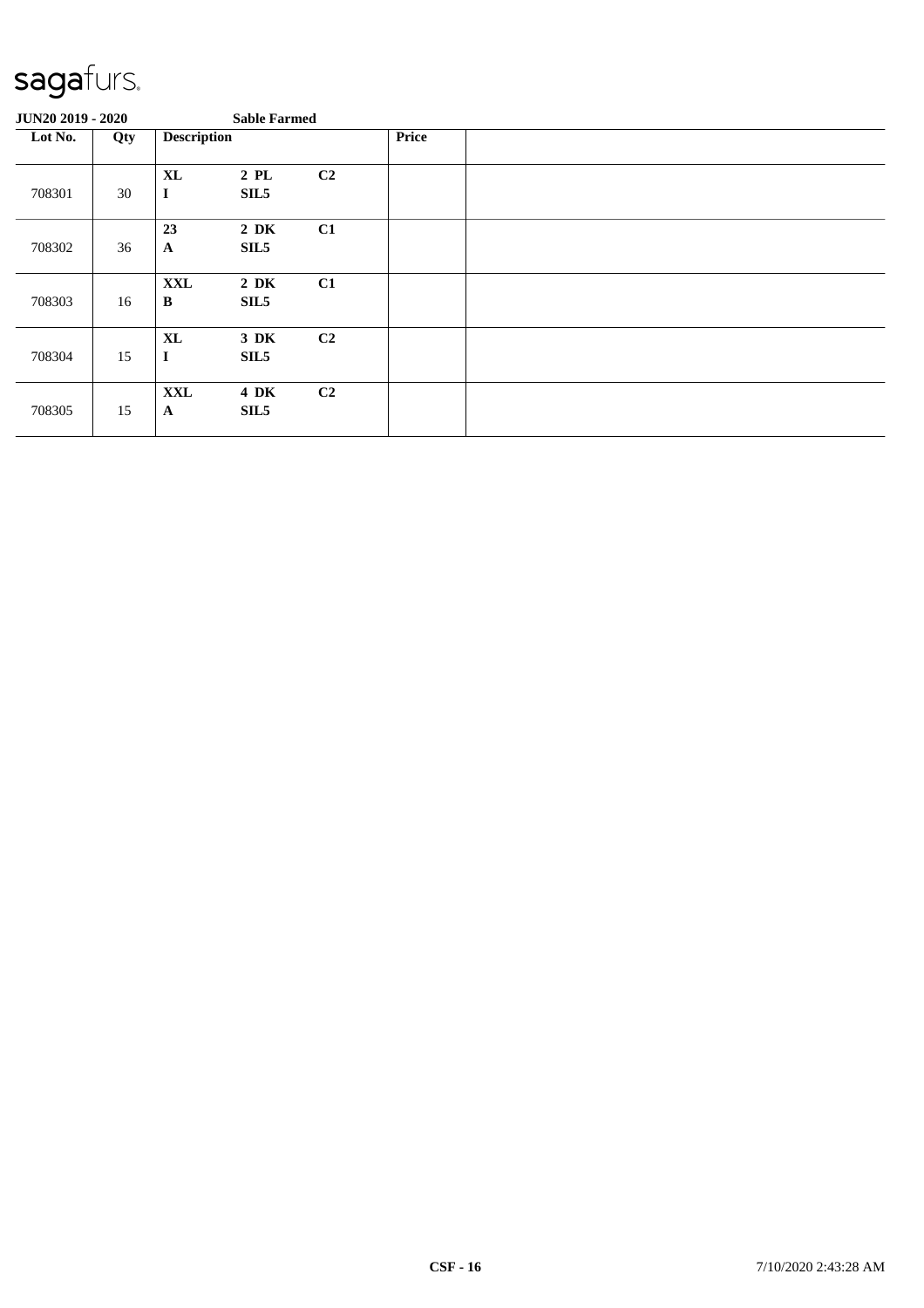| JUN20 2019 - 2020 |     |                                   | <b>Sable Farmed</b>          |                |              |  |
|-------------------|-----|-----------------------------------|------------------------------|----------------|--------------|--|
| Lot No.           | Qty | <b>Description</b>                |                              |                | <b>Price</b> |  |
| 708301            | 30  | $\bold{X}\bold{L}$<br>$\mathbf I$ | $2$ PL<br>SIL <sub>5</sub>   | C <sub>2</sub> |              |  |
| 708302            | 36  | 23<br>$\mathbf{A}$                | $2\,$ DK<br>SIL <sub>5</sub> | C1             |              |  |
| 708303            | 16  | <b>XXL</b><br>B                   | $2\,$ DK<br>SIL <sub>5</sub> | C1             |              |  |
| 708304            | 15  | $\bold{X}\bold{L}$<br>$\mathbf I$ | $3\,$ DK<br>SIL5             | C <sub>2</sub> |              |  |
| 708305            | 15  | <b>XXL</b><br>$\mathbf{A}$        | 4 DK<br>SIL <sub>5</sub>     | C <sub>2</sub> |              |  |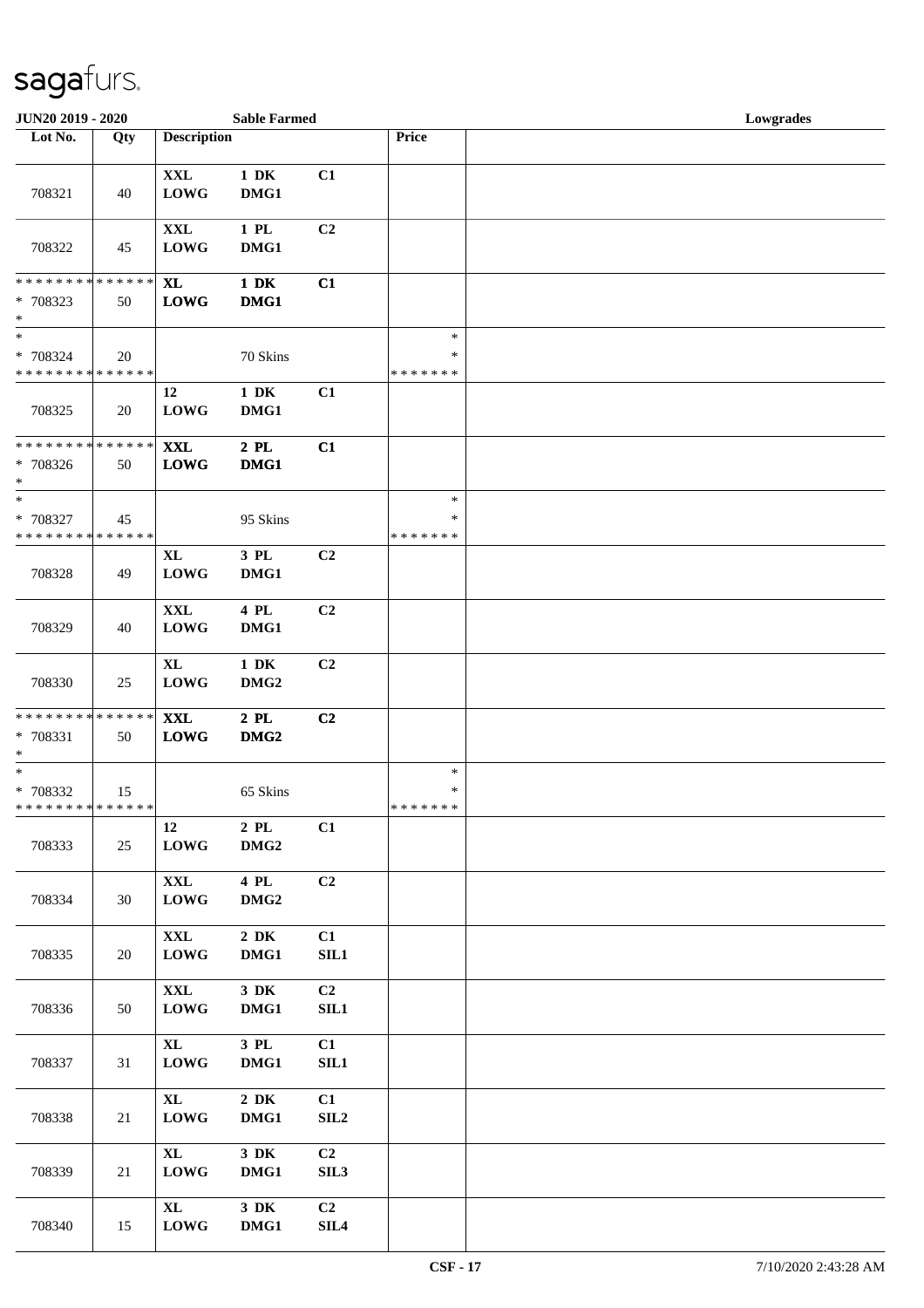| JUN20 2019 - 2020                                   |     |                                   | <b>Sable Farmed</b>             |                                    |                                   | Lowgrades |
|-----------------------------------------------------|-----|-----------------------------------|---------------------------------|------------------------------------|-----------------------------------|-----------|
| Lot No.                                             | Qty | <b>Description</b>                |                                 |                                    | Price                             |           |
| 708321                                              | 40  | $\mathbf{XXL}$<br><b>LOWG</b>     | $1\ \mathrm{DK}$<br>DMG1        | C1                                 |                                   |           |
| 708322                                              | 45  | $\mathbf{XXL}$<br><b>LOWG</b>     | $1\,$ PL $\,$<br>DMG1           | C <sub>2</sub>                     |                                   |           |
| ******** <mark>******</mark><br>* 708323<br>$\ast$  | 50  | <b>XL</b><br><b>LOWG</b>          | $1\,$ DK<br>DMG1                | C1                                 |                                   |           |
| $\ast$<br>* 708324<br>* * * * * * * * * * * * * *   | 20  |                                   | 70 Skins                        |                                    | $\ast$<br>$\ast$<br>* * * * * * * |           |
| 708325                                              | 20  | 12<br><b>LOWG</b>                 | $1\,$ DK<br>DMG1                | C1                                 |                                   |           |
| * * * * * * * * * * * * * *<br>* 708326<br>$\ast$   | 50  | <b>XXL</b><br><b>LOWG</b>         | $2$ PL $\,$<br>DMG1             | C1                                 |                                   |           |
| $*$<br>* 708327<br>* * * * * * * * * * * * * *      | 45  |                                   | 95 Skins                        |                                    | $\ast$<br>$\ast$<br>* * * * * * * |           |
| 708328                                              | 49  | $\bold{X}\bold{L}$<br><b>LOWG</b> | 3 PL<br>DMG1                    | C <sub>2</sub>                     |                                   |           |
| 708329                                              | 40  | $\mathbf{XXL}$<br><b>LOWG</b>     | 4 PL<br>DMG1                    | C <sub>2</sub>                     |                                   |           |
| 708330                                              | 25  | $\bold{X}\bold{L}$<br><b>LOWG</b> | $1\,$ DK<br>DMG <sub>2</sub>    | C2                                 |                                   |           |
| * * * * * * * * * * * * * *<br>$* 708331$<br>$\ast$ | 50  | $\mathbf{XXL}$<br>${\bf LOWG}$    | $2$ PL $\,$<br>DMG <sub>2</sub> | C2                                 |                                   |           |
| $\ast$<br>* 708332<br>* * * * * * * * * * * * * *   | 15  |                                   | 65 Skins                        |                                    | $\ast$<br>$\ast$<br>* * * * * * * |           |
| 708333                                              | 25  | 12<br><b>LOWG</b>                 | $2$ PL<br>DMG <sub>2</sub>      | C1                                 |                                   |           |
| 708334                                              | 30  | <b>XXL</b><br><b>LOWG</b>         | 4 PL<br>DMG <sub>2</sub>        | C <sub>2</sub>                     |                                   |           |
| 708335                                              | 20  | $\mathbf{XXL}$<br><b>LOWG</b>     | $2\,$ DK<br>DMG1                | C1<br>SL1                          |                                   |           |
| 708336                                              | 50  | $\mathbf{XXL}$<br><b>LOWG</b>     | $3\,$ DK<br>DMG1                | C <sub>2</sub><br>SL1              |                                   |           |
| 708337                                              | 31  | $\mathbf{XL}$<br><b>LOWG</b>      | $3$ PL $\,$<br>DMG1             | C1<br>SL1                          |                                   |           |
| 708338                                              | 21  | $\mathbf{XL}$<br><b>LOWG</b>      | $2\,$ DK<br>DMG1                | C1<br>SIL <sub>2</sub>             |                                   |           |
| 708339                                              | 21  | $\mathbf{XL}$<br><b>LOWG</b>      | 3 DK<br>DMG1                    | C <sub>2</sub><br>SIL <sub>3</sub> |                                   |           |
| 708340                                              | 15  | $\mathbf{XL}$<br><b>LOWG</b>      | $3\,$ DK<br>DMG1                | C2<br>$\ensuremath{\mathrm{SIL4}}$ |                                   |           |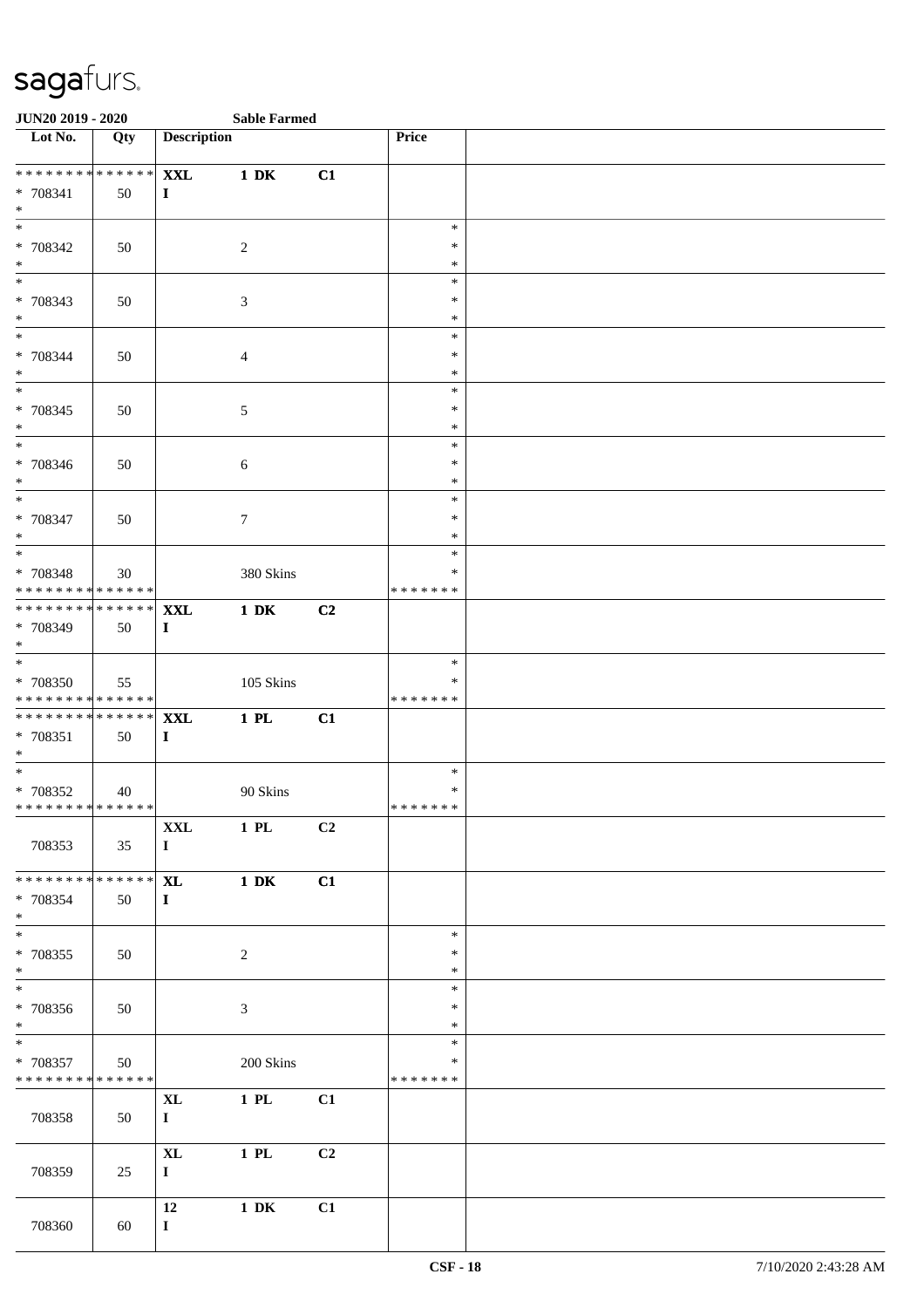| <b>JUN20 2019 - 2020</b>                                                              |     |                                    | <b>Sable Farmed</b> |    |                                   |  |
|---------------------------------------------------------------------------------------|-----|------------------------------------|---------------------|----|-----------------------------------|--|
| Lot No.                                                                               | Qty | <b>Description</b>                 |                     |    | Price                             |  |
| * * * * * * * * * * * * * * *<br>* 708341<br>$\ast$                                   | 50  | <b>XXL</b><br>$\bf{I}$             | $1\ \mathrm{DK}$    | C1 |                                   |  |
| $\overline{\ast}$<br>* 708342<br>$*$                                                  | 50  |                                    | $\overline{c}$      |    | $\ast$<br>$\ast$<br>$\ast$        |  |
| * 708343<br>$\ast$                                                                    | 50  |                                    | 3                   |    | $\ast$<br>$\ast$<br>$\ast$        |  |
| $\ddot{x}$<br>* 708344<br>$*$                                                         | 50  |                                    | $\overline{4}$      |    | $\ast$<br>$\ast$<br>$\ast$        |  |
| * 708345<br>$*$                                                                       | 50  |                                    | $\sqrt{5}$          |    | $\ast$<br>$\ast$<br>$\ast$        |  |
| * 708346<br>$*$                                                                       | 50  |                                    | $\sqrt{6}$          |    | $\ast$<br>$\ast$<br>$\ast$        |  |
| $\overline{\phantom{0}}$<br>* 708347<br>$\ast$                                        | 50  |                                    | $\tau$              |    | $\ast$<br>$\ast$<br>$\ast$        |  |
| * 708348<br>* * * * * * * * <mark>* * * * * * *</mark>                                | 30  |                                    | 380 Skins           |    | $\ast$<br>$\ast$<br>* * * * * * * |  |
| * * * * * * * * <mark>* * * * * * *</mark><br>* 708349<br>$\ast$                      | 50  | <b>XXL</b><br>$\bf{I}$             | $1\ \mathrm{DK}$    | C2 |                                   |  |
| $*$<br>* 708350<br>* * * * * * * * <mark>* * * * * *</mark>                           | 55  |                                    | 105 Skins           |    | $\ast$<br>$\ast$<br>*******       |  |
| * * * * * * * * <mark>* * * * * * *</mark><br>* 708351<br>$\ddot{x}$                  | 50  | <b>XXL</b><br>$\bf{I}$             | $1$ PL              | C1 |                                   |  |
| $\overline{\ast}$<br>* 708352<br>* * * * * * * * <mark>* * * * * * *</mark>           | 40  |                                    | 90 Skins            |    | $\ast$<br>$\ast$<br>* * * * * * * |  |
| 708353                                                                                | 35  | $\mathbf{XXL}$<br>$\mathbf{I}$     | 1 PL                | C2 |                                   |  |
| * * * * * * * * * * * * * * <mark>*</mark><br>* 708354<br>$\ast$<br>$\overline{\ast}$ | 50  | <b>XL</b><br>$\bf{I}$              | $1\ \mathrm{DK}$    | C1 |                                   |  |
| * 708355<br>$\ast$<br>$\overline{\phantom{0}}$                                        | 50  |                                    | $\overline{c}$      |    | $\ast$<br>$\ast$<br>$\ast$        |  |
| * 708356<br>$*$<br>$\ast$                                                             | 50  |                                    | 3                   |    | $\ast$<br>$\ast$<br>$\ast$        |  |
| * 708357<br>* * * * * * * * <mark>* * * * * *</mark>                                  | 50  |                                    | 200 Skins           |    | $\ast$<br>$\ast$<br>*******       |  |
| 708358                                                                                | 50  | $\bold{X}\bold{L}$<br>$\mathbf{I}$ | $1$ PL              | C1 |                                   |  |
| 708359                                                                                | 25  | $\bold{X}\bold{L}$<br>$\mathbf{I}$ | $1$ PL              | C2 |                                   |  |
| 708360                                                                                | 60  | 12<br>$\mathbf{I}$                 | $1\ \mathrm{DK}$    | C1 |                                   |  |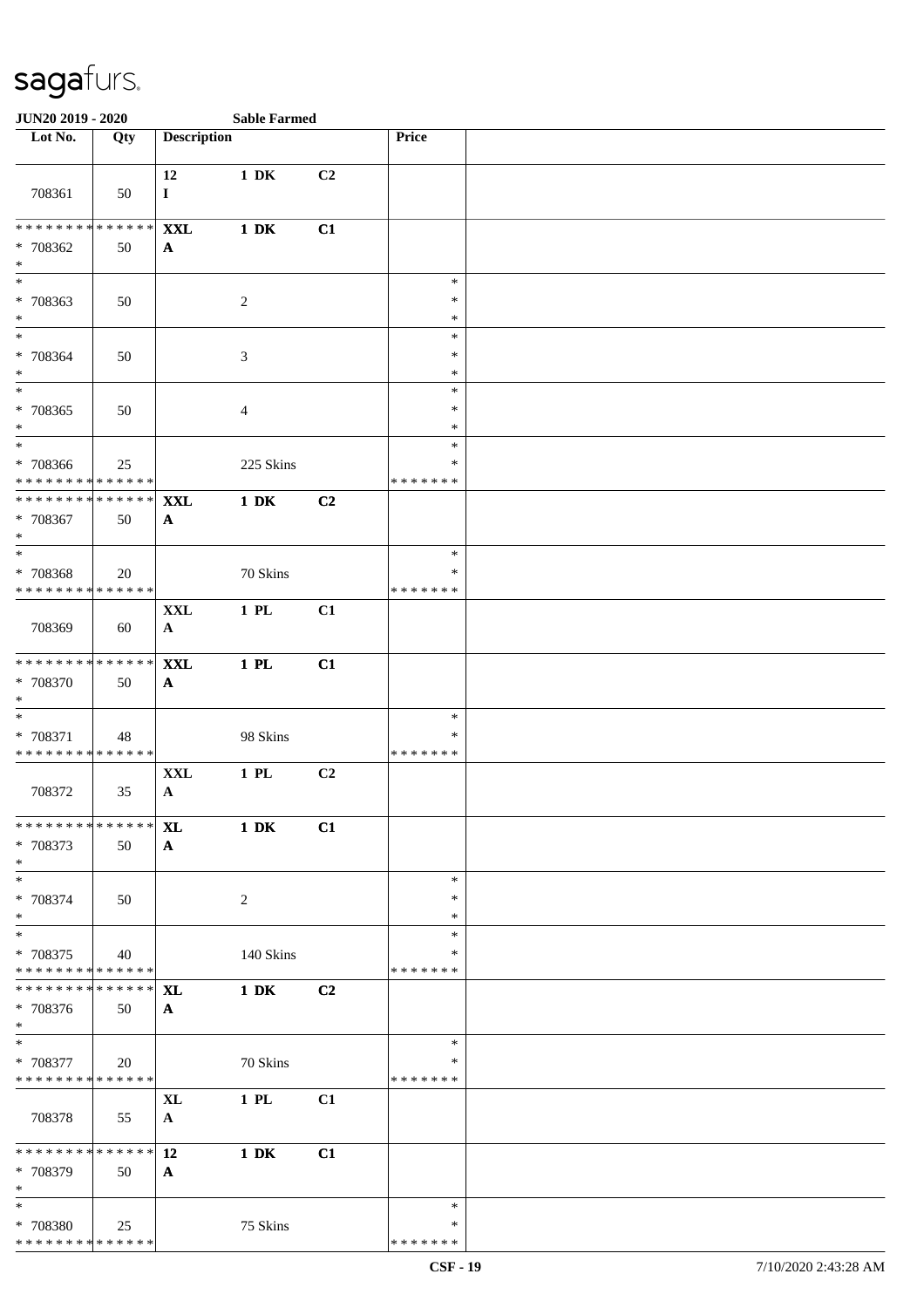| JUN20 2019 - 2020                                                   |     |                            | <b>Sable Farmed</b> |    |                                   |  |
|---------------------------------------------------------------------|-----|----------------------------|---------------------|----|-----------------------------------|--|
| Lot No.                                                             | Qty | <b>Description</b>         |                     |    | Price                             |  |
| 708361                                                              | 50  | 12<br>$\bf{I}$             | $1\ \mathrm{DK}$    | C2 |                                   |  |
| ******** <mark>******</mark><br>* 708362<br>$\ast$                  | 50  | <b>XXL</b><br>$\mathbf{A}$ | $1\ \mathrm{DK}$    | C1 |                                   |  |
| $\overline{\ast}$<br>* 708363<br>$*$                                | 50  |                            | $\overline{c}$      |    | $\ast$<br>∗<br>$\ast$             |  |
| $*$<br>* 708364<br>$*$                                              | 50  |                            | $\mathfrak{Z}$      |    | $\ast$<br>$\ast$<br>$\ast$        |  |
| $*$<br>$* 708365$<br>$*$                                            | 50  |                            | 4                   |    | $\ast$<br>$\ast$<br>$\ast$        |  |
| $\overline{\ast}$<br>* 708366<br>* * * * * * * * * * * * * *        | 25  |                            | 225 Skins           |    | $\ast$<br>∗<br>* * * * * * *      |  |
| * * * * * * * * * * * * * * *<br>* 708367<br>$\ast$                 | 50  | <b>XXL</b><br>$\mathbf{A}$ | $1\ \mathrm{DK}$    | C2 |                                   |  |
| $\overline{\phantom{0}}$<br>* 708368<br>* * * * * * * * * * * * * * | 20  |                            | 70 Skins            |    | $\ast$<br>$\ast$<br>* * * * * * * |  |
| 708369                                                              | 60  | <b>XXL</b><br>$\mathbf{A}$ | 1 PL                | C1 |                                   |  |
| ******** <mark>******</mark><br>* 708370<br>$*$                     | 50  | <b>XXL</b><br>$\mathbf{A}$ | $1$ PL              | C1 |                                   |  |
| $*$<br>* 708371<br>* * * * * * * * * * * * * *                      | 48  |                            | 98 Skins            |    | $\ast$<br>$\ast$<br>* * * * * * * |  |
| 708372                                                              | 35  | <b>XXL</b><br>$\mathbf{A}$ | $1$ PL              | C2 |                                   |  |
| * * * * * * * * * * * * * * *<br>* 708373<br>$*$                    | 50  | <b>XL</b><br>$\mathbf{A}$  | $1\ \mathrm{DK}$    | C1 |                                   |  |
| $*$<br>* 708374<br>$\ast$                                           | 50  |                            | $\overline{c}$      |    | $\ast$<br>$\ast$<br>$\ast$        |  |
| $*$<br>$* 708375$<br>* * * * * * * * * * * * * *                    | 40  |                            | 140 Skins           |    | $\ast$<br>∗<br>* * * * * * *      |  |
| * * * * * * * * * * * * * * *<br>* 708376<br>$*$                    | 50  | <b>XL</b><br>$\mathbf{A}$  | $1\ \mathrm{DK}$    | C2 |                                   |  |
| $*$<br>* 708377<br>******** <mark>******</mark>                     | 20  |                            | 70 Skins            |    | $\ast$<br>$\ast$<br>* * * * * * * |  |
| 708378                                                              | 55  | <b>XL</b><br>$\mathbf{A}$  | $1$ PL              | C1 |                                   |  |
| * * * * * * * * * * * * * * *<br>* 708379<br>$\ast$                 | 50  | 12<br>$\mathbf{A}$         | $1\ \mathrm{DK}$    | C1 |                                   |  |
| $*$<br>* 708380<br>******** <mark>******</mark>                     | 25  |                            | 75 Skins            |    | $\ast$<br>∗<br>* * * * * * *      |  |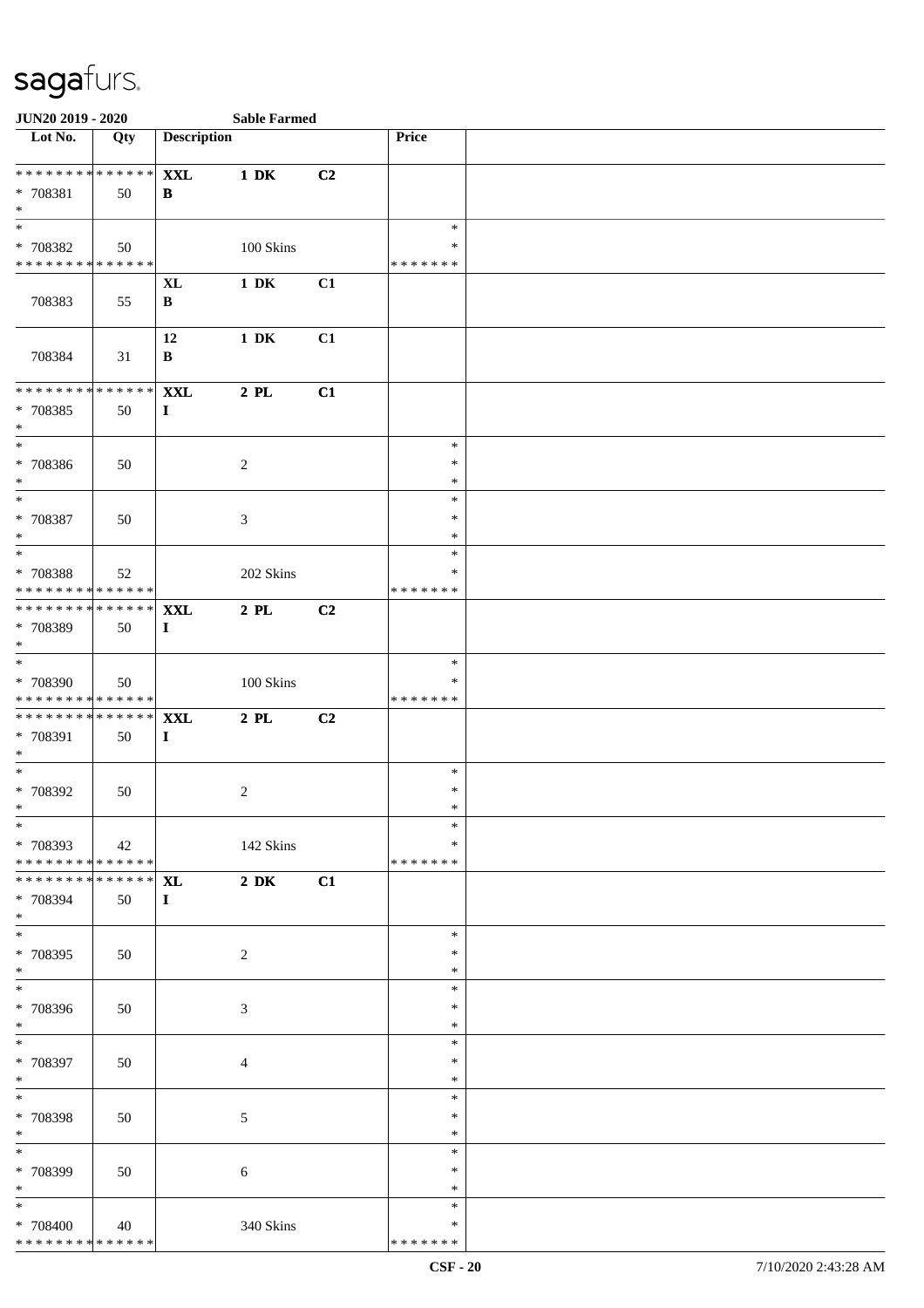| JUN20 2019 - 2020                                                       |     |                           | <b>Sable Farmed</b> |                |                              |  |
|-------------------------------------------------------------------------|-----|---------------------------|---------------------|----------------|------------------------------|--|
| Lot No.                                                                 | Qty | <b>Description</b>        |                     |                | <b>Price</b>                 |  |
| **************<br>* 708381<br>$\ast$                                    | 50  | <b>XXL</b><br>B           | $1\ \mathrm{DK}$    | C <sub>2</sub> |                              |  |
| $\overline{\ast}$<br>* 708382<br>* * * * * * * * * * * * * *            | 50  |                           | 100 Skins           |                | $\ast$<br>*<br>* * * * * * * |  |
| 708383                                                                  | 55  | <b>XL</b><br>$\, {\bf B}$ | $1\ \mathrm{DK}$    | C1             |                              |  |
| 708384                                                                  | 31  | 12<br>B                   | $1\,$ DK            | C1             |                              |  |
| * * * * * * * * * * * * * *<br>* 708385<br>$\ast$                       | 50  | <b>XXL</b><br>$\mathbf I$ | $2$ PL              | C1             |                              |  |
| $\ast$<br>* 708386<br>$\ast$                                            | 50  |                           | $\sqrt{2}$          |                | $\ast$<br>$\ast$<br>$\ast$   |  |
| $\overline{\phantom{a}^*}$<br>$* 708387$<br>$\ast$                      | 50  |                           | 3                   |                | $\ast$<br>*<br>$\ast$        |  |
| $\ast$<br>* 708388<br>* * * * * * * * * * * * * *                       | 52  |                           | 202 Skins           |                | $\ast$<br>∗<br>* * * * * * * |  |
| * * * * * * * * * * * * * * *<br>* 708389<br>$\ast$                     | 50  | <b>XXL</b><br>$\bf{I}$    | $2$ PL              | C2             |                              |  |
| $\overline{\phantom{a}^*}$<br>* 708390<br>* * * * * * * * * * * * * * * | 50  |                           | 100 Skins           |                | $\ast$<br>∗<br>* * * * * * * |  |
| **************<br>* 708391<br>$\ast$                                    | 50  | <b>XXL</b><br>$\bf{I}$    | $2$ PL $\,$         | C2             |                              |  |
| $*$<br>$*708392$<br>$*$                                                 | 50  |                           | $\overline{c}$      |                | $\ast$<br>$\ast$<br>$\ast$   |  |
| $\ast$<br>* 708393<br>* * * * * * * * * * * * * * *                     | 42  |                           | 142 Skins           |                | $\ast$<br>∗<br>* * * * * * * |  |
| **************<br>* 708394<br>$*$                                       | 50  | <b>XL</b><br>$\bf{I}$     | $2\,$ DK            | C1             |                              |  |
| $\overline{\ast}$<br>* 708395<br>$*$                                    | 50  |                           | $\overline{2}$      |                | $\ast$<br>∗<br>$\ast$        |  |
| $\frac{1}{*}$<br>* 708396<br>$*$                                        | 50  |                           | 3                   |                | $\ast$<br>$\ast$<br>$\ast$   |  |
| $\overline{\phantom{0}}$<br>* 708397<br>$*$                             | 50  |                           | $\overline{4}$      |                | $\ast$<br>$\ast$<br>$\ast$   |  |
| $*$<br>* 708398<br>$*$                                                  | 50  |                           | $\mathfrak{S}$      |                | $\ast$<br>$\ast$<br>$\ast$   |  |
| $\frac{1}{1}$<br>* 708399<br>$\ast$                                     | 50  |                           | $\sqrt{6}$          |                | $\ast$<br>$\ast$<br>*        |  |
| $\overline{\phantom{a}^*}$<br>* 708400<br>* * * * * * * * * * * * * *   | 40  |                           | 340 Skins           |                | $\ast$<br>∗<br>* * * * * * * |  |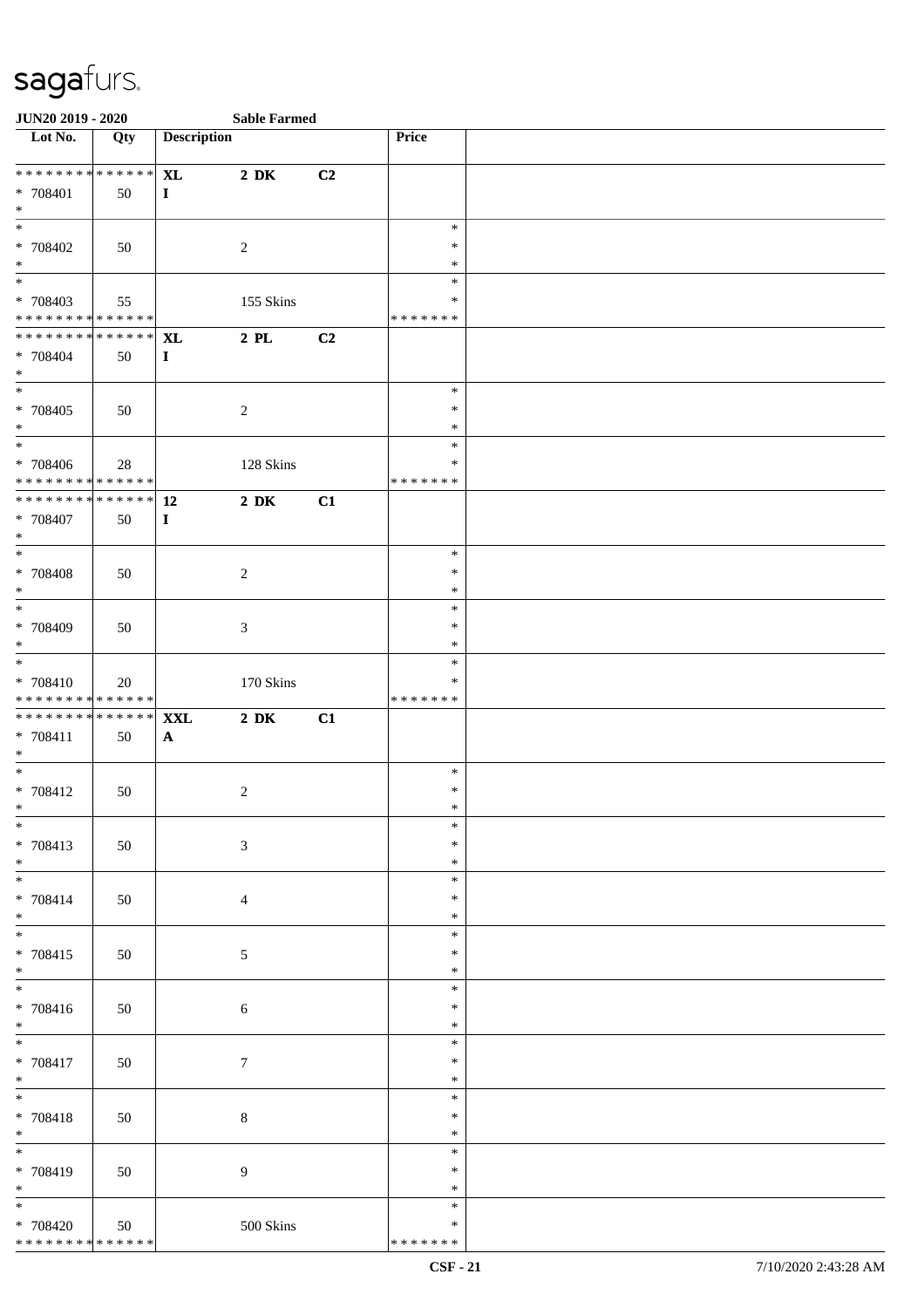| <b>JUN20 2019 - 2020</b>                   |     |                    | <b>Sable Farmed</b> |                |                  |  |
|--------------------------------------------|-----|--------------------|---------------------|----------------|------------------|--|
| Lot No.                                    | Qty | <b>Description</b> |                     |                | Price            |  |
| * * * * * * * * * * * * * * *              |     | <b>XL</b>          | $2\ \mathrm{DK}$    | C <sub>2</sub> |                  |  |
| * 708401                                   | 50  | $\mathbf{I}$       |                     |                |                  |  |
| $*$                                        |     |                    |                     |                |                  |  |
|                                            |     |                    |                     |                | $\ast$           |  |
| * 708402                                   | 50  |                    | $\overline{2}$      |                | $\ast$           |  |
| $*$                                        |     |                    |                     |                | $\ast$           |  |
|                                            |     |                    |                     |                | $\ast$           |  |
| * 708403                                   | 55  |                    | 155 Skins           |                | $\ast$           |  |
| * * * * * * * * * * * * * *                |     |                    |                     |                | * * * * * * *    |  |
| ******** <mark>******</mark>               |     | <b>XL</b>          | $2$ PL              | C2             |                  |  |
| $* 708404$                                 | 50  | $\mathbf I$        |                     |                |                  |  |
| $*$                                        |     |                    |                     |                |                  |  |
|                                            |     |                    |                     |                | $\ast$           |  |
| * 708405                                   | 50  |                    | $\overline{2}$      |                | $\ast$           |  |
| $*$                                        |     |                    |                     |                | $\ast$           |  |
| $\overline{\phantom{0}}$                   |     |                    |                     |                | $\ast$           |  |
| * 708406                                   | 28  |                    | 128 Skins           |                | $\ast$           |  |
| ******** <mark>******</mark>               |     |                    |                     |                | * * * * * * *    |  |
| ******** <mark>******</mark>               |     | 12                 | $2\,$ DK            | C1             |                  |  |
| $* 708407$                                 | 50  | $\bf{I}$           |                     |                |                  |  |
| $*$                                        |     |                    |                     |                |                  |  |
|                                            |     |                    |                     |                | $\ast$           |  |
| $* 708408$<br>$*$                          | 50  |                    | $\overline{c}$      |                | $\ast$           |  |
|                                            |     |                    |                     |                | $\ast$<br>$\ast$ |  |
| * 708409                                   |     |                    | $\mathfrak{Z}$      |                | $\ast$           |  |
| $*$                                        | 50  |                    |                     |                | $\ast$           |  |
|                                            |     |                    |                     |                | $\ast$           |  |
| * 708410                                   | 20  |                    | 170 Skins           |                | ∗                |  |
| * * * * * * * * * * * * * * *              |     |                    |                     |                | * * * * * * *    |  |
| * * * * * * * * * * * * * * *              |     | <b>XXL</b>         | $2\,$ DK            | C1             |                  |  |
| * 708411                                   | 50  | $\mathbf{A}$       |                     |                |                  |  |
| $*$                                        |     |                    |                     |                |                  |  |
| $*$                                        |     |                    |                     |                | $\ast$           |  |
| * 708412                                   | 50  |                    | $\overline{c}$      |                | $\ast$           |  |
| $*$                                        |     |                    |                     |                | $\ast$           |  |
| $*$                                        |     |                    |                     |                | $\ast$           |  |
| * 708413                                   | 50  |                    | $\mathfrak{Z}$      |                | $\ast$           |  |
| $*$                                        |     |                    |                     |                | $\ast$           |  |
|                                            |     |                    |                     |                | $\ast$           |  |
| * 708414<br>$*$                            | 50  |                    | $\overline{4}$      |                | $\ast$<br>$\ast$ |  |
| $*$                                        |     |                    |                     |                | $\ast$           |  |
| * 708415                                   | 50  |                    | $\mathfrak{S}$      |                | $\ast$           |  |
| $*$                                        |     |                    |                     |                | $\ast$           |  |
|                                            |     |                    |                     |                | $\ast$           |  |
| * 708416                                   | 50  |                    | 6                   |                | $\ast$           |  |
| $*$                                        |     |                    |                     |                | $\ast$           |  |
| $*$                                        |     |                    |                     |                | $\ast$           |  |
| * 708417                                   | 50  |                    | $\tau$              |                | $\ast$           |  |
| $*$                                        |     |                    |                     |                | $\ast$           |  |
| $*$                                        |     |                    |                     |                | $\ast$           |  |
| * 708418                                   | 50  |                    | $8\,$               |                | $\ast$           |  |
| $*$                                        |     |                    |                     |                | $\ast$           |  |
|                                            |     |                    |                     |                | $\ast$           |  |
| * 708419                                   | 50  |                    | 9                   |                | $\ast$           |  |
| $*$                                        |     |                    |                     |                | $\ast$<br>$\ast$ |  |
| * 708420                                   | 50  |                    | 500 Skins           |                | $\ast$           |  |
| * * * * * * * * <mark>* * * * * * *</mark> |     |                    |                     |                | * * * * * * *    |  |
|                                            |     |                    |                     |                |                  |  |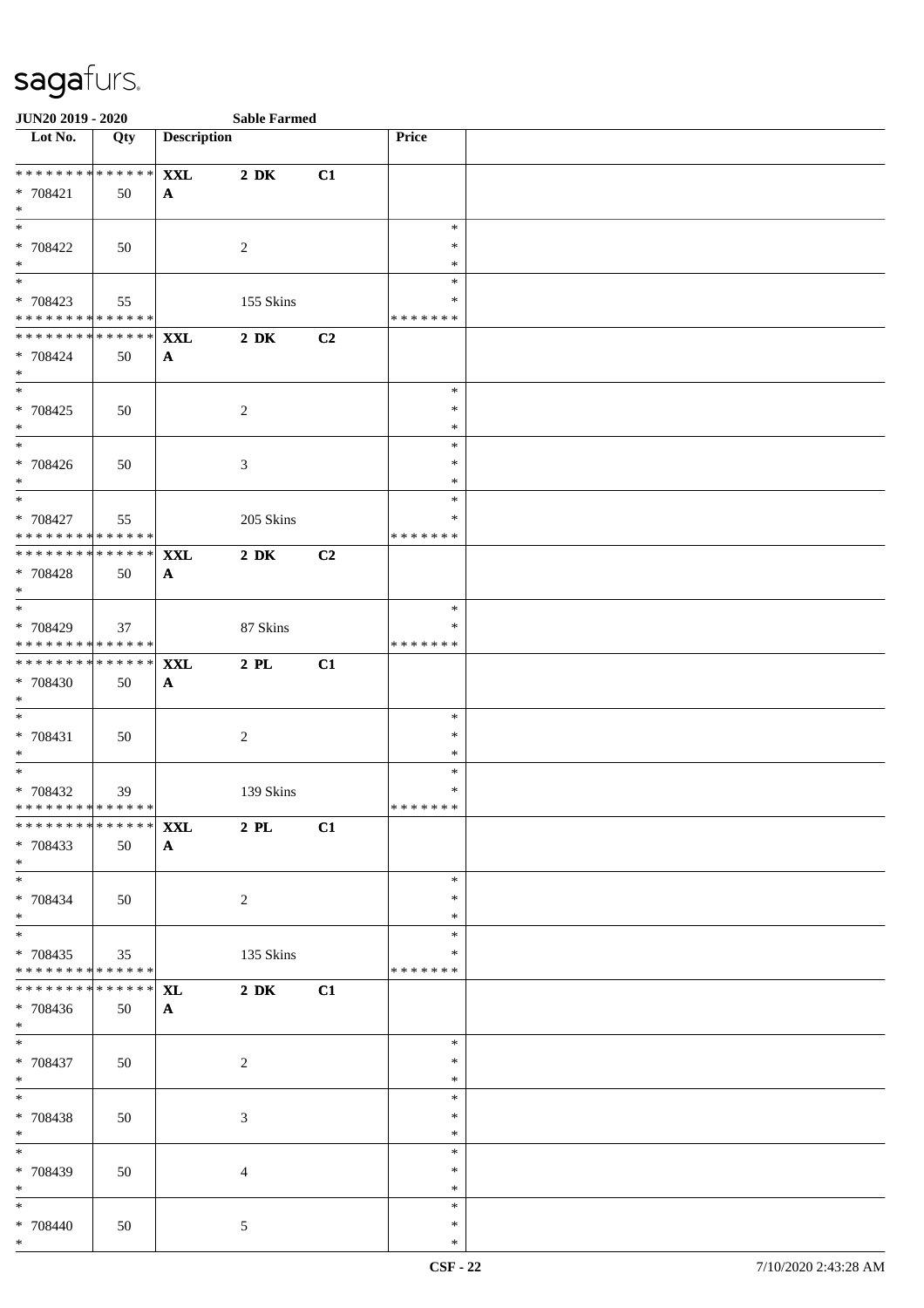| <b>JUN20 2019 - 2020</b>                   |               |                    | <b>Sable Farmed</b>           |    |                  |  |
|--------------------------------------------|---------------|--------------------|-------------------------------|----|------------------|--|
| Lot No.                                    | Qty           | <b>Description</b> |                               |    | Price            |  |
| **************                             |               | <b>XXL</b>         | $2\,$ DK                      | C1 |                  |  |
| * 708421                                   | 50            | $\mathbf{A}$       |                               |    |                  |  |
| $*$                                        |               |                    |                               |    |                  |  |
|                                            |               |                    |                               |    | $\ast$           |  |
| * 708422                                   | 50            |                    | 2                             |    | $\ast$           |  |
| $*$                                        |               |                    |                               |    | $\ast$           |  |
|                                            |               |                    |                               |    | $\ast$           |  |
| * 708423                                   | 55            |                    | 155 Skins                     |    | $\ast$           |  |
| * * * * * * * * * * * * * *                |               |                    |                               |    | * * * * * * *    |  |
| * * * * * * * * <mark>* * * * * * *</mark> |               | <b>XXL</b>         | $2\,$ DK                      | C2 |                  |  |
| * 708424                                   | 50            | $\mathbf{A}$       |                               |    |                  |  |
| $*$                                        |               |                    |                               |    |                  |  |
|                                            |               |                    |                               |    | $\ast$           |  |
| * 708425                                   | 50            |                    | $\sqrt{2}$                    |    | $\ast$           |  |
| $*$                                        |               |                    |                               |    | $\ast$           |  |
| $\overline{\phantom{0}}$                   |               |                    |                               |    | $\ast$           |  |
| * 708426                                   | 50            |                    | $\mathfrak{Z}$                |    | $\ast$           |  |
| $\ast$                                     |               |                    |                               |    | $\ast$           |  |
| $\overline{\ast}$                          |               |                    |                               |    | $\ast$           |  |
| * 708427                                   | 55            |                    | 205 Skins                     |    | ∗                |  |
| ******** <mark>******</mark>               |               |                    |                               |    | * * * * * * *    |  |
| ******** <mark>******</mark>               |               | <b>XXL</b>         | $2\ \mathrm{DK}$              | C2 |                  |  |
| * 708428                                   | 50            | $\mathbf{A}$       |                               |    |                  |  |
| $*$                                        |               |                    |                               |    |                  |  |
| $\overline{\phantom{0}}$                   |               |                    |                               |    | $\ast$           |  |
| * 708429                                   | 37            |                    | 87 Skins                      |    | ∗                |  |
| * * * * * * * * * * * * * *                |               |                    |                               |    | * * * * * * *    |  |
| ******** <mark>******</mark>               |               | <b>XXL</b>         | $2$ PL                        | C1 |                  |  |
| * 708430                                   | 50            | $\mathbf{A}$       |                               |    |                  |  |
| $*$                                        |               |                    |                               |    |                  |  |
| $*$                                        |               |                    |                               |    | $\ast$           |  |
| * 708431                                   | 50            |                    | $\sqrt{2}$                    |    | $\ast$           |  |
| $*$                                        |               |                    |                               |    | $\ast$           |  |
| $\ast$                                     |               |                    |                               |    | $\ast$           |  |
| * 708432                                   | 39            |                    | 139 Skins                     |    | $\ast$           |  |
| ******** <mark>******</mark>               |               |                    |                               |    | * * * * * * *    |  |
| ******** <sup>******</sup> <b>XXL</b>      |               |                    | $\overline{\phantom{a}}$ 2 PL | C1 |                  |  |
| * 708433                                   | 50            | $\mathbf{A}$       |                               |    |                  |  |
| $*$                                        |               |                    |                               |    |                  |  |
| $*$                                        |               |                    |                               |    | $\ast$           |  |
| * 708434                                   | 50            |                    | $\overline{c}$                |    | ∗                |  |
| $*$                                        |               |                    |                               |    | $\ast$           |  |
|                                            |               |                    |                               |    | $\ast$           |  |
| * 708435                                   | 35            |                    | 135 Skins                     |    | $\ast$           |  |
| ******** <mark>******</mark>               |               |                    |                               |    | * * * * * * *    |  |
| * * * * * * * *                            | * * * * * * * | <b>XL</b>          | $2\,$ DK                      | C1 |                  |  |
| * 708436                                   | 50            | $\mathbf{A}$       |                               |    |                  |  |
| $*$                                        |               |                    |                               |    |                  |  |
| $*$                                        |               |                    |                               |    | $\ast$           |  |
| * 708437                                   | 50            |                    | $\overline{c}$                |    | $\ast$<br>$\ast$ |  |
| $*$<br>$*$                                 |               |                    |                               |    | $\ast$           |  |
|                                            |               |                    |                               |    | $\ast$           |  |
| * 708438<br>$*$                            | 50            |                    | 3                             |    | $\ast$           |  |
| $*$                                        |               |                    |                               |    | $\ast$           |  |
|                                            |               |                    |                               |    | ∗                |  |
| * 708439<br>$*$                            | 50            |                    | $\overline{4}$                |    | $\ast$           |  |
| $*$                                        |               |                    |                               |    | $\ast$           |  |
| * 708440                                   | 50            |                    | $\mathfrak{S}$                |    | $\ast$           |  |
| $*$                                        |               |                    |                               |    | $\ast$           |  |
|                                            |               |                    |                               |    |                  |  |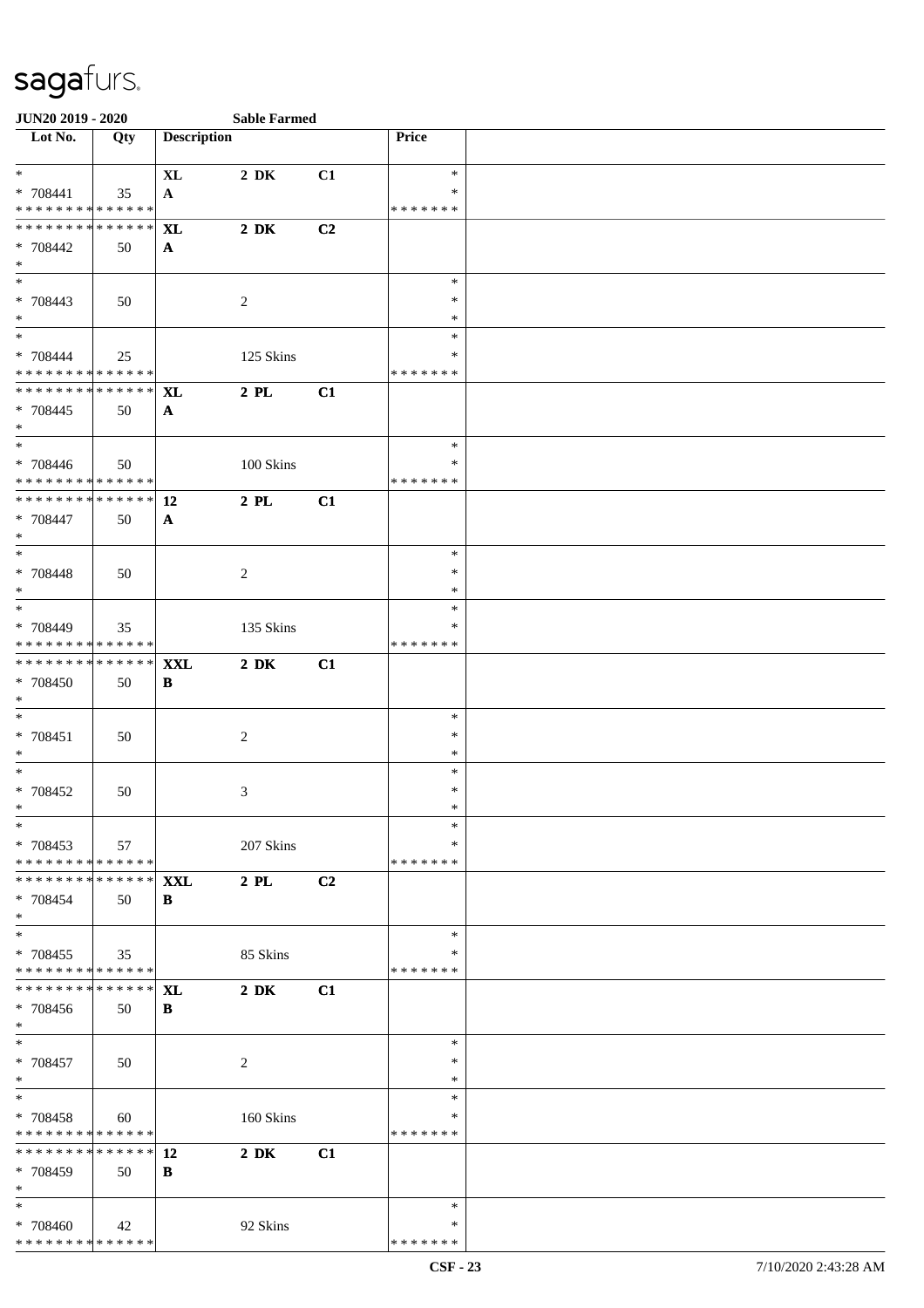| <b>JUN20 2019 - 2020</b>                                       |     |                    | <b>Sable Farmed</b> |    |                    |  |
|----------------------------------------------------------------|-----|--------------------|---------------------|----|--------------------|--|
| Lot No.                                                        | Qty | <b>Description</b> |                     |    | Price              |  |
| $*$                                                            |     | $\bold{X}\bold{L}$ | $2\,$ DK            | C1 | $\ast$             |  |
| * 708441                                                       | 35  | $\mathbf{A}$       |                     |    | $\ast$             |  |
| * * * * * * * * * * * * * * *                                  |     |                    |                     |    | * * * * * * *      |  |
| ******** <mark>******</mark>                                   |     | <b>XL</b>          | $2\ \mathrm{DK}$    | C2 |                    |  |
| * 708442                                                       | 50  | A                  |                     |    |                    |  |
| $*$<br>$\frac{1}{1}$                                           |     |                    |                     |    | $\ast$             |  |
| * 708443                                                       | 50  |                    | 2                   |    | ∗                  |  |
| $*$                                                            |     |                    |                     |    | $\ast$             |  |
| $*$                                                            |     |                    |                     |    | $\ast$             |  |
| * 708444                                                       | 25  |                    | 125 Skins           |    | ∗                  |  |
| * * * * * * * * <mark>* * * * * * *</mark>                     |     |                    |                     |    | *******            |  |
| * * * * * * * * * * * * * * *                                  |     | XL                 | $2$ PL              | C1 |                    |  |
| * 708445                                                       | 50  | $\mathbf{A}$       |                     |    |                    |  |
| $\ast$                                                         |     |                    |                     |    |                    |  |
| $*$                                                            |     |                    |                     |    | $\ast$             |  |
| * 708446<br>* * * * * * * * * * * * * *                        | 50  |                    | 100 Skins           |    | ∗<br>* * * * * * * |  |
| * * * * * * * * * * * * * * *                                  |     | 12                 | $2$ PL              | C1 |                    |  |
| * 708447                                                       | 50  | $\mathbf{A}$       |                     |    |                    |  |
| $*$                                                            |     |                    |                     |    |                    |  |
| $*$                                                            |     |                    |                     |    | $\ast$             |  |
| * 708448                                                       | 50  |                    | 2                   |    | $\ast$             |  |
| $*$                                                            |     |                    |                     |    | $\ast$             |  |
|                                                                |     |                    |                     |    | $\ast$             |  |
| * 708449<br>* * * * * * * * * * * * * *                        | 35  |                    | 135 Skins           |    | ∗<br>* * * * * * * |  |
| * * * * * * * * * * * * * * *                                  |     | <b>XXL</b>         | $2\,$ DK            | C1 |                    |  |
| * 708450                                                       | 50  | B                  |                     |    |                    |  |
| $\ast$                                                         |     |                    |                     |    |                    |  |
| $*$                                                            |     |                    |                     |    | $\ast$             |  |
| * 708451                                                       | 50  |                    | 2                   |    | $\ast$             |  |
| $*$                                                            |     |                    |                     |    | $\ast$             |  |
| $*$                                                            |     |                    |                     |    | $\ast$             |  |
| * 708452<br>$\ast$                                             | 50  |                    | 3                   |    | $\ast$<br>$\ast$   |  |
| $\ast$                                                         |     |                    |                     |    | $\ast$             |  |
| * 708453                                                       | 57  |                    | 207 Skins           |    | $\ast$             |  |
| * * * * * * * * * * * * * *                                    |     |                    |                     |    | * * * * * * *      |  |
| * * * * * * * * <mark>* * * * * * *</mark>                     |     | <b>XXL</b>         | $2$ PL              | C2 |                    |  |
| * 708454                                                       | 50  | B                  |                     |    |                    |  |
| $*$                                                            |     |                    |                     |    |                    |  |
|                                                                |     |                    |                     |    | $\ast$             |  |
| $* 708455$<br>* * * * * * * * * * * * * * *                    | 35  |                    | 85 Skins            |    | ∗<br>* * * * * * * |  |
| * * * * * * * * * * * * * * *                                  |     |                    | $2\ \mathrm{DK}$    |    |                    |  |
| * 708456                                                       | 50  | <b>XL</b><br>B     |                     | C1 |                    |  |
| $*$                                                            |     |                    |                     |    |                    |  |
| $*$                                                            |     |                    |                     |    | $\ast$             |  |
| $* 708457$                                                     | 50  |                    | 2                   |    | $\ast$             |  |
| $*$                                                            |     |                    |                     |    | $\ast$             |  |
| $*$                                                            |     |                    |                     |    | $\ast$             |  |
| $* 708458$                                                     | 60  |                    | 160 Skins           |    | ∗                  |  |
| * * * * * * * * * * * * * * *<br>* * * * * * * * * * * * * * * |     |                    |                     |    | * * * * * * *      |  |
| * 708459                                                       | 50  | 12<br>B            | $2\ \mathrm{DK}$    | C1 |                    |  |
| $*$                                                            |     |                    |                     |    |                    |  |
| $*$                                                            |     |                    |                     |    | $\ast$             |  |
| * 708460                                                       | 42  |                    | 92 Skins            |    | ∗                  |  |
| * * * * * * * * * * * * * * *                                  |     |                    |                     |    | * * * * * * *      |  |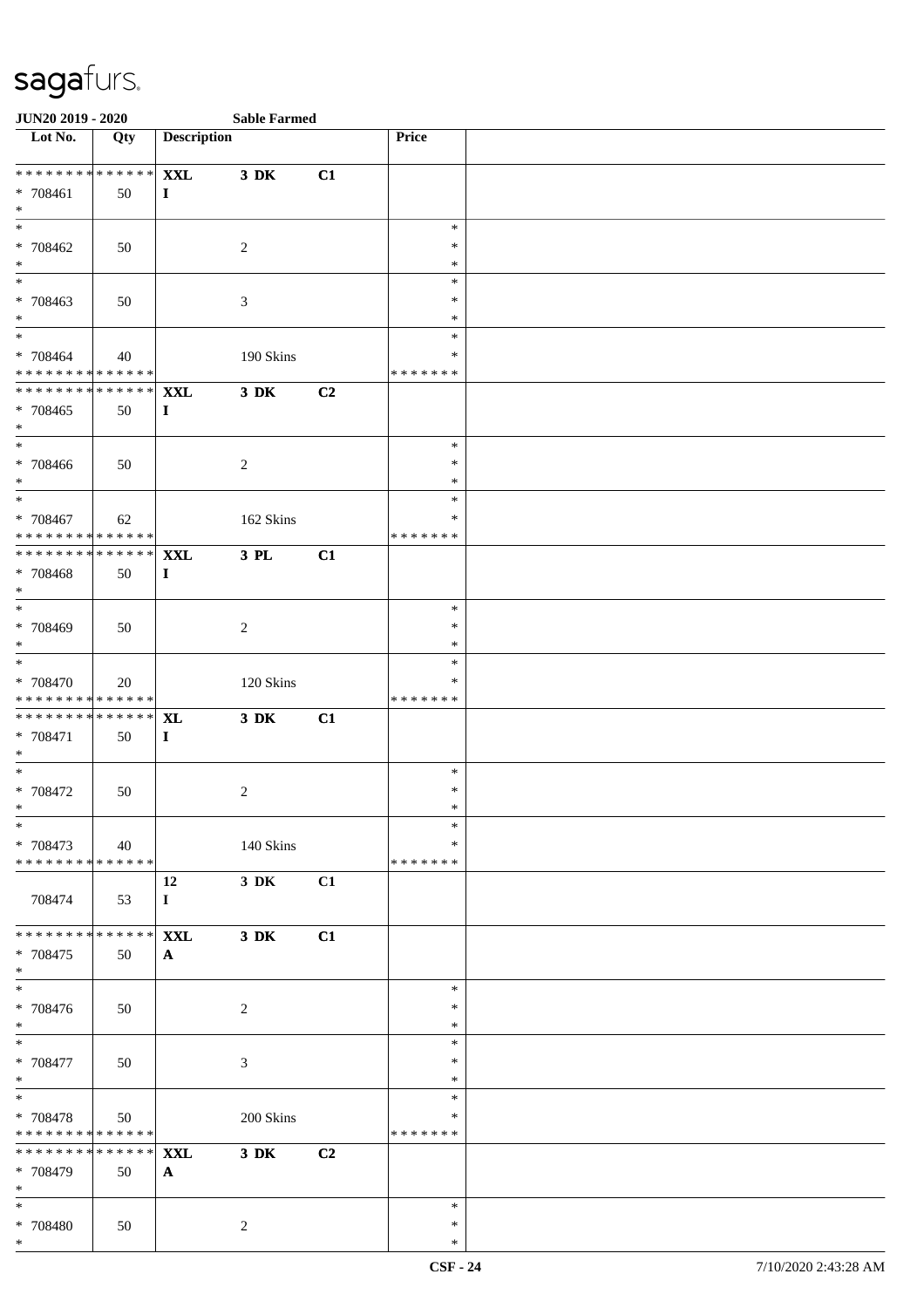| <b>JUN20 2019 - 2020</b>                  |     |                    | <b>Sable Farmed</b> |    |                    |  |
|-------------------------------------------|-----|--------------------|---------------------|----|--------------------|--|
| Lot No.                                   | Qty | <b>Description</b> |                     |    | Price              |  |
|                                           |     |                    |                     |    |                    |  |
| ******** <mark>******</mark>              |     | <b>XXL</b>         | $3\,$ DK            | C1 |                    |  |
| * 708461                                  | 50  | $\mathbf{I}$       |                     |    |                    |  |
| $*$                                       |     |                    |                     |    |                    |  |
| $*$                                       |     |                    |                     |    | $\ast$             |  |
| * 708462                                  | 50  |                    | 2                   |    | $\ast$             |  |
| $*$                                       |     |                    |                     |    | $\ast$             |  |
|                                           |     |                    |                     |    | $\ast$<br>$\ast$   |  |
| * 708463<br>$*$                           | 50  |                    | $\mathfrak{Z}$      |    | $\ast$             |  |
| $*$                                       |     |                    |                     |    | $\ast$             |  |
| * 708464                                  | 40  |                    | 190 Skins           |    | $\ast$             |  |
| * * * * * * * * * * * * * * *             |     |                    |                     |    | * * * * * * *      |  |
| ******** <mark>******</mark>              |     | <b>XXL</b>         | 3 DK                | C2 |                    |  |
| * 708465                                  | 50  | $\bf{I}$           |                     |    |                    |  |
| $*$                                       |     |                    |                     |    |                    |  |
| $*$                                       |     |                    |                     |    | $\ast$             |  |
| * 708466                                  | 50  |                    | $\overline{c}$      |    | $\ast$             |  |
| $*$                                       |     |                    |                     |    | $\ast$             |  |
| $*$                                       |     |                    |                     |    | $\ast$             |  |
| * 708467                                  | 62  |                    | 162 Skins           |    | ∗                  |  |
| ******** <mark>******</mark>              |     |                    |                     |    | * * * * * * *      |  |
| * * * * * * * * * * * * * * *             |     | <b>XXL</b>         | 3 PL                | C1 |                    |  |
| * 708468                                  | 50  | $\bf{I}$           |                     |    |                    |  |
| $*$                                       |     |                    |                     |    |                    |  |
| $*$                                       |     |                    |                     |    | $\ast$             |  |
| * 708469                                  | 50  |                    | $\sqrt{2}$          |    | $\ast$             |  |
| $*$<br>$*$                                |     |                    |                     |    | $\ast$             |  |
|                                           |     |                    |                     |    | $\ast$             |  |
| $* 708470$<br>* * * * * * * * * * * * * * | 20  |                    | 120 Skins           |    | ∗<br>* * * * * * * |  |
| * * * * * * * * * * * * * * *             |     | <b>XL</b>          | 3 DK                | C1 |                    |  |
| * 708471                                  | 50  | $\bf{I}$           |                     |    |                    |  |
| $*$                                       |     |                    |                     |    |                    |  |
| $*$                                       |     |                    |                     |    | $\ast$             |  |
| * 708472                                  | 50  |                    | $\overline{c}$      |    | $\ast$             |  |
| $*$                                       |     |                    |                     |    | $\ast$             |  |
| $\ast$                                    |     |                    |                     |    | $\ast$             |  |
| * 708473                                  | 40  |                    | 140 Skins           |    | ∗                  |  |
| * * * * * * * * * * * * * * *             |     |                    |                     |    | * * * * * * *      |  |
|                                           |     | 12                 | 3 DK                | C1 |                    |  |
| 708474                                    | 53  | $\mathbf{I}$       |                     |    |                    |  |
| * * * * * * * * * * * * * * *             |     |                    |                     |    |                    |  |
|                                           |     | <b>XXL</b>         | 3 DK                | C1 |                    |  |
| * 708475<br>$*$                           | 50  | $\mathbf{A}$       |                     |    |                    |  |
| $\overline{\phantom{0}}$                  |     |                    |                     |    | $\ast$             |  |
| * 708476                                  | 50  |                    | $\overline{c}$      |    | $\ast$             |  |
| $*$                                       |     |                    |                     |    | $\ast$             |  |
| $*$                                       |     |                    |                     |    | $\ast$             |  |
| * 708477                                  | 50  |                    | 3                   |    | $\ast$             |  |
| $*$                                       |     |                    |                     |    | $\ast$             |  |
| $*$                                       |     |                    |                     |    | $\ast$             |  |
| * 708478                                  | 50  |                    | 200 Skins           |    | $\ast$             |  |
| * * * * * * * * * * * * * *               |     |                    |                     |    | * * * * * * *      |  |
| ******** <mark>******</mark>              |     | <b>XXL</b>         | $3\,$ DK            | C2 |                    |  |
| * 708479                                  | 50  | $\mathbf{A}$       |                     |    |                    |  |
| $*$                                       |     |                    |                     |    |                    |  |
| $*$                                       |     |                    |                     |    | $\ast$<br>$\ast$   |  |
| * 708480<br>$*$                           | 50  |                    | 2                   |    | $\ast$             |  |
|                                           |     |                    |                     |    |                    |  |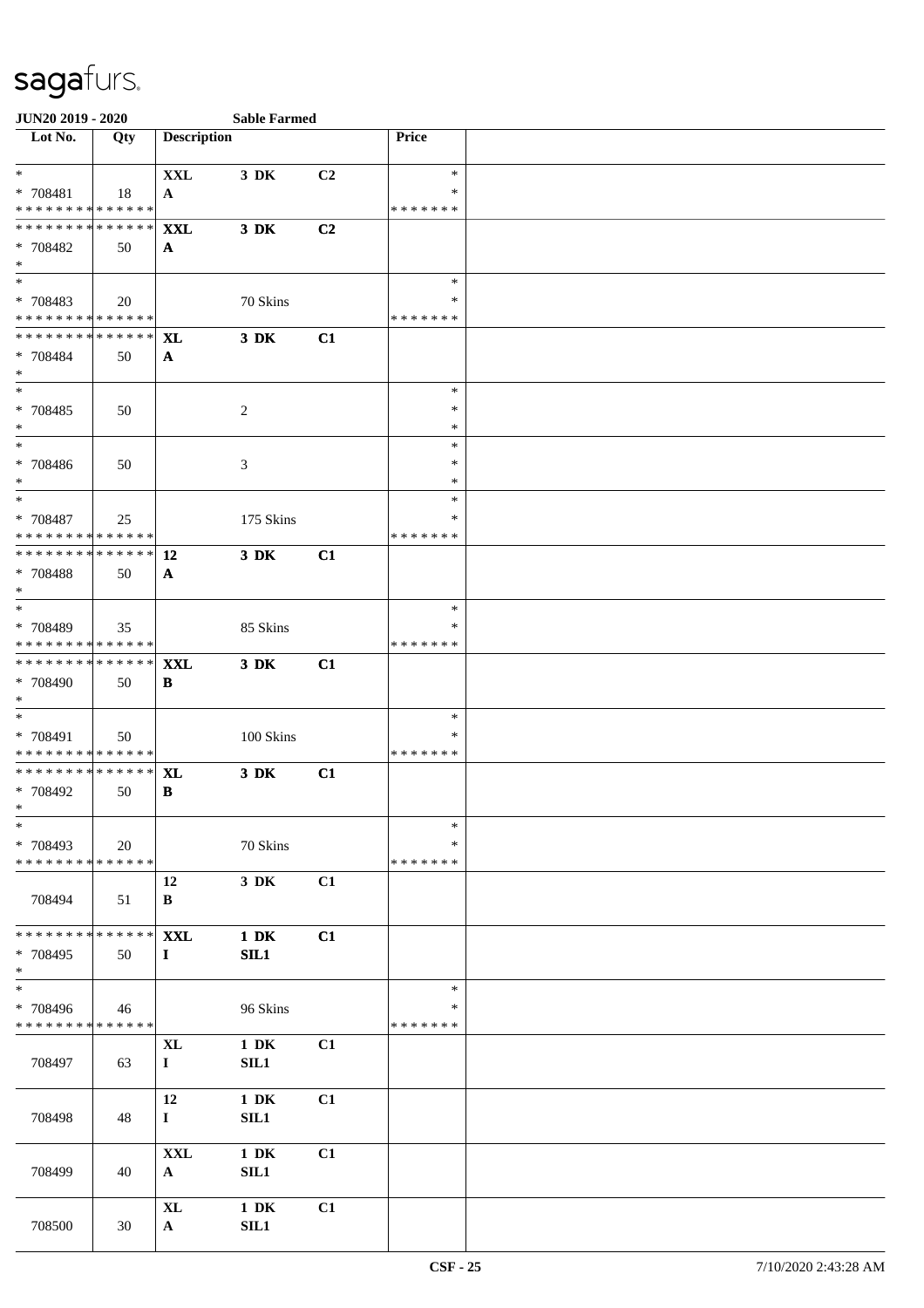| <b>JUN20 2019 - 2020</b>                   |     |                    | <b>Sable Farmed</b> |                |                    |  |
|--------------------------------------------|-----|--------------------|---------------------|----------------|--------------------|--|
| $\overline{\phantom{1}}$ Lot No.           | Qty | <b>Description</b> |                     |                | Price              |  |
| $\ast$                                     |     | <b>XXL</b>         | 3 DK                | C <sub>2</sub> | $\ast$             |  |
| * 708481                                   | 18  | $\mathbf{A}$       |                     |                | ∗                  |  |
| * * * * * * * * * * * * * *                |     |                    |                     |                | * * * * * * *      |  |
| * * * * * * * * * * * * * * *              |     | <b>XXL</b>         | 3 DK                | C2             |                    |  |
| * 708482                                   | 50  | $\mathbf{A}$       |                     |                |                    |  |
| $*$                                        |     |                    |                     |                |                    |  |
| $*$                                        |     |                    |                     |                | $\ast$             |  |
| * 708483                                   | 20  |                    | 70 Skins            |                | ∗                  |  |
| * * * * * * * * * * * * * *                |     |                    |                     |                | * * * * * * *      |  |
| * * * * * * * * * * * * * * *              |     | XL                 | 3 DK                | C1             |                    |  |
| * 708484                                   | 50  | $\mathbf{A}$       |                     |                |                    |  |
| $*$                                        |     |                    |                     |                |                    |  |
| $*$                                        |     |                    |                     |                | $\ast$             |  |
| * 708485                                   | 50  |                    | $\overline{2}$      |                | $\ast$             |  |
| $*$                                        |     |                    |                     |                | $\ast$             |  |
| $\ast$                                     |     |                    |                     |                | $\ast$             |  |
| * 708486                                   | 50  |                    | 3                   |                | $\ast$             |  |
| $*$<br>$*$                                 |     |                    |                     |                | $\ast$             |  |
|                                            |     |                    |                     |                | $\ast$             |  |
| * 708487<br>* * * * * * * * * * * * * * *  | 25  |                    | 175 Skins           |                | ∗<br>* * * * * * * |  |
| ******** <mark>******</mark>               |     |                    | $3$ DK              |                |                    |  |
|                                            |     | 12                 |                     | C1             |                    |  |
| * 708488<br>$*$                            | 50  | $\mathbf{A}$       |                     |                |                    |  |
|                                            |     |                    |                     |                | $\ast$             |  |
| * 708489                                   | 35  |                    | 85 Skins            |                | $\ast$             |  |
| * * * * * * * * * * * * * *                |     |                    |                     |                | * * * * * * *      |  |
| ******** <mark>******</mark>               |     | <b>XXL</b>         | 3 DK                | C1             |                    |  |
| * 708490                                   | 50  | B                  |                     |                |                    |  |
| $*$                                        |     |                    |                     |                |                    |  |
| $*$                                        |     |                    |                     |                | $\ast$             |  |
| * 708491                                   | 50  |                    | 100 Skins           |                | $\ast$             |  |
| * * * * * * * * <mark>* * * * * * *</mark> |     |                    |                     |                | * * * * * * *      |  |
| * * * * * * * * * * * * * * *              |     | XL                 | 3 DK                | C1             |                    |  |
| * 708492                                   | 50  | $\, {\bf B}$       |                     |                |                    |  |
| $\ast$                                     |     |                    |                     |                |                    |  |
| $\ast$                                     |     |                    |                     |                | $\ast$             |  |
| * 708493                                   | 20  |                    | 70 Skins            |                | ∗                  |  |
| * * * * * * * * * * * * * *                |     |                    |                     |                | * * * * * * *      |  |
|                                            |     | 12                 | 3 DK                | C1             |                    |  |
| 708494                                     | 51  | B                  |                     |                |                    |  |
|                                            |     |                    |                     |                |                    |  |
| * * * * * * * * * * * * * * *              |     | <b>XXL</b>         | $1\ \mathrm{DK}$    | C1             |                    |  |
| * 708495                                   | 50  | $\bf{I}$           | SL1                 |                |                    |  |
| $*$                                        |     |                    |                     |                |                    |  |
| $\overline{\ast}$                          |     |                    |                     |                | $\ast$             |  |
| * 708496                                   | 46  |                    | 96 Skins            |                | ∗                  |  |
| * * * * * * * * * * * * * *                |     |                    |                     |                | * * * * * * *      |  |
|                                            |     | <b>XL</b>          | $1\,$ DK            | C1             |                    |  |
| 708497                                     | 63  | $\bf{I}$           | SL1                 |                |                    |  |
|                                            |     |                    |                     |                |                    |  |
|                                            |     | 12                 | $1\,$ DK            | C1             |                    |  |
| 708498                                     | 48  | $\mathbf{I}$       | SL1                 |                |                    |  |
|                                            |     | <b>XXL</b>         | $1\,$ DK            | C1             |                    |  |
|                                            | 40  |                    | SL1                 |                |                    |  |
| 708499                                     |     | $\mathbf{A}$       |                     |                |                    |  |
|                                            |     | $\bold{X}\bold{L}$ | $1\,$ DK            | C1             |                    |  |
| 708500                                     | 30  | $\mathbf{A}$       | SIL1                |                |                    |  |
|                                            |     |                    |                     |                |                    |  |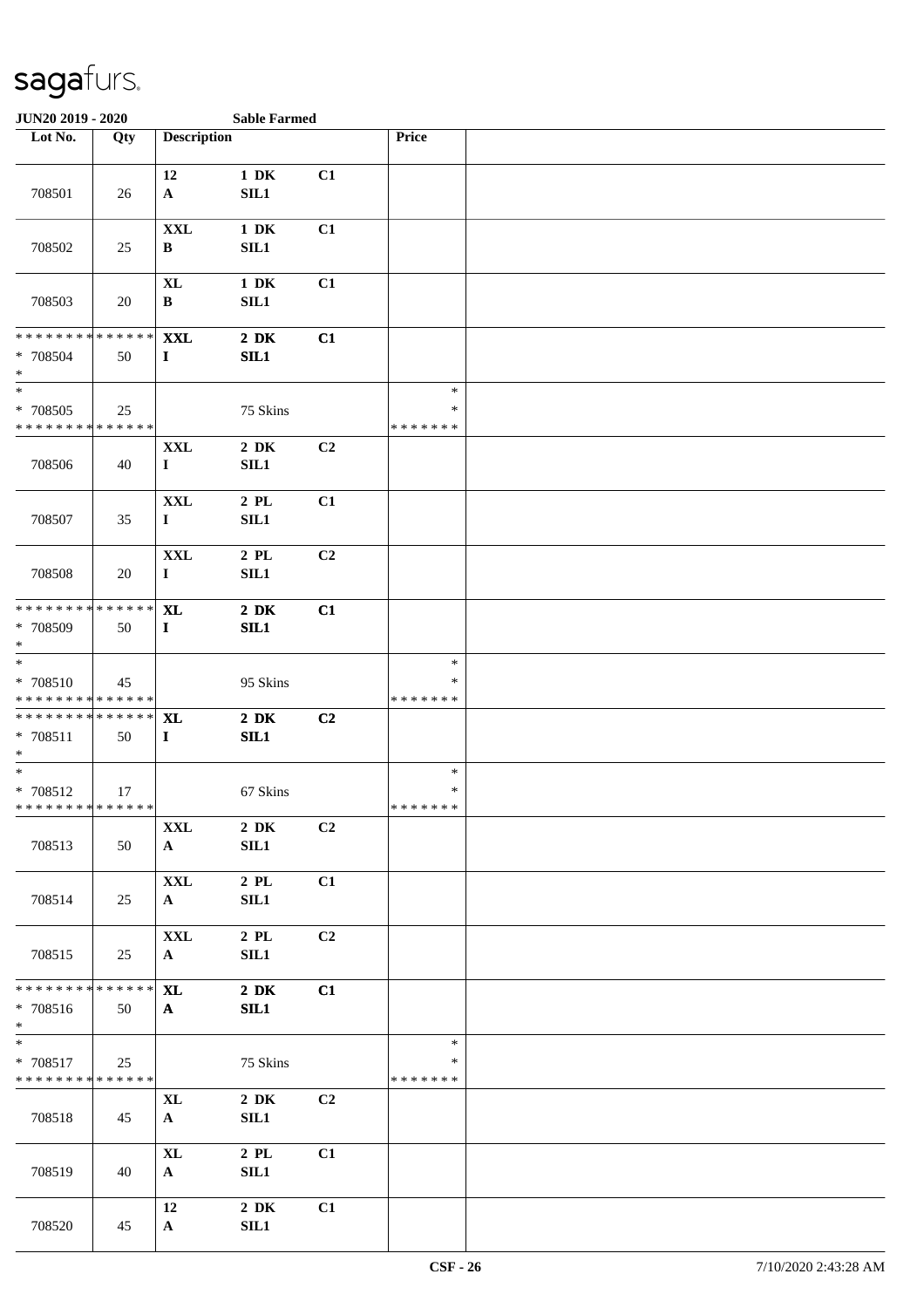| JUN20 2019 - 2020                                                             |     |                            | <b>Sable Farmed</b>     |                |                                   |  |
|-------------------------------------------------------------------------------|-----|----------------------------|-------------------------|----------------|-----------------------------------|--|
| Lot No.                                                                       | Qty | <b>Description</b>         |                         |                | Price                             |  |
| 708501                                                                        | 26  | 12<br>$\mathbf{A}$         | $1\ \mathrm{DK}$<br>SL1 | C1             |                                   |  |
| 708502                                                                        | 25  | <b>XXL</b><br>$\, {\bf B}$ | $1\,$ DK<br>SL1         | C1             |                                   |  |
| 708503                                                                        | 20  | <b>XL</b><br>$\, {\bf B}$  | $1\ \mathrm{DK}$<br>SL1 | C1             |                                   |  |
| * * * * * * * * * * * * * *<br>* 708504<br>$\ast$<br>$\overline{\phantom{1}}$ | 50  | <b>XXL</b><br>$\bf{I}$     | $2\,$ DK<br>SIL1        | C1             |                                   |  |
| $* 708505$<br>* * * * * * * * * * * * * *                                     | 25  |                            | 75 Skins                |                | $\ast$<br>$\ast$<br>* * * * * * * |  |
| 708506                                                                        | 40  | <b>XXL</b><br>$\bf{I}$     | $2\,$ DK<br>SL1         | C2             |                                   |  |
| 708507                                                                        | 35  | <b>XXL</b><br>$\bf{I}$     | $2\,$ PL $\,$<br>SL1    | C1             |                                   |  |
| 708508                                                                        | 20  | <b>XXL</b><br>$\bf{I}$     | $2\,$ PL $\,$<br>SL1    | C2             |                                   |  |
| * * * * * * * * * * * * * *<br>* 708509<br>$\ast$                             | 50  | <b>XL</b><br>$\mathbf{I}$  | $2\,$ DK<br>SIL1        | C1             |                                   |  |
| $\ast$<br>* 708510<br>* * * * * * * * * * * * * *                             | 45  |                            | 95 Skins                |                | $\ast$<br>*<br>* * * * * * *      |  |
| * * * * * * * * * * * * * *<br>$* 708511$<br>$\ast$                           | 50  | <b>XL</b><br>$\mathbf{I}$  | $2\,$ DK<br>SL1         | C2             |                                   |  |
| $\ast$<br>$* 708512$<br>**************                                        | 17  |                            | 67 Skins                |                | $\ast$<br>$\ast$<br>*******       |  |
| 708513                                                                        | 50  | <b>XXL</b><br>$\mathbf{A}$ | $2\,$ DK<br>SL1         | C <sub>2</sub> |                                   |  |
| 708514                                                                        | 25  | <b>XXL</b><br>$\mathbf{A}$ | $2$ PL<br>SL1           | C1             |                                   |  |
| 708515                                                                        | 25  | <b>XXL</b><br>${\bf A}$    | $2$ PL<br><b>SIL1</b>   | C <sub>2</sub> |                                   |  |
| * * * * * * * * * * * * * *<br>* 708516<br>$*$                                | 50  | <b>XL</b><br>$\mathbf{A}$  | $2\,$ DK<br>SL1         | C1             |                                   |  |
| $\ast$<br>* 708517<br>* * * * * * * * * * * * * *                             | 25  |                            | 75 Skins                |                | $\ast$<br>∗<br>* * * * * * *      |  |
| 708518                                                                        | 45  | <b>XL</b><br>$\mathbf{A}$  | $2\,$ DK<br>SL1         | C <sub>2</sub> |                                   |  |
| 708519                                                                        | 40  | <b>XL</b><br>$\mathbf{A}$  | $2$ PL<br>SL1           | C1             |                                   |  |
| 708520                                                                        | 45  | 12<br>$\mathbf{A}$         | $2\,$ DK<br>SL1         | C1             |                                   |  |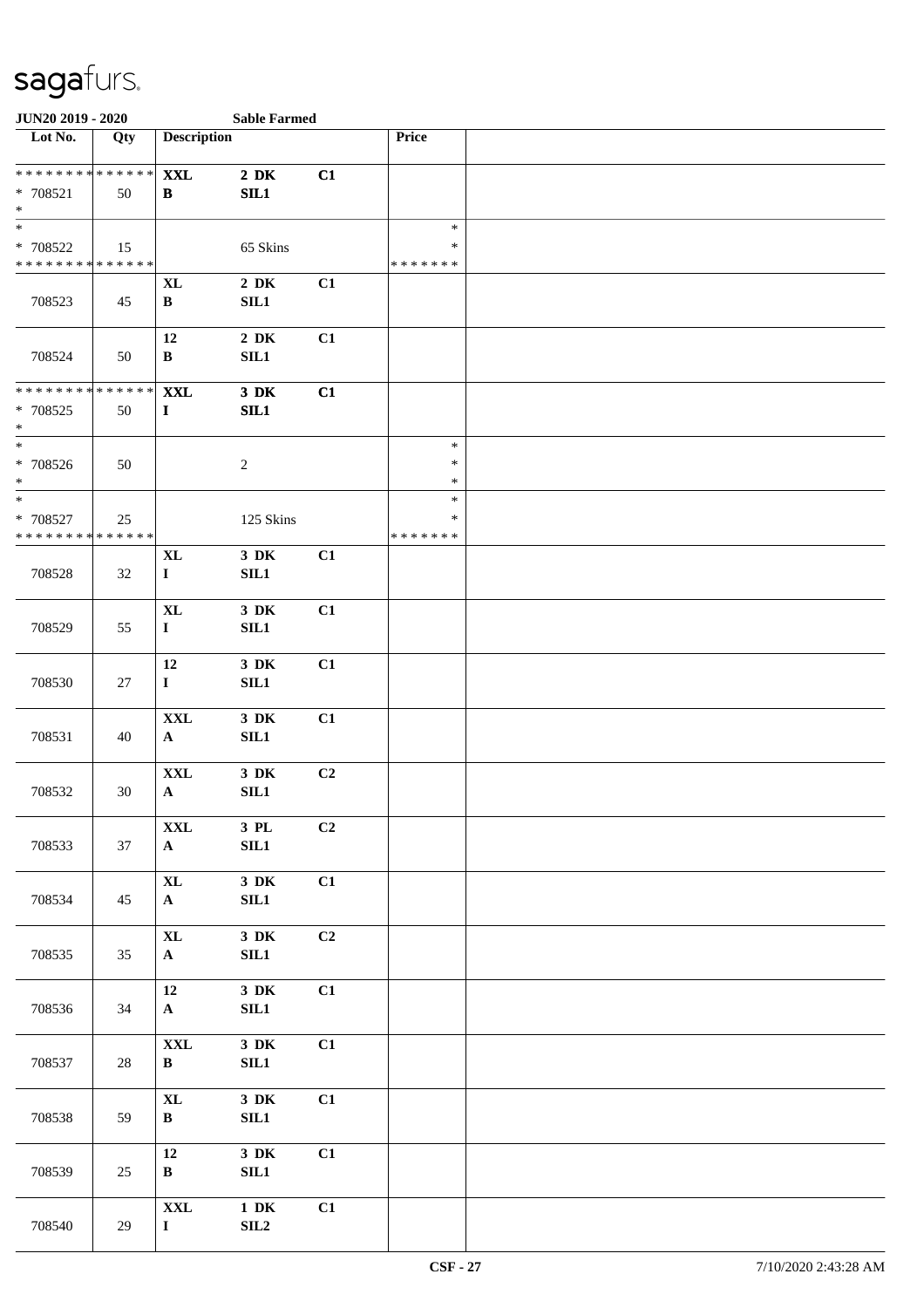| JUN20 2019 - 2020                                            |        |                                | <b>Sable Farmed</b>       |                |                                   |  |
|--------------------------------------------------------------|--------|--------------------------------|---------------------------|----------------|-----------------------------------|--|
| Lot No.                                                      | Qty    | <b>Description</b>             |                           |                | Price                             |  |
| ******** <mark>******</mark><br>* 708521<br>$\ast$           | 50     | <b>XXL</b><br>B                | $2\,$ DK<br>SL1           | C1             |                                   |  |
| $\overline{\ast}$<br>* 708522<br>* * * * * * * * * * * * * * | 15     |                                | 65 Skins                  |                | $\ast$<br>$\ast$<br>* * * * * * * |  |
| 708523                                                       | 45     | <b>XL</b><br>$\, {\bf B}$      | $2\,$ DK<br>SIL1          | C1             |                                   |  |
| 708524                                                       | 50     | 12<br>$\, {\bf B}$             | $2\,$ DK<br>SIL1          | C1             |                                   |  |
| * * * * * * * * * * * * * *<br>* 708525<br>$\ast$            | 50     | <b>XXL</b><br>$\mathbf{I}$     | $3\,$ DK<br>SL1           | C1             |                                   |  |
| $\ast$<br>$* 708526$<br>$\ast$                               | 50     |                                | $\overline{2}$            |                | $\ast$<br>$\ast$<br>$\ast$        |  |
| $\ast$<br>* 708527<br>* * * * * * * * * * * * * *            | 25     |                                | 125 Skins                 |                | $\ast$<br>∗<br>* * * * * * *      |  |
| 708528                                                       | 32     | $\mathbf{XL}$<br>$\mathbf{I}$  | 3 DK<br>SL1               | C1             |                                   |  |
| 708529                                                       | 55     | <b>XL</b><br>$\mathbf I$       | 3 DK<br>SIL1              | C1             |                                   |  |
| 708530                                                       | 27     | 12<br>$\mathbf I$              | 3 DK<br>SIL1              | C1             |                                   |  |
| 708531                                                       | 40     | $\mathbf{XXL}$<br>$\mathbf{A}$ | $3\,$ DK<br>$\rm SIL1$    | C1             |                                   |  |
| 708532                                                       | 30     | <b>XXL</b><br>$\mathbf{A}$     | $3\,$ DK<br>SL1           | C <sub>2</sub> |                                   |  |
| 708533                                                       | 37     | <b>XXL</b><br>$\mathbf{A}$     | $3$ PL $\,$<br>$\rm SIL1$ | C2             |                                   |  |
| 708534                                                       | 45     | $\mathbf{XL}$<br>${\bf A}$     | $3\,$ DK<br>SIL1          | C1             |                                   |  |
| 708535                                                       | 35     | $\mathbf{XL}$<br>$\mathbf{A}$  | $3\,$ DK<br>SIL1          | C <sub>2</sub> |                                   |  |
| 708536                                                       | 34     | 12<br>$\mathbf{A}$             | $3\,$ DK<br>SIL1          | C1             |                                   |  |
| 708537                                                       | $28\,$ | $\mathbf{XXL}$<br>$\, {\bf B}$ | $3\,$ DK<br>SL1           | C1             |                                   |  |
| 708538                                                       | 59     | $\mathbf{X}$ L<br>$\, {\bf B}$ | $3\,$ DK<br>SL1           | C1             |                                   |  |
| 708539                                                       | 25     | 12<br>$\, {\bf B}$             | $3\,$ DK<br>SL1           | C1             |                                   |  |
| 708540                                                       | 29     | $\mathbf{XXL}$<br>$\mathbf I$  | $1\,$ DK<br>SL2           | C1             |                                   |  |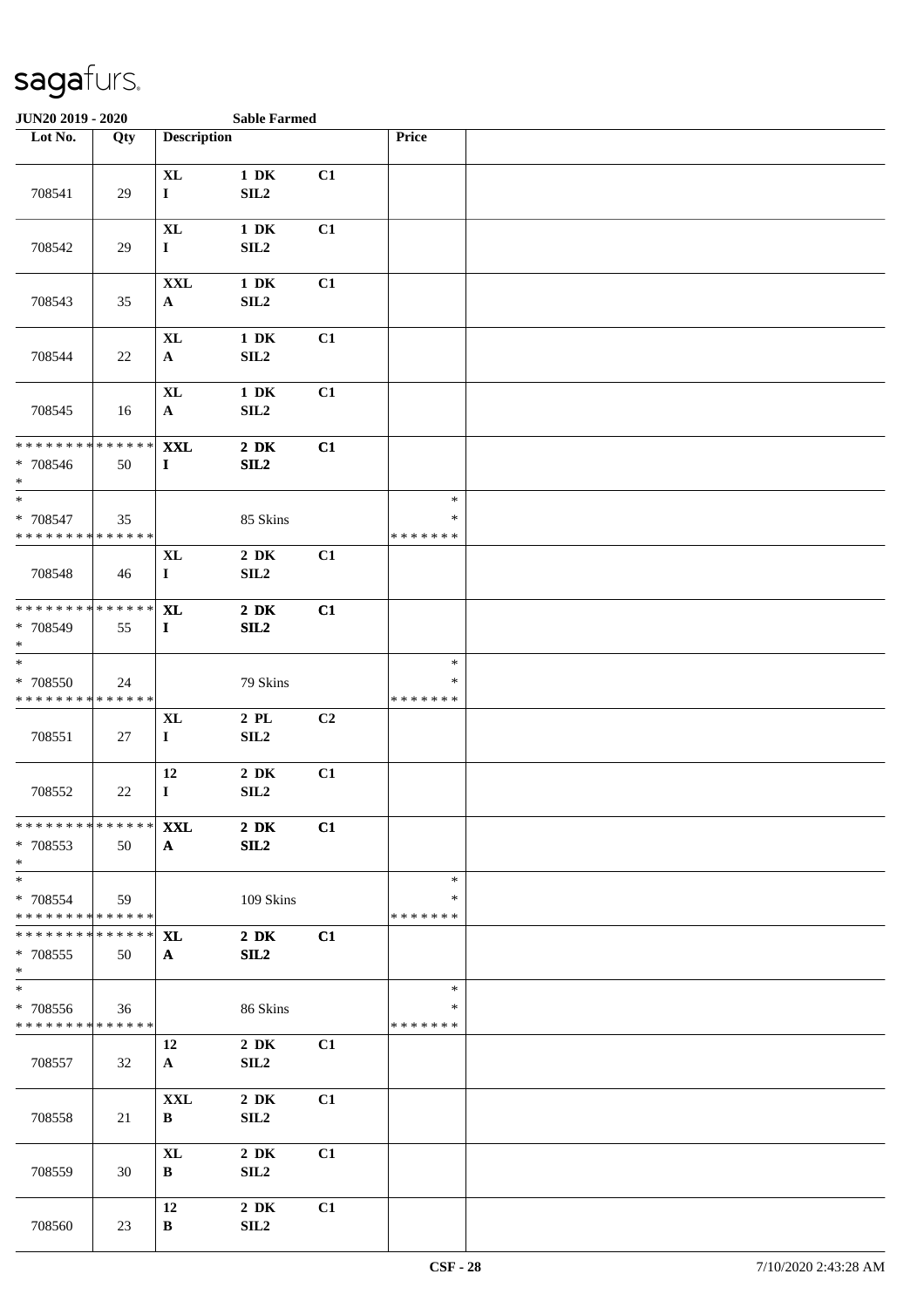| <b>JUN20 2019 - 2020</b>                                              |        |                                    | <b>Sable Farmed</b>                      |    |                              |  |
|-----------------------------------------------------------------------|--------|------------------------------------|------------------------------------------|----|------------------------------|--|
| Lot No.                                                               | Qty    | <b>Description</b>                 |                                          |    | Price                        |  |
| 708541                                                                | 29     | <b>XL</b><br>$\mathbf{I}$          | $1\,$ DK<br>SL2                          | C1 |                              |  |
| 708542                                                                | 29     | <b>XL</b><br>$\mathbf{I}$          | $1\ \mathrm{DK}$<br>SIL <sub>2</sub>     | C1 |                              |  |
| 708543                                                                | 35     | $\mathbf{XXL}$<br>$\mathbf{A}$     | $1\,$ DK<br>SIL <sub>2</sub>             | C1 |                              |  |
| 708544                                                                | 22     | $\bold{X}\bold{L}$<br>$\mathbf{A}$ | $1\,$ DK<br>$\ensuremath{\mathrm{SIL2}}$ | C1 |                              |  |
| 708545                                                                | 16     | <b>XL</b><br>${\bf A}$             | $1\,$ DK<br>SL2                          | C1 |                              |  |
| * * * * * * * * * * * * * *<br>* 708546<br>$\ast$                     | 50     | <b>XXL</b><br>$\mathbf I$          | $2\,$ DK<br>SL2                          | C1 |                              |  |
| $\ast$<br>* 708547<br>* * * * * * * * * * * * * *                     | 35     |                                    | 85 Skins                                 |    | $\ast$<br>∗<br>* * * * * * * |  |
| 708548                                                                | 46     | $\bold{X}\bold{L}$<br>$\mathbf{I}$ | $2\,$ DK<br>SL2                          | C1 |                              |  |
| * * * * * * * * * * * * * *<br>* 708549<br>$\ast$                     | 55     | $\bold{X}\bold{L}$<br>$\mathbf{I}$ | $2\,$ DK<br>SL2                          | C1 |                              |  |
| $\overline{\phantom{a}^*}$<br>* 708550<br>* * * * * * * * * * * * * * | 24     |                                    | 79 Skins                                 |    | $\ast$<br>*<br>* * * * * * * |  |
| 708551                                                                | 27     | $\bold{X}\bold{L}$<br>$\mathbf I$  | $2$ PL<br>SLL2                           | C2 |                              |  |
| 708552                                                                | $22\,$ | 12<br>$\mathbf I$                  | $2\,$ DK<br>SL2                          | C1 |                              |  |
| * * * * * * * * * * * * * * *<br>* 708553<br>$*$                      | 50     | <b>XXL</b><br>$\mathbf{A}$         | $2\,$ DK<br>SL2                          | C1 |                              |  |
| $*$<br>* 708554<br>* * * * * * * * * * * * * *                        | 59     |                                    | 109 Skins                                |    | $\ast$<br>∗<br>* * * * * * * |  |
| * * * * * * * * * * * * * * *<br>* 708555<br>$*$                      | 50     | XL<br>A                            | $2\,$ DK<br>SL2                          | C1 |                              |  |
| $\overline{\phantom{0}}$<br>* 708556<br>* * * * * * * * * * * * * *   | 36     |                                    | 86 Skins                                 |    | $\ast$<br>∗<br>* * * * * * * |  |
| 708557                                                                | 32     | 12<br>$\mathbf{A}$                 | $2\,$ DK<br>SIL <sub>2</sub>             | C1 |                              |  |
| 708558                                                                | 21     | <b>XXL</b><br>B                    | $2\,$ DK<br>SL2                          | C1 |                              |  |
| 708559                                                                | 30     | <b>XL</b><br>B                     | $2\,$ DK<br>SIL <sub>2</sub>             | C1 |                              |  |
| 708560                                                                | 23     | 12<br>B                            | $2\,$ DK<br>SIL <sub>2</sub>             | C1 |                              |  |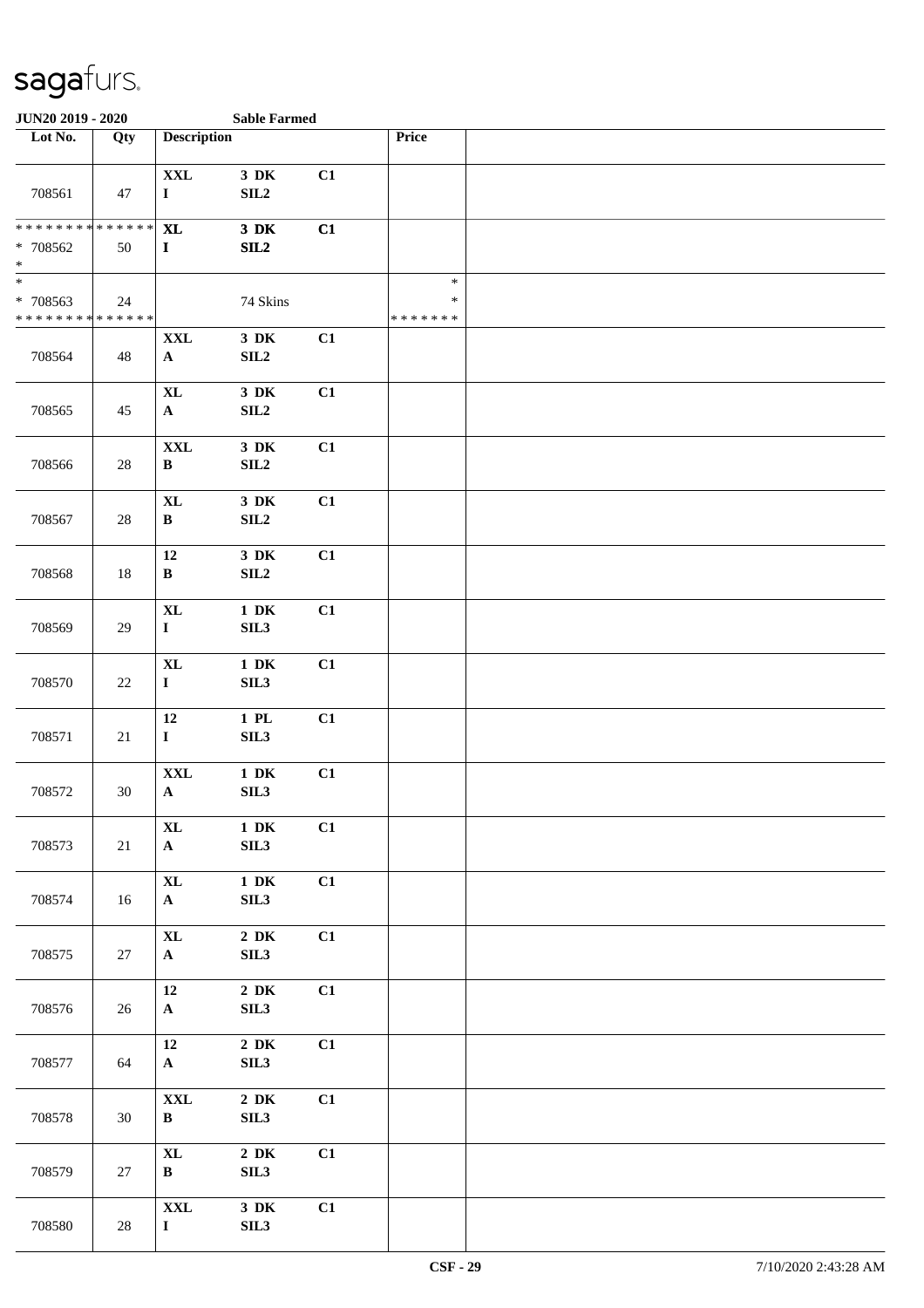| JUN20 2019 - 2020                                                       |        |                                    | <b>Sable Farmed</b>                      |    |                                   |  |  |  |
|-------------------------------------------------------------------------|--------|------------------------------------|------------------------------------------|----|-----------------------------------|--|--|--|
| Lot No.                                                                 | Qty    | <b>Description</b>                 |                                          |    | Price                             |  |  |  |
| 708561                                                                  | 47     | $\mathbf{XXL}$<br>$\mathbf I$      | $3\,$ DK<br>SL2                          | C1 |                                   |  |  |  |
| * * * * * * * * * * * * * *<br>$* 708562$<br>$\ast$                     | 50     | <b>XL</b><br>$\mathbf I$           | $3\,$ DK<br>SL2                          | C1 |                                   |  |  |  |
| $\frac{1}{1}$<br>* 708563<br>* * * * * * * * <mark>* * * * * * *</mark> | 24     |                                    | 74 Skins                                 |    | $\ast$<br>$\ast$<br>* * * * * * * |  |  |  |
| 708564                                                                  | 48     | $\mathbf{XXL}$<br>$\mathbf{A}$     | 3 DK<br>SIL <sub>2</sub>                 | C1 |                                   |  |  |  |
| 708565                                                                  | 45     | $\bold{X}\bold{L}$<br>$\mathbf{A}$ | $3\,$ DK<br>SL2                          | C1 |                                   |  |  |  |
| 708566                                                                  | $28\,$ | $\mathbf{XXL}$<br>$\, {\bf B}$     | $3\,$ DK<br>$\ensuremath{\mathrm{SIL2}}$ | C1 |                                   |  |  |  |
| 708567                                                                  | 28     | <b>XL</b><br>$\, {\bf B}$          | $3\,$ DK<br>SL2                          | C1 |                                   |  |  |  |
| 708568                                                                  | 18     | 12<br>$\, {\bf B}$                 | $3\,$ DK<br>SLL2                         | C1 |                                   |  |  |  |
| 708569                                                                  | 29     | $\mathbf{XL}$<br>$\mathbf I$       | $1\,$ DK<br>SIL3                         | C1 |                                   |  |  |  |
| 708570                                                                  | 22     | <b>XL</b><br>$\mathbf I$           | $1\,$ DK<br>SIL3                         | C1 |                                   |  |  |  |
| 708571                                                                  | 21     | 12<br>$\mathbf I$                  | $1$ PL<br>SIL3                           | C1 |                                   |  |  |  |
| 708572                                                                  | 30     | $\mathbf{XXL}$<br>$\mathbf{A}$     | $1\,$ DK<br>SIL3                         | C1 |                                   |  |  |  |
| 708573                                                                  | 21     | $\mathbf{XL}$<br>${\bf A}$         | $1\ \mathrm{DK}$<br>SIL3                 | C1 |                                   |  |  |  |
| 708574                                                                  | 16     | $\mathbf{XL}$<br>${\bf A}$         | $1\,$ DK<br>SIL3                         | C1 |                                   |  |  |  |
| 708575                                                                  | 27     | $\bold{X}\bold{L}$<br>$\mathbf{A}$ | $2\,$ DK<br>SIL3                         | C1 |                                   |  |  |  |
| 708576                                                                  | 26     | 12<br>$\mathbf{A}$                 | $2\,$ DK<br>SIL3                         | C1 |                                   |  |  |  |
| 708577                                                                  | 64     | 12<br>$\mathbf{A}$                 | $2\,$ DK<br>SIL3                         | C1 |                                   |  |  |  |
| 708578                                                                  | 30     | $\mathbf{XXL}$<br>$\bf{B}$         | $2\,$ DK<br>SIL3                         | C1 |                                   |  |  |  |
| 708579                                                                  | $27\,$ | $\bold{X}\bold{L}$<br>$\bf{B}$     | $2\,$ DK<br>SIL3                         | C1 |                                   |  |  |  |
| 708580                                                                  | 28     | $\mathbf{XXL}$<br>$\mathbf I$      | $3$ DK<br>SIL3                           | C1 |                                   |  |  |  |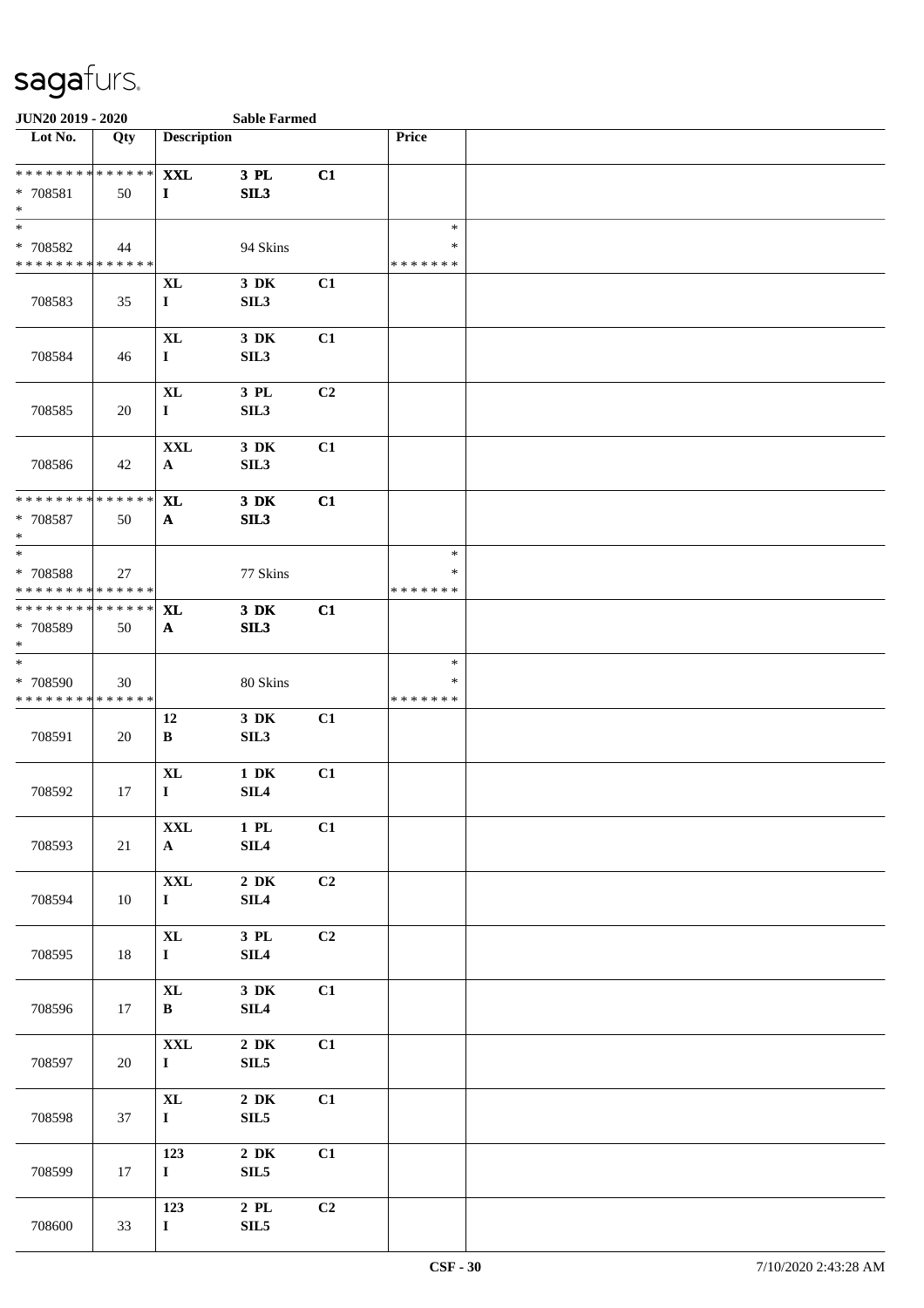| JUN20 2019 - 2020                                  |     |                                   | <b>Sable Farmed</b>          |    |                                   |  |
|----------------------------------------------------|-----|-----------------------------------|------------------------------|----|-----------------------------------|--|
| Lot No.                                            | Qty | <b>Description</b>                |                              |    | Price                             |  |
| ******** <mark>******</mark><br>* 708581<br>$\ast$ | 50  | <b>XXL</b><br>$\bf{I}$            | $3$ PL<br>SL3                | C1 |                                   |  |
| $\ast$<br>* 708582<br>* * * * * * * * * * * * * *  | 44  |                                   | 94 Skins                     |    | $\ast$<br>$\ast$<br>* * * * * * * |  |
| 708583                                             | 35  | <b>XL</b><br>$\mathbf I$          | 3 DK<br>SIL3                 | C1 |                                   |  |
| 708584                                             | 46  | $\bold{X}\bold{L}$<br>$\mathbf I$ | 3 DK<br>SIL3                 | C1 |                                   |  |
| 708585                                             | 20  | $\bold{X}\bold{L}$<br>$\mathbf I$ | 3 PL<br>SIL <sub>3</sub>     | C2 |                                   |  |
| 708586                                             | 42  | <b>XXL</b><br>$\mathbf{A}$        | 3 DK<br>SIL3                 | C1 |                                   |  |
| * * * * * * * * * * * * * *<br>* 708587<br>$\ast$  | 50  | <b>XL</b><br>$\mathbf{A}$         | 3 DK<br>SL3                  | C1 |                                   |  |
| $\ast$<br>* 708588<br>* * * * * * * * * * * * * *  | 27  |                                   | 77 Skins                     |    | $\ast$<br>∗<br>* * * * * * *      |  |
| * * * * * * * * * * * * * *<br>* 708589<br>$\ast$  | 50  | <b>XL</b><br>$\mathbf{A}$         | $3$ DK<br>SIL3               | C1 |                                   |  |
| $\ast$<br>* 708590<br>* * * * * * * * * * * * * *  | 30  |                                   | 80 Skins                     |    | $\ast$<br>∗<br>* * * * * * *      |  |
| 708591                                             | 20  | 12<br>B                           | 3 DK<br>SIL <sub>3</sub>     | C1 |                                   |  |
| 708592                                             | 17  | <b>XL</b><br>$\bf{I}$             | $1\ \mathrm{DK}$<br>SLL4     | C1 |                                   |  |
| 708593                                             | 21  | $\mathbf{XXL}$<br>${\bf A}$       | $1\,$ PL $\,$<br>SLL4        | C1 |                                   |  |
| 708594                                             | 10  | $\mathbf{XXL}$<br>$\mathbf I$     | $2\,$ DK<br>SIL4             | C2 |                                   |  |
| 708595                                             | 18  | $\bold{X}\bold{L}$<br>$\mathbf I$ | 3 PL<br>SIL4                 | C2 |                                   |  |
| 708596                                             | 17  | $\mathbf{XL}$<br>$\mathbf{B}$     | $3$ DK<br>SIL4               | C1 |                                   |  |
| 708597                                             | 20  | $\mathbf{XXL}$<br>$\mathbf{I}$    | $2\,$ DK<br>SIL <sub>5</sub> | C1 |                                   |  |
| 708598                                             | 37  | $\bold{X}\bold{L}$<br>$\mathbf I$ | $2\,$ DK<br>SIL <sub>5</sub> | C1 |                                   |  |
| 708599                                             | 17  | 123<br>$\mathbf I$                | $2\,$ DK<br>SIL <sub>5</sub> | C1 |                                   |  |
| 708600                                             | 33  | 123<br>$\mathbf I$                | $2$ PL<br>SIL5               | C2 |                                   |  |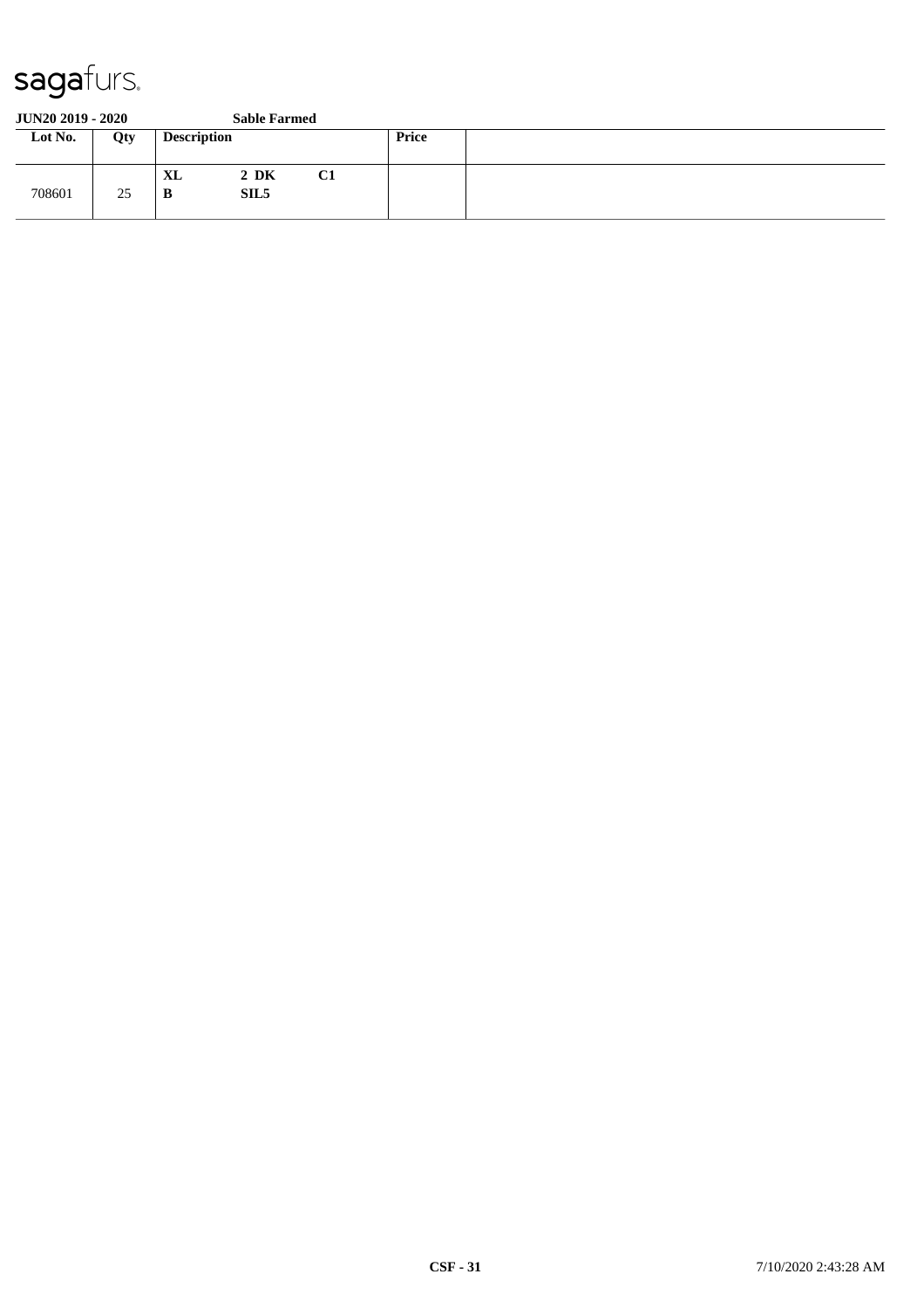#### **JUN20 2019 - 2020 Sable Farmed**

| Lot No. | Qty | <b>Description</b> |                              |    | <b>Price</b> |  |
|---------|-----|--------------------|------------------------------|----|--------------|--|
| 708601  | 25  | <b>XL</b><br>B     | $2\,$ DK<br>SIL <sub>5</sub> | C1 |              |  |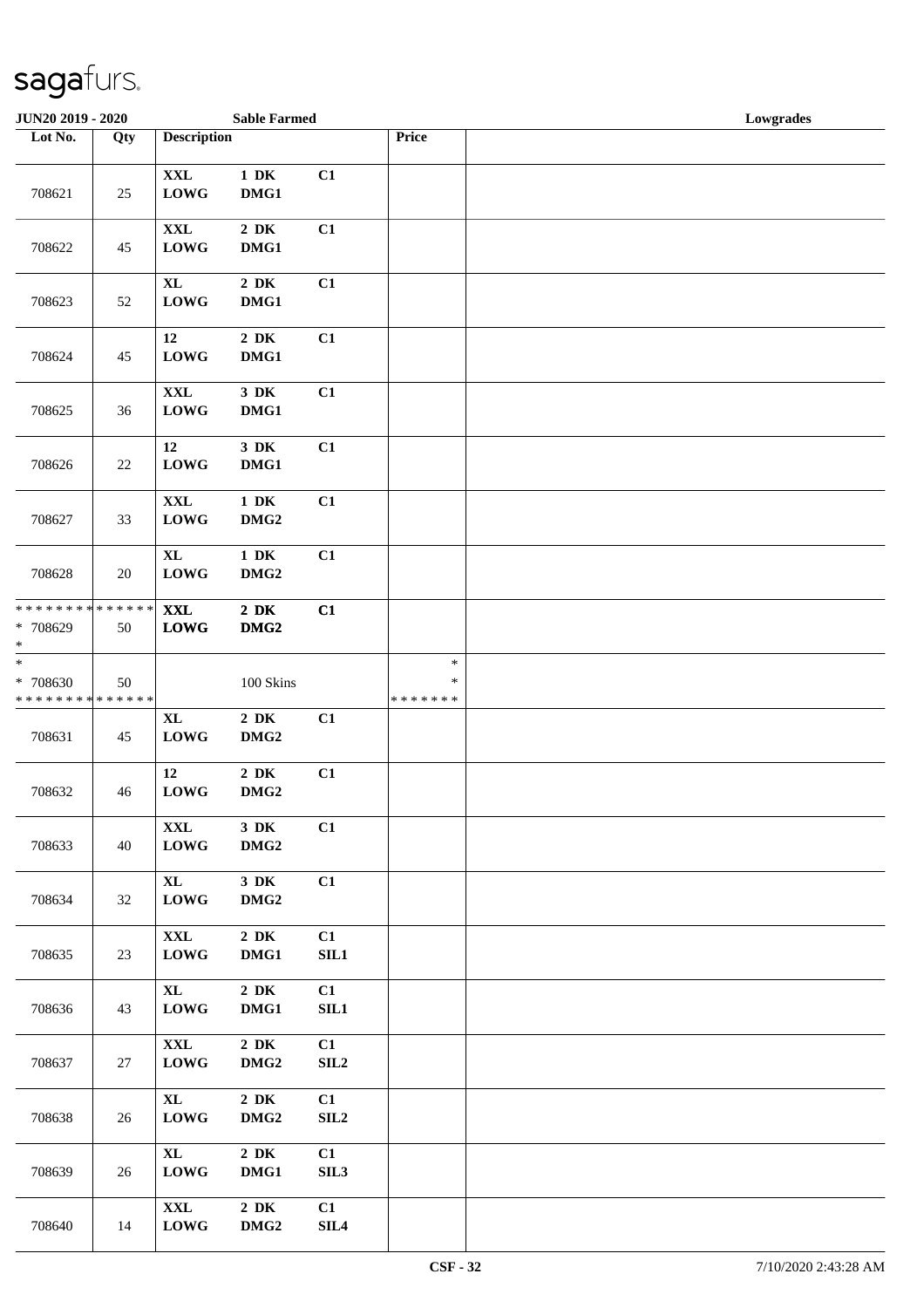| JUN20 2019 - 2020                                                |        |                                   | <b>Sable Farmed</b>          |            |                                   | Lowgrades |
|------------------------------------------------------------------|--------|-----------------------------------|------------------------------|------------|-----------------------------------|-----------|
| Lot No.                                                          | Qty    | <b>Description</b>                |                              |            | Price                             |           |
| 708621                                                           | 25     | $\mathbf{XXL}$<br><b>LOWG</b>     | $1\,$ DK<br>DMG1             | C1         |                                   |           |
| 708622                                                           | 45     | $\mathbf{XXL}$<br><b>LOWG</b>     | $2\,$ DK<br>DMG1             | C1         |                                   |           |
| 708623                                                           | $52\,$ | $\mathbf{XL}$<br><b>LOWG</b>      | $2\,$ DK<br>DMG1             | C1         |                                   |           |
| 708624                                                           | 45     | 12<br><b>LOWG</b>                 | $2\,$ DK<br>DMG1             | C1         |                                   |           |
| 708625                                                           | 36     | $\mathbf{XXL}$<br><b>LOWG</b>     | $3\,$ DK<br>DMG1             | C1         |                                   |           |
| 708626                                                           | $22\,$ | 12<br><b>LOWG</b>                 | $3\,$ DK<br>DMG1             | C1         |                                   |           |
| 708627                                                           | 33     | $\mathbf{XXL}$<br><b>LOWG</b>     | $1\,$ DK<br>DMG <sub>2</sub> | C1         |                                   |           |
| 708628                                                           | $20\,$ | <b>XL</b><br><b>LOWG</b>          | $1\,$ DK<br>DMG <sub>2</sub> | C1         |                                   |           |
| ******** <mark>******</mark><br>* 708629<br>$\ast$               | 50     | <b>XXL</b><br><b>LOWG</b>         | $2\,$ DK<br>DMG <sub>2</sub> | C1         |                                   |           |
| $\ast$<br>* 708630<br>* * * * * * * * <mark>* * * * * * *</mark> | 50     |                                   | $100~\mathrm{Skins}$         |            | $\ast$<br>$\ast$<br>* * * * * * * |           |
| 708631                                                           | 45     | $\bold{X}\bold{L}$<br><b>LOWG</b> | $2\;\mathrm{DK}$<br>$DMG2$   | C1         |                                   |           |
| 708632                                                           | 46     | 12<br><b>LOWG</b>                 | $2\,$ DK<br>DMG <sub>2</sub> | C1         |                                   |           |
| 708633                                                           | 40     | <b>XXL</b><br><b>LOWG</b>         | 3 DK<br>DMG2                 | C1         |                                   |           |
| 708634                                                           | 32     | $\mathbf{XL}$<br><b>LOWG</b>      | 3 DK<br>DMG <sub>2</sub>     | C1         |                                   |           |
| 708635                                                           | 23     | $\mathbf{XXL}$<br><b>LOWG</b>     | $2\,$ DK<br>DMG1             | C1<br>SL1  |                                   |           |
| 708636                                                           | 43     | $\bold{X}\bold{L}$<br><b>LOWG</b> | $2\,$ DK<br>DMG1             | C1<br>SL1  |                                   |           |
| 708637                                                           | 27     | $\mathbf{XXL}$<br><b>LOWG</b>     | $2\,$ DK<br>DMG <sub>2</sub> | C1<br>SLL2 |                                   |           |
| 708638                                                           | 26     | $\mathbf{XL}$<br><b>LOWG</b>      | $2\,$ DK<br>DMG <sub>2</sub> | C1<br>SL2  |                                   |           |
| 708639                                                           | 26     | $\mathbf{XL}$<br><b>LOWG</b>      | $2\,$ DK<br>DMG1             | C1<br>SIL3 |                                   |           |
| 708640                                                           | 14     | $\mathbf{XXL}$<br><b>LOWG</b>     | $2\,$ DK<br>$DMG2$           | C1<br>SL4  |                                   |           |